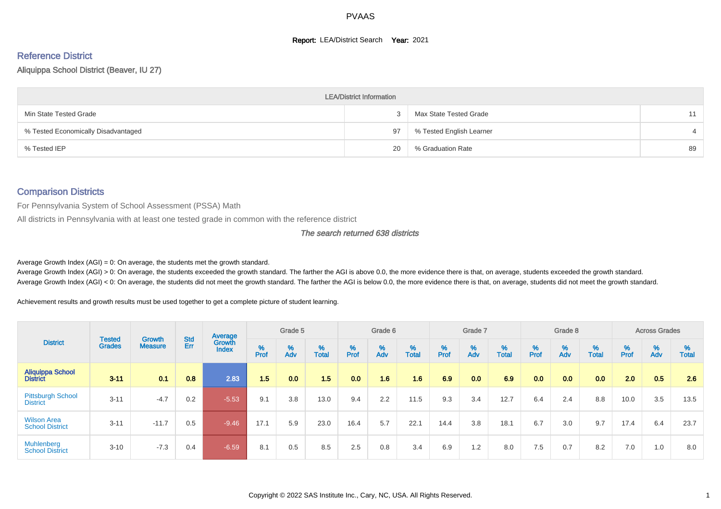#### **Report: LEA/District Search Year: 2021**

# Reference District

Aliquippa School District (Beaver, IU 27)

|                                     | <b>LEA/District Information</b> |                          |    |
|-------------------------------------|---------------------------------|--------------------------|----|
| Min State Tested Grade              |                                 | Max State Tested Grade   | 11 |
| % Tested Economically Disadvantaged | 97                              | % Tested English Learner |    |
| % Tested IEP                        | 20                              | % Graduation Rate        | 89 |

#### Comparison Districts

For Pennsylvania System of School Assessment (PSSA) Math

All districts in Pennsylvania with at least one tested grade in common with the reference district

The search returned 638 districts

Average Growth Index  $(AGI) = 0$ : On average, the students met the growth standard.

Average Growth Index (AGI) > 0: On average, the students exceeded the growth standard. The farther the AGI is above 0.0, the more evidence there is that, on average, students exceeded the growth standard. Average Growth Index (AGI) < 0: On average, the students did not meet the growth standard. The farther the AGI is below 0.0, the more evidence there is that, on average, students did not meet the growth standard.

Achievement results and growth results must be used together to get a complete picture of student learning.

|                                              |                                |                                 |            | Average                |           | Grade 5  |                   |           | Grade 6  |            |          | Grade 7  |            |          | Grade 8  |                   |          | <b>Across Grades</b> |                   |
|----------------------------------------------|--------------------------------|---------------------------------|------------|------------------------|-----------|----------|-------------------|-----------|----------|------------|----------|----------|------------|----------|----------|-------------------|----------|----------------------|-------------------|
| <b>District</b>                              | <b>Tested</b><br><b>Grades</b> | <b>Growth</b><br><b>Measure</b> | Std<br>Err | Growth<br><b>Index</b> | %<br>Prof | %<br>Adv | %<br><b>Total</b> | %<br>Prof | %<br>Adv | %<br>Total | $%$ Prof | %<br>Adv | %<br>Total | $%$ Prof | %<br>Adv | %<br><b>Total</b> | $%$ Prof | %<br>Adv             | %<br><b>Total</b> |
| <b>Aliquippa School</b><br><b>District</b>   | $3 - 11$                       | 0.1                             | 0.8        | 2.83                   | 1.5       | 0.0      | 1.5               | 0.0       | 1.6      | 1.6        | 6.9      | 0.0      | 6.9        | 0.0      | 0.0      | 0.0               | 2.0      | 0.5                  | 2.6               |
| <b>Pittsburgh School</b><br><b>District</b>  | $3 - 11$                       | $-4.7$                          | 0.2        | $-5.53$                | 9.1       | 3.8      | 13.0              | 9.4       | 2.2      | 11.5       | 9.3      | 3.4      | 12.7       | 6.4      | 2.4      | 8.8               | 10.0     | 3.5                  | 13.5              |
| <b>Wilson Area</b><br><b>School District</b> | $3 - 11$                       | $-11.7$                         | 0.5        | $-9.46$                | 17.1      | 5.9      | 23.0              | 16.4      | 5.7      | 22.1       | 14.4     | 3.8      | 18.1       | 6.7      | 3.0      | 9.7               | 17.4     | 6.4                  | 23.7              |
| <b>Muhlenberg</b><br><b>School District</b>  | $3 - 10$                       | $-7.3$                          | 0.4        | $-6.59$                | 8.1       | 0.5      | 8.5               | 2.5       | 0.8      | 3.4        | 6.9      | 1.2      | 8.0        | 7.5      | 0.7      | 8.2               | 7.0      | 1.0                  | 8.0               |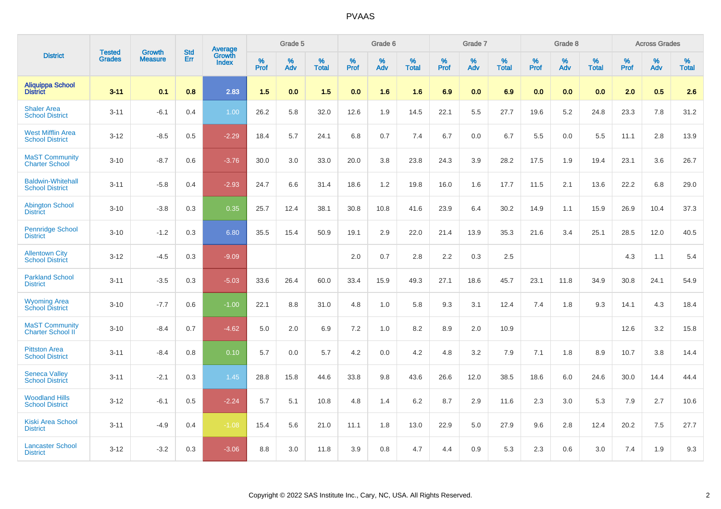|                                                    | <b>Tested</b> | <b>Growth</b>  | <b>Std</b> | Average<br>Growth |              | Grade 5  |                      |                     | Grade 6  |                      |              | Grade 7  |                      |              | Grade 8  |                      |                  | <b>Across Grades</b> |                   |
|----------------------------------------------------|---------------|----------------|------------|-------------------|--------------|----------|----------------------|---------------------|----------|----------------------|--------------|----------|----------------------|--------------|----------|----------------------|------------------|----------------------|-------------------|
| <b>District</b>                                    | <b>Grades</b> | <b>Measure</b> | Err        | Index             | $\%$<br>Prof | %<br>Adv | $\%$<br><b>Total</b> | $\%$<br><b>Prof</b> | %<br>Adv | $\%$<br><b>Total</b> | $\%$<br>Prof | %<br>Adv | $\%$<br><b>Total</b> | $\%$<br>Prof | %<br>Adv | $\%$<br><b>Total</b> | %<br><b>Prof</b> | %<br>Adv             | %<br><b>Total</b> |
| <b>Aliquippa School</b><br><b>District</b>         | $3 - 11$      | 0.1            | 0.8        | 2.83              | 1.5          | 0.0      | 1.5                  | 0.0                 | 1.6      | 1.6                  | 6.9          | 0.0      | 6.9                  | 0.0          | 0.0      | 0.0                  | 2.0              | 0.5                  | 2.6               |
| <b>Shaler Area</b><br><b>School District</b>       | $3 - 11$      | $-6.1$         | 0.4        | 1.00              | 26.2         | 5.8      | 32.0                 | 12.6                | 1.9      | 14.5                 | 22.1         | 5.5      | 27.7                 | 19.6         | 5.2      | 24.8                 | 23.3             | 7.8                  | 31.2              |
| <b>West Mifflin Area</b><br><b>School District</b> | $3 - 12$      | $-8.5$         | 0.5        | $-2.29$           | 18.4         | 5.7      | 24.1                 | 6.8                 | 0.7      | 7.4                  | 6.7          | 0.0      | 6.7                  | 5.5          | 0.0      | 5.5                  | 11.1             | 2.8                  | 13.9              |
| <b>MaST Community</b><br><b>Charter School</b>     | $3 - 10$      | $-8.7$         | 0.6        | $-3.76$           | 30.0         | 3.0      | 33.0                 | 20.0                | 3.8      | 23.8                 | 24.3         | 3.9      | 28.2                 | 17.5         | 1.9      | 19.4                 | 23.1             | 3.6                  | 26.7              |
| <b>Baldwin-Whitehall</b><br><b>School District</b> | $3 - 11$      | $-5.8$         | 0.4        | $-2.93$           | 24.7         | 6.6      | 31.4                 | 18.6                | 1.2      | 19.8                 | 16.0         | 1.6      | 17.7                 | 11.5         | 2.1      | 13.6                 | 22.2             | 6.8                  | 29.0              |
| <b>Abington School</b><br><b>District</b>          | $3 - 10$      | $-3.8$         | 0.3        | 0.35              | 25.7         | 12.4     | 38.1                 | 30.8                | 10.8     | 41.6                 | 23.9         | 6.4      | 30.2                 | 14.9         | 1.1      | 15.9                 | 26.9             | 10.4                 | 37.3              |
| <b>Pennridge School</b><br><b>District</b>         | $3 - 10$      | $-1.2$         | 0.3        | 6.80              | 35.5         | 15.4     | 50.9                 | 19.1                | 2.9      | 22.0                 | 21.4         | 13.9     | 35.3                 | 21.6         | 3.4      | 25.1                 | 28.5             | 12.0                 | 40.5              |
| <b>Allentown City</b><br><b>School District</b>    | $3 - 12$      | $-4.5$         | 0.3        | $-9.09$           |              |          |                      | 2.0                 | 0.7      | 2.8                  | 2.2          | 0.3      | 2.5                  |              |          |                      | 4.3              | 1.1                  | 5.4               |
| <b>Parkland School</b><br><b>District</b>          | $3 - 11$      | $-3.5$         | 0.3        | $-5.03$           | 33.6         | 26.4     | 60.0                 | 33.4                | 15.9     | 49.3                 | 27.1         | 18.6     | 45.7                 | 23.1         | 11.8     | 34.9                 | 30.8             | 24.1                 | 54.9              |
| <b>Wyoming Area</b><br><b>School District</b>      | $3 - 10$      | $-7.7$         | 0.6        | $-1.00$           | 22.1         | 8.8      | 31.0                 | 4.8                 | 1.0      | 5.8                  | 9.3          | 3.1      | 12.4                 | 7.4          | 1.8      | 9.3                  | 14.1             | 4.3                  | 18.4              |
| <b>MaST Community</b><br>Charter School II         | $3 - 10$      | $-8.4$         | 0.7        | $-4.62$           | 5.0          | 2.0      | 6.9                  | 7.2                 | 1.0      | 8.2                  | 8.9          | 2.0      | 10.9                 |              |          |                      | 12.6             | 3.2                  | 15.8              |
| <b>Pittston Area</b><br><b>School District</b>     | $3 - 11$      | $-8.4$         | 0.8        | 0.10              | 5.7          | 0.0      | 5.7                  | 4.2                 | 0.0      | 4.2                  | 4.8          | 3.2      | 7.9                  | 7.1          | 1.8      | 8.9                  | 10.7             | 3.8                  | 14.4              |
| <b>Seneca Valley</b><br><b>School District</b>     | $3 - 11$      | $-2.1$         | 0.3        | 1.45              | 28.8         | 15.8     | 44.6                 | 33.8                | 9.8      | 43.6                 | 26.6         | 12.0     | 38.5                 | 18.6         | 6.0      | 24.6                 | 30.0             | 14.4                 | 44.4              |
| <b>Woodland Hills</b><br><b>School District</b>    | $3 - 12$      | $-6.1$         | 0.5        | $-2.24$           | 5.7          | 5.1      | 10.8                 | 4.8                 | 1.4      | 6.2                  | 8.7          | 2.9      | 11.6                 | 2.3          | 3.0      | 5.3                  | 7.9              | 2.7                  | 10.6              |
| <b>Kiski Area School</b><br><b>District</b>        | $3 - 11$      | $-4.9$         | 0.4        | $-1.08$           | 15.4         | 5.6      | 21.0                 | 11.1                | 1.8      | 13.0                 | 22.9         | 5.0      | 27.9                 | 9.6          | 2.8      | 12.4                 | 20.2             | 7.5                  | 27.7              |
| <b>Lancaster School</b><br><b>District</b>         | $3 - 12$      | $-3.2$         | 0.3        | $-3.06$           | 8.8          | 3.0      | 11.8                 | 3.9                 | 0.8      | 4.7                  | 4.4          | 0.9      | 5.3                  | 2.3          | 0.6      | 3.0                  | 7.4              | 1.9                  | 9.3               |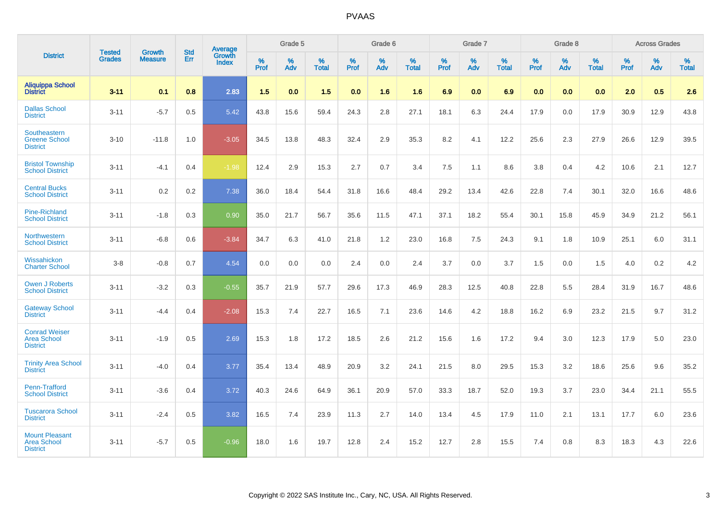|                                                                |                                |                          | <b>Std</b> | Average                |           | Grade 5  |                   |           | Grade 6  |                   |           | Grade 7  |                   |           | Grade 8  |                   |           | <b>Across Grades</b> |                   |
|----------------------------------------------------------------|--------------------------------|--------------------------|------------|------------------------|-----------|----------|-------------------|-----------|----------|-------------------|-----------|----------|-------------------|-----------|----------|-------------------|-----------|----------------------|-------------------|
| <b>District</b>                                                | <b>Tested</b><br><b>Grades</b> | Growth<br><b>Measure</b> | Err        | Growth<br><b>Index</b> | %<br>Prof | %<br>Adv | %<br><b>Total</b> | %<br>Prof | %<br>Adv | %<br><b>Total</b> | %<br>Prof | %<br>Adv | %<br><b>Total</b> | %<br>Prof | %<br>Adv | %<br><b>Total</b> | %<br>Prof | %<br>Adv             | %<br><b>Total</b> |
| <b>Aliquippa School</b><br><b>District</b>                     | $3 - 11$                       | 0.1                      | 0.8        | 2.83                   | 1.5       | 0.0      | 1.5               | 0.0       | 1.6      | 1.6               | 6.9       | 0.0      | 6.9               | 0.0       | 0.0      | 0.0               | 2.0       | 0.5                  | 2.6               |
| <b>Dallas School</b><br><b>District</b>                        | $3 - 11$                       | $-5.7$                   | 0.5        | 5.42                   | 43.8      | 15.6     | 59.4              | 24.3      | 2.8      | 27.1              | 18.1      | 6.3      | 24.4              | 17.9      | 0.0      | 17.9              | 30.9      | 12.9                 | 43.8              |
| Southeastern<br><b>Greene School</b><br><b>District</b>        | $3 - 10$                       | $-11.8$                  | 1.0        | $-3.05$                | 34.5      | 13.8     | 48.3              | 32.4      | 2.9      | 35.3              | 8.2       | 4.1      | 12.2              | 25.6      | 2.3      | 27.9              | 26.6      | 12.9                 | 39.5              |
| <b>Bristol Township</b><br><b>School District</b>              | $3 - 11$                       | $-4.1$                   | 0.4        | $-1.98$                | 12.4      | 2.9      | 15.3              | 2.7       | 0.7      | 3.4               | 7.5       | 1.1      | 8.6               | 3.8       | 0.4      | 4.2               | 10.6      | 2.1                  | 12.7              |
| <b>Central Bucks</b><br><b>School District</b>                 | $3 - 11$                       | 0.2                      | 0.2        | 7.38                   | 36.0      | 18.4     | 54.4              | 31.8      | 16.6     | 48.4              | 29.2      | 13.4     | 42.6              | 22.8      | 7.4      | 30.1              | 32.0      | 16.6                 | 48.6              |
| <b>Pine-Richland</b><br><b>School District</b>                 | $3 - 11$                       | $-1.8$                   | 0.3        | 0.90                   | 35.0      | 21.7     | 56.7              | 35.6      | 11.5     | 47.1              | 37.1      | 18.2     | 55.4              | 30.1      | 15.8     | 45.9              | 34.9      | 21.2                 | 56.1              |
| Northwestern<br><b>School District</b>                         | $3 - 11$                       | $-6.8$                   | 0.6        | $-3.84$                | 34.7      | 6.3      | 41.0              | 21.8      | 1.2      | 23.0              | 16.8      | 7.5      | 24.3              | 9.1       | 1.8      | 10.9              | 25.1      | 6.0                  | 31.1              |
| Wissahickon<br><b>Charter School</b>                           | $3-8$                          | $-0.8$                   | 0.7        | 4.54                   | 0.0       | 0.0      | 0.0               | 2.4       | 0.0      | 2.4               | 3.7       | 0.0      | 3.7               | 1.5       | 0.0      | 1.5               | 4.0       | 0.2                  | 4.2               |
| <b>Owen J Roberts</b><br><b>School District</b>                | $3 - 11$                       | $-3.2$                   | 0.3        | $-0.55$                | 35.7      | 21.9     | 57.7              | 29.6      | 17.3     | 46.9              | 28.3      | 12.5     | 40.8              | 22.8      | 5.5      | 28.4              | 31.9      | 16.7                 | 48.6              |
| <b>Gateway School</b><br><b>District</b>                       | $3 - 11$                       | $-4.4$                   | 0.4        | $-2.08$                | 15.3      | 7.4      | 22.7              | 16.5      | 7.1      | 23.6              | 14.6      | 4.2      | 18.8              | 16.2      | 6.9      | 23.2              | 21.5      | 9.7                  | 31.2              |
| <b>Conrad Weiser</b><br><b>Area School</b><br><b>District</b>  | $3 - 11$                       | $-1.9$                   | 0.5        | 2.69                   | 15.3      | 1.8      | 17.2              | 18.5      | 2.6      | 21.2              | 15.6      | 1.6      | 17.2              | 9.4       | 3.0      | 12.3              | 17.9      | 5.0                  | 23.0              |
| <b>Trinity Area School</b><br><b>District</b>                  | $3 - 11$                       | $-4.0$                   | 0.4        | 3.77                   | 35.4      | 13.4     | 48.9              | 20.9      | 3.2      | 24.1              | 21.5      | 8.0      | 29.5              | 15.3      | 3.2      | 18.6              | 25.6      | 9.6                  | 35.2              |
| Penn-Trafford<br><b>School District</b>                        | $3 - 11$                       | $-3.6$                   | 0.4        | 3.72                   | 40.3      | 24.6     | 64.9              | 36.1      | 20.9     | 57.0              | 33.3      | 18.7     | 52.0              | 19.3      | 3.7      | 23.0              | 34.4      | 21.1                 | 55.5              |
| <b>Tuscarora School</b><br><b>District</b>                     | $3 - 11$                       | $-2.4$                   | 0.5        | 3.82                   | 16.5      | 7.4      | 23.9              | 11.3      | 2.7      | 14.0              | 13.4      | 4.5      | 17.9              | 11.0      | 2.1      | 13.1              | 17.7      | 6.0                  | 23.6              |
| <b>Mount Pleasant</b><br><b>Area School</b><br><b>District</b> | $3 - 11$                       | $-5.7$                   | 0.5        | $-0.96$                | 18.0      | 1.6      | 19.7              | 12.8      | 2.4      | 15.2              | 12.7      | 2.8      | 15.5              | 7.4       | 0.8      | 8.3               | 18.3      | 4.3                  | 22.6              |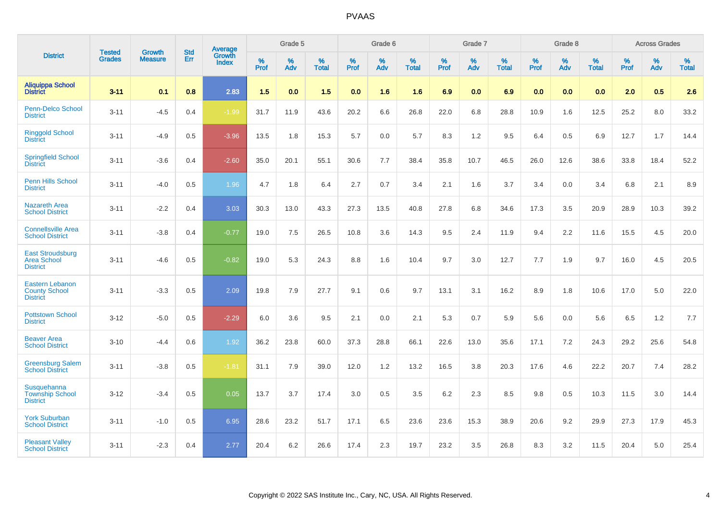|                                                                   |                                |                                 | <b>Std</b> | Average                       |           | Grade 5  |                   |           | Grade 6  |                   |           | Grade 7  |                   |           | Grade 8  |                   |           | <b>Across Grades</b> |                   |
|-------------------------------------------------------------------|--------------------------------|---------------------------------|------------|-------------------------------|-----------|----------|-------------------|-----------|----------|-------------------|-----------|----------|-------------------|-----------|----------|-------------------|-----------|----------------------|-------------------|
| <b>District</b>                                                   | <b>Tested</b><br><b>Grades</b> | <b>Growth</b><br><b>Measure</b> | Err        | <b>Growth</b><br><b>Index</b> | %<br>Prof | %<br>Adv | %<br><b>Total</b> | %<br>Prof | %<br>Adv | %<br><b>Total</b> | %<br>Prof | %<br>Adv | %<br><b>Total</b> | %<br>Prof | %<br>Adv | %<br><b>Total</b> | %<br>Prof | %<br>Adv             | %<br><b>Total</b> |
| <b>Aliquippa School</b><br><b>District</b>                        | $3 - 11$                       | 0.1                             | 0.8        | 2.83                          | 1.5       | 0.0      | 1.5               | 0.0       | 1.6      | 1.6               | 6.9       | 0.0      | 6.9               | 0.0       | 0.0      | 0.0               | 2.0       | 0.5                  | 2.6               |
| Penn-Delco School<br><b>District</b>                              | $3 - 11$                       | $-4.5$                          | 0.4        | $-1.99$                       | 31.7      | 11.9     | 43.6              | 20.2      | 6.6      | 26.8              | 22.0      | 6.8      | 28.8              | 10.9      | 1.6      | 12.5              | 25.2      | 8.0                  | 33.2              |
| <b>Ringgold School</b><br><b>District</b>                         | $3 - 11$                       | $-4.9$                          | 0.5        | $-3.96$                       | 13.5      | 1.8      | 15.3              | 5.7       | 0.0      | 5.7               | 8.3       | 1.2      | 9.5               | 6.4       | 0.5      | 6.9               | 12.7      | 1.7                  | 14.4              |
| <b>Springfield School</b><br><b>District</b>                      | $3 - 11$                       | $-3.6$                          | 0.4        | $-2.60$                       | 35.0      | 20.1     | 55.1              | 30.6      | 7.7      | 38.4              | 35.8      | 10.7     | 46.5              | 26.0      | 12.6     | 38.6              | 33.8      | 18.4                 | 52.2              |
| Penn Hills School<br><b>District</b>                              | $3 - 11$                       | $-4.0$                          | 0.5        | 1.96                          | 4.7       | 1.8      | 6.4               | 2.7       | 0.7      | 3.4               | 2.1       | 1.6      | 3.7               | 3.4       | 0.0      | 3.4               | 6.8       | 2.1                  | 8.9               |
| <b>Nazareth Area</b><br><b>School District</b>                    | $3 - 11$                       | $-2.2$                          | 0.4        | 3.03                          | 30.3      | 13.0     | 43.3              | 27.3      | 13.5     | 40.8              | 27.8      | 6.8      | 34.6              | 17.3      | 3.5      | 20.9              | 28.9      | 10.3                 | 39.2              |
| <b>Connellsville Area</b><br><b>School District</b>               | $3 - 11$                       | $-3.8$                          | 0.4        | $-0.77$                       | 19.0      | 7.5      | 26.5              | 10.8      | 3.6      | 14.3              | 9.5       | 2.4      | 11.9              | 9.4       | 2.2      | 11.6              | 15.5      | 4.5                  | 20.0              |
| <b>East Stroudsburg</b><br><b>Area School</b><br><b>District</b>  | $3 - 11$                       | $-4.6$                          | 0.5        | $-0.82$                       | 19.0      | 5.3      | 24.3              | 8.8       | 1.6      | 10.4              | 9.7       | 3.0      | 12.7              | 7.7       | 1.9      | 9.7               | 16.0      | 4.5                  | 20.5              |
| <b>Eastern Lebanon</b><br><b>County School</b><br><b>District</b> | $3 - 11$                       | $-3.3$                          | 0.5        | 2.09                          | 19.8      | 7.9      | 27.7              | 9.1       | 0.6      | 9.7               | 13.1      | 3.1      | 16.2              | 8.9       | 1.8      | 10.6              | 17.0      | 5.0                  | 22.0              |
| <b>Pottstown School</b><br><b>District</b>                        | $3 - 12$                       | $-5.0$                          | 0.5        | $-2.29$                       | 6.0       | 3.6      | 9.5               | 2.1       | 0.0      | 2.1               | 5.3       | 0.7      | 5.9               | 5.6       | 0.0      | 5.6               | 6.5       | 1.2                  | 7.7               |
| <b>Beaver Area</b><br><b>School District</b>                      | $3 - 10$                       | $-4.4$                          | 0.6        | 1.92                          | 36.2      | 23.8     | 60.0              | 37.3      | 28.8     | 66.1              | 22.6      | 13.0     | 35.6              | 17.1      | 7.2      | 24.3              | 29.2      | 25.6                 | 54.8              |
| <b>Greensburg Salem</b><br><b>School District</b>                 | $3 - 11$                       | $-3.8$                          | 0.5        | $-1.81$                       | 31.1      | 7.9      | 39.0              | 12.0      | 1.2      | 13.2              | 16.5      | 3.8      | 20.3              | 17.6      | 4.6      | 22.2              | 20.7      | 7.4                  | 28.2              |
| Susquehanna<br><b>Township School</b><br><b>District</b>          | $3 - 12$                       | $-3.4$                          | 0.5        | 0.05                          | 13.7      | 3.7      | 17.4              | 3.0       | 0.5      | 3.5               | 6.2       | 2.3      | 8.5               | 9.8       | 0.5      | 10.3              | 11.5      | 3.0                  | 14.4              |
| <b>York Suburban</b><br><b>School District</b>                    | $3 - 11$                       | $-1.0$                          | 0.5        | 6.95                          | 28.6      | 23.2     | 51.7              | 17.1      | 6.5      | 23.6              | 23.6      | 15.3     | 38.9              | 20.6      | 9.2      | 29.9              | 27.3      | 17.9                 | 45.3              |
| <b>Pleasant Valley</b><br><b>School District</b>                  | $3 - 11$                       | $-2.3$                          | 0.4        | 2.77                          | 20.4      | 6.2      | 26.6              | 17.4      | 2.3      | 19.7              | 23.2      | 3.5      | 26.8              | 8.3       | 3.2      | 11.5              | 20.4      | 5.0                  | 25.4              |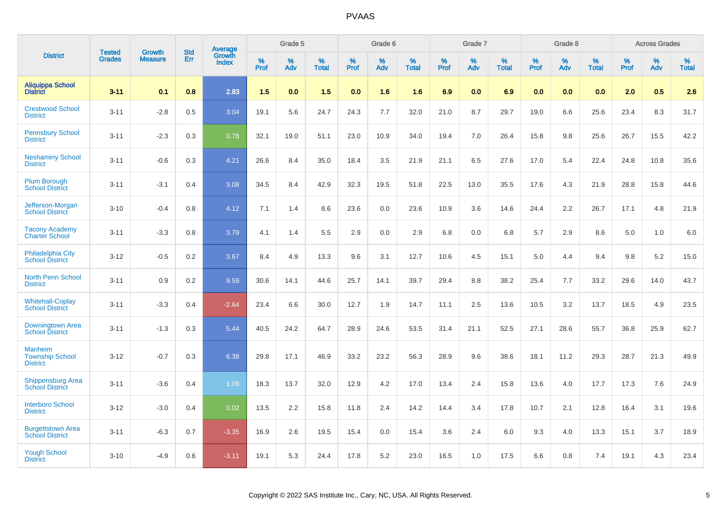|                                                             | <b>Tested</b> | <b>Growth</b>  | <b>Std</b> | Average                |              | Grade 5  |                   |              | Grade 6  |                   |              | Grade 7  |                   |              | Grade 8  |                   |              | <b>Across Grades</b> |                      |
|-------------------------------------------------------------|---------------|----------------|------------|------------------------|--------------|----------|-------------------|--------------|----------|-------------------|--------------|----------|-------------------|--------------|----------|-------------------|--------------|----------------------|----------------------|
| <b>District</b>                                             | <b>Grades</b> | <b>Measure</b> | Err        | Growth<br><b>Index</b> | $\%$<br>Prof | %<br>Adv | %<br><b>Total</b> | $\%$<br>Prof | %<br>Adv | %<br><b>Total</b> | $\%$<br>Prof | %<br>Adv | %<br><b>Total</b> | $\%$<br>Prof | %<br>Adv | %<br><b>Total</b> | $\%$<br>Prof | %<br>Adv             | $\%$<br><b>Total</b> |
| <b>Aliquippa School</b><br><b>District</b>                  | $3 - 11$      | 0.1            | 0.8        | 2.83                   | 1.5          | 0.0      | 1.5               | 0.0          | 1.6      | 1.6               | 6.9          | 0.0      | 6.9               | 0.0          | 0.0      | 0.0               | 2.0          | 0.5                  | 2.6                  |
| <b>Crestwood School</b><br><b>District</b>                  | $3 - 11$      | $-2.8$         | 0.5        | 3.04                   | 19.1         | 5.6      | 24.7              | 24.3         | 7.7      | 32.0              | 21.0         | 8.7      | 29.7              | 19.0         | 6.6      | 25.6              | 23.4         | 8.3                  | 31.7                 |
| <b>Pennsbury School</b><br><b>District</b>                  | $3 - 11$      | $-2.3$         | 0.3        | 0.78                   | 32.1         | 19.0     | 51.1              | 23.0         | 10.9     | 34.0              | 19.4         | 7.0      | 26.4              | 15.8         | 9.8      | 25.6              | 26.7         | 15.5                 | 42.2                 |
| <b>Neshaminy School</b><br><b>District</b>                  | $3 - 11$      | $-0.6$         | 0.3        | 4.21                   | 26.6         | 8.4      | 35.0              | 18.4         | 3.5      | 21.9              | 21.1         | 6.5      | 27.6              | 17.0         | 5.4      | 22.4              | 24.8         | 10.8                 | 35.6                 |
| <b>Plum Borough</b><br><b>School District</b>               | $3 - 11$      | $-3.1$         | 0.4        | 3.08                   | 34.5         | 8.4      | 42.9              | 32.3         | 19.5     | 51.8              | 22.5         | 13.0     | 35.5              | 17.6         | 4.3      | 21.9              | 28.8         | 15.8                 | 44.6                 |
| Jefferson-Morgan<br><b>School District</b>                  | $3 - 10$      | $-0.4$         | 0.8        | 4.12                   | 7.1          | 1.4      | 8.6               | 23.6         | 0.0      | 23.6              | 10.9         | 3.6      | 14.6              | 24.4         | 2.2      | 26.7              | 17.1         | 4.8                  | 21.9                 |
| <b>Tacony Academy</b><br><b>Charter School</b>              | $3 - 11$      | $-3.3$         | 0.8        | 3.79                   | 4.1          | 1.4      | 5.5               | 2.9          | 0.0      | 2.9               | 6.8          | 0.0      | 6.8               | 5.7          | 2.9      | 8.6               | 5.0          | 1.0                  | 6.0                  |
| <b>Philadelphia City</b><br><b>School District</b>          | $3 - 12$      | $-0.5$         | 0.2        | 3.67                   | 8.4          | 4.9      | 13.3              | 9.6          | 3.1      | 12.7              | 10.6         | 4.5      | 15.1              | 5.0          | 4.4      | 9.4               | 9.8          | 5.2                  | 15.0                 |
| <b>North Penn School</b><br><b>District</b>                 | $3 - 11$      | 0.9            | 0.2        | 9.59                   | 30.6         | 14.1     | 44.6              | 25.7         | 14.1     | 39.7              | 29.4         | 8.8      | 38.2              | 25.4         | 7.7      | 33.2              | 29.6         | 14.0                 | 43.7                 |
| <b>Whitehall-Coplay</b><br><b>School District</b>           | $3 - 11$      | $-3.3$         | 0.4        | $-2.64$                | 23.4         | 6.6      | 30.0              | 12.7         | 1.9      | 14.7              | 11.1         | 2.5      | 13.6              | 10.5         | 3.2      | 13.7              | 18.5         | 4.9                  | 23.5                 |
| Downingtown Area<br><b>School District</b>                  | $3 - 11$      | $-1.3$         | 0.3        | 5.44                   | 40.5         | 24.2     | 64.7              | 28.9         | 24.6     | 53.5              | 31.4         | 21.1     | 52.5              | 27.1         | 28.6     | 55.7              | 36.8         | 25.9                 | 62.7                 |
| <b>Manheim</b><br><b>Township School</b><br><b>District</b> | $3 - 12$      | $-0.7$         | 0.3        | 6.38                   | 29.8         | 17.1     | 46.9              | 33.2         | 23.2     | 56.3              | 28.9         | 9.6      | 38.6              | 18.1         | 11.2     | 29.3              | 28.7         | 21.3                 | 49.9                 |
| <b>Shippensburg Area</b><br><b>School District</b>          | $3 - 11$      | $-3.6$         | 0.4        | 1.09                   | 18.3         | 13.7     | 32.0              | 12.9         | 4.2      | 17.0              | 13.4         | 2.4      | 15.8              | 13.6         | 4.0      | 17.7              | 17.3         | 7.6                  | 24.9                 |
| <b>Interboro School</b><br><b>District</b>                  | $3 - 12$      | $-3.0$         | 0.4        | 0.02                   | 13.5         | 2.2      | 15.8              | 11.8         | 2.4      | 14.2              | 14.4         | 3.4      | 17.8              | 10.7         | 2.1      | 12.8              | 16.4         | 3.1                  | 19.6                 |
| <b>Burgettstown Area</b><br><b>School District</b>          | $3 - 11$      | $-6.3$         | 0.7        | $-3.35$                | 16.9         | 2.6      | 19.5              | 15.4         | 0.0      | 15.4              | 3.6          | 2.4      | 6.0               | 9.3          | 4.0      | 13.3              | 15.1         | 3.7                  | 18.9                 |
| <b>Yough School</b><br><b>District</b>                      | $3 - 10$      | $-4.9$         | 0.6        | $-3.11$                | 19.1         | 5.3      | 24.4              | 17.8         | 5.2      | 23.0              | 16.5         | 1.0      | 17.5              | 6.6          | 0.8      | 7.4               | 19.1         | 4.3                  | 23.4                 |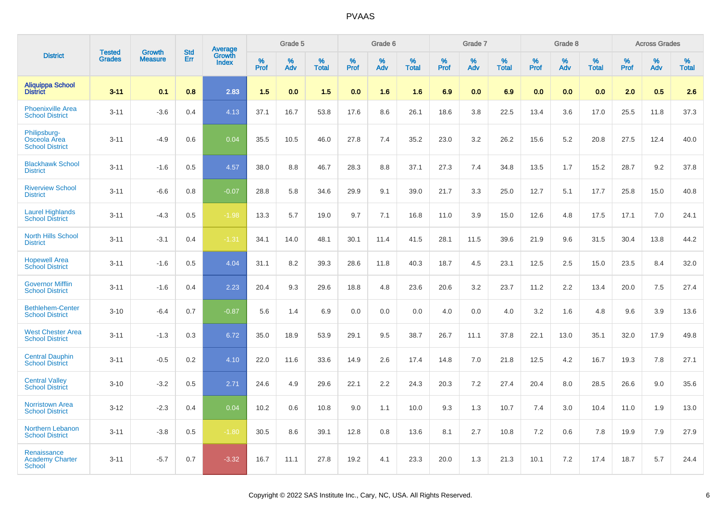|                                                        | <b>Tested</b> | <b>Growth</b>  | <b>Std</b> | Average                |                     | Grade 5  |                   |              | Grade 6  |                   |                     | Grade 7  |                   |                     | Grade 8  |                   |              | <b>Across Grades</b> |                   |
|--------------------------------------------------------|---------------|----------------|------------|------------------------|---------------------|----------|-------------------|--------------|----------|-------------------|---------------------|----------|-------------------|---------------------|----------|-------------------|--------------|----------------------|-------------------|
| <b>District</b>                                        | <b>Grades</b> | <b>Measure</b> | Err        | Growth<br><b>Index</b> | $\%$<br><b>Prof</b> | %<br>Adv | %<br><b>Total</b> | $\%$<br>Prof | %<br>Adv | %<br><b>Total</b> | $\%$<br><b>Prof</b> | %<br>Adv | %<br><b>Total</b> | $\%$<br><b>Prof</b> | %<br>Adv | %<br><b>Total</b> | $\%$<br>Prof | %<br>Adv             | %<br><b>Total</b> |
| <b>Aliquippa School</b><br><b>District</b>             | $3 - 11$      | 0.1            | 0.8        | 2.83                   | 1.5                 | 0.0      | 1.5               | 0.0          | 1.6      | 1.6               | 6.9                 | 0.0      | 6.9               | 0.0                 | 0.0      | 0.0               | 2.0          | 0.5                  | 2.6               |
| <b>Phoenixville Area</b><br><b>School District</b>     | $3 - 11$      | $-3.6$         | 0.4        | 4.13                   | 37.1                | 16.7     | 53.8              | 17.6         | 8.6      | 26.1              | 18.6                | 3.8      | 22.5              | 13.4                | 3.6      | 17.0              | 25.5         | 11.8                 | 37.3              |
| Philipsburg-<br>Osceola Area<br><b>School District</b> | $3 - 11$      | $-4.9$         | 0.6        | 0.04                   | 35.5                | 10.5     | 46.0              | 27.8         | 7.4      | 35.2              | 23.0                | 3.2      | 26.2              | 15.6                | 5.2      | 20.8              | 27.5         | 12.4                 | 40.0              |
| <b>Blackhawk School</b><br><b>District</b>             | $3 - 11$      | $-1.6$         | 0.5        | 4.57                   | 38.0                | 8.8      | 46.7              | 28.3         | 8.8      | 37.1              | 27.3                | 7.4      | 34.8              | 13.5                | 1.7      | 15.2              | 28.7         | 9.2                  | 37.8              |
| <b>Riverview School</b><br><b>District</b>             | $3 - 11$      | $-6.6$         | 0.8        | $-0.07$                | 28.8                | 5.8      | 34.6              | 29.9         | 9.1      | 39.0              | 21.7                | 3.3      | 25.0              | 12.7                | 5.1      | 17.7              | 25.8         | 15.0                 | 40.8              |
| <b>Laurel Highlands</b><br><b>School District</b>      | $3 - 11$      | $-4.3$         | 0.5        | $-1.98$                | 13.3                | 5.7      | 19.0              | 9.7          | 7.1      | 16.8              | 11.0                | 3.9      | 15.0              | 12.6                | 4.8      | 17.5              | 17.1         | 7.0                  | 24.1              |
| <b>North Hills School</b><br><b>District</b>           | $3 - 11$      | $-3.1$         | 0.4        | $-1.31$                | 34.1                | 14.0     | 48.1              | 30.1         | 11.4     | 41.5              | 28.1                | 11.5     | 39.6              | 21.9                | 9.6      | 31.5              | 30.4         | 13.8                 | 44.2              |
| <b>Hopewell Area</b><br><b>School District</b>         | $3 - 11$      | $-1.6$         | 0.5        | 4.04                   | 31.1                | 8.2      | 39.3              | 28.6         | 11.8     | 40.3              | 18.7                | 4.5      | 23.1              | 12.5                | 2.5      | 15.0              | 23.5         | 8.4                  | 32.0              |
| <b>Governor Mifflin</b><br><b>School District</b>      | $3 - 11$      | $-1.6$         | 0.4        | 2.23                   | 20.4                | 9.3      | 29.6              | 18.8         | 4.8      | 23.6              | 20.6                | 3.2      | 23.7              | 11.2                | 2.2      | 13.4              | 20.0         | 7.5                  | 27.4              |
| <b>Bethlehem-Center</b><br><b>School District</b>      | $3 - 10$      | $-6.4$         | 0.7        | $-0.87$                | 5.6                 | 1.4      | 6.9               | 0.0          | 0.0      | 0.0               | 4.0                 | 0.0      | 4.0               | 3.2                 | 1.6      | 4.8               | 9.6          | 3.9                  | 13.6              |
| <b>West Chester Area</b><br><b>School District</b>     | $3 - 11$      | $-1.3$         | 0.3        | 6.72                   | 35.0                | 18.9     | 53.9              | 29.1         | 9.5      | 38.7              | 26.7                | 11.1     | 37.8              | 22.1                | 13.0     | 35.1              | 32.0         | 17.9                 | 49.8              |
| <b>Central Dauphin</b><br><b>School District</b>       | $3 - 11$      | $-0.5$         | 0.2        | 4.10                   | 22.0                | 11.6     | 33.6              | 14.9         | 2.6      | 17.4              | 14.8                | 7.0      | 21.8              | 12.5                | 4.2      | 16.7              | 19.3         | 7.8                  | 27.1              |
| <b>Central Valley</b><br><b>School District</b>        | $3 - 10$      | $-3.2$         | 0.5        | 2.71                   | 24.6                | 4.9      | 29.6              | 22.1         | 2.2      | 24.3              | 20.3                | 7.2      | 27.4              | 20.4                | 8.0      | 28.5              | 26.6         | 9.0                  | 35.6              |
| <b>Norristown Area</b><br><b>School District</b>       | $3 - 12$      | $-2.3$         | 0.4        | 0.04                   | 10.2                | 0.6      | 10.8              | 9.0          | 1.1      | 10.0              | 9.3                 | 1.3      | 10.7              | 7.4                 | 3.0      | 10.4              | 11.0         | 1.9                  | 13.0              |
| Northern Lebanon<br><b>School District</b>             | $3 - 11$      | $-3.8$         | 0.5        | $-1.80$                | 30.5                | 8.6      | 39.1              | 12.8         | 0.8      | 13.6              | 8.1                 | 2.7      | 10.8              | 7.2                 | 0.6      | 7.8               | 19.9         | 7.9                  | 27.9              |
| Renaissance<br><b>Academy Charter</b><br><b>School</b> | $3 - 11$      | $-5.7$         | 0.7        | $-3.32$                | 16.7                | 11.1     | 27.8              | 19.2         | 4.1      | 23.3              | 20.0                | 1.3      | 21.3              | 10.1                | 7.2      | 17.4              | 18.7         | 5.7                  | 24.4              |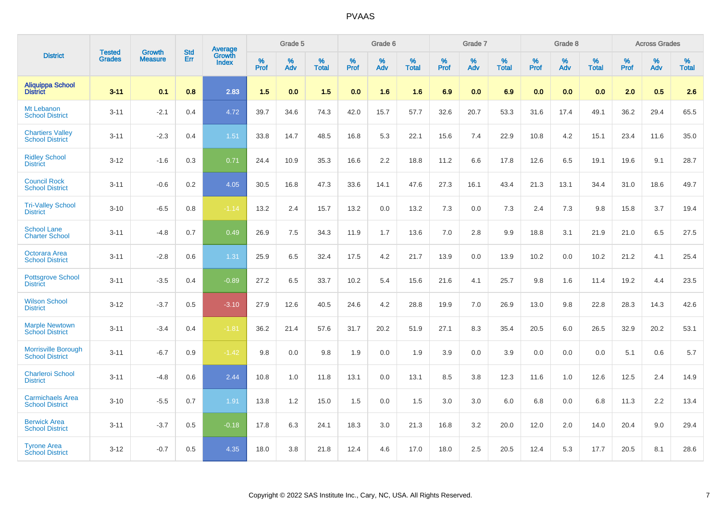|                                                      |                                |                                 | <b>Std</b> | <b>Average</b>         |           | Grade 5  |                   |           | Grade 6  |                   |           | Grade 7  |                   |           | Grade 8  |                   |           | <b>Across Grades</b> |            |
|------------------------------------------------------|--------------------------------|---------------------------------|------------|------------------------|-----------|----------|-------------------|-----------|----------|-------------------|-----------|----------|-------------------|-----------|----------|-------------------|-----------|----------------------|------------|
| <b>District</b>                                      | <b>Tested</b><br><b>Grades</b> | <b>Growth</b><br><b>Measure</b> | Err        | Growth<br><b>Index</b> | %<br>Prof | %<br>Adv | %<br><b>Total</b> | %<br>Prof | %<br>Adv | %<br><b>Total</b> | %<br>Prof | %<br>Adv | %<br><b>Total</b> | %<br>Prof | %<br>Adv | %<br><b>Total</b> | %<br>Prof | %<br>Adv             | %<br>Total |
| <b>Aliquippa School</b><br><b>District</b>           | $3 - 11$                       | 0.1                             | 0.8        | 2.83                   | 1.5       | 0.0      | 1.5               | 0.0       | 1.6      | 1.6               | 6.9       | 0.0      | 6.9               | 0.0       | 0.0      | 0.0               | 2.0       | 0.5                  | 2.6        |
| Mt Lebanon<br><b>School District</b>                 | $3 - 11$                       | $-2.1$                          | 0.4        | 4.72                   | 39.7      | 34.6     | 74.3              | 42.0      | 15.7     | 57.7              | 32.6      | 20.7     | 53.3              | 31.6      | 17.4     | 49.1              | 36.2      | 29.4                 | 65.5       |
| <b>Chartiers Valley</b><br><b>School District</b>    | $3 - 11$                       | $-2.3$                          | 0.4        | 1.51                   | 33.8      | 14.7     | 48.5              | 16.8      | 5.3      | 22.1              | 15.6      | 7.4      | 22.9              | 10.8      | 4.2      | 15.1              | 23.4      | 11.6                 | 35.0       |
| <b>Ridley School</b><br><b>District</b>              | $3 - 12$                       | $-1.6$                          | 0.3        | 0.71                   | 24.4      | 10.9     | 35.3              | 16.6      | 2.2      | 18.8              | 11.2      | 6.6      | 17.8              | 12.6      | 6.5      | 19.1              | 19.6      | 9.1                  | 28.7       |
| <b>Council Rock</b><br><b>School District</b>        | $3 - 11$                       | $-0.6$                          | 0.2        | 4.05                   | 30.5      | 16.8     | 47.3              | 33.6      | 14.1     | 47.6              | 27.3      | 16.1     | 43.4              | 21.3      | 13.1     | 34.4              | 31.0      | 18.6                 | 49.7       |
| <b>Tri-Valley School</b><br><b>District</b>          | $3 - 10$                       | $-6.5$                          | 0.8        | $-1.14$                | 13.2      | 2.4      | 15.7              | 13.2      | 0.0      | 13.2              | 7.3       | 0.0      | 7.3               | 2.4       | 7.3      | 9.8               | 15.8      | 3.7                  | 19.4       |
| <b>School Lane</b><br><b>Charter School</b>          | $3 - 11$                       | $-4.8$                          | 0.7        | 0.49                   | 26.9      | 7.5      | 34.3              | 11.9      | 1.7      | 13.6              | 7.0       | 2.8      | 9.9               | 18.8      | 3.1      | 21.9              | 21.0      | 6.5                  | 27.5       |
| Octorara Area<br><b>School District</b>              | $3 - 11$                       | $-2.8$                          | 0.6        | 1.31                   | 25.9      | 6.5      | 32.4              | 17.5      | 4.2      | 21.7              | 13.9      | 0.0      | 13.9              | 10.2      | 0.0      | 10.2              | 21.2      | 4.1                  | 25.4       |
| <b>Pottsgrove School</b><br><b>District</b>          | $3 - 11$                       | $-3.5$                          | 0.4        | $-0.89$                | 27.2      | 6.5      | 33.7              | 10.2      | 5.4      | 15.6              | 21.6      | 4.1      | 25.7              | 9.8       | 1.6      | 11.4              | 19.2      | 4.4                  | 23.5       |
| <b>Wilson School</b><br><b>District</b>              | $3 - 12$                       | $-3.7$                          | 0.5        | $-3.10$                | 27.9      | 12.6     | 40.5              | 24.6      | 4.2      | 28.8              | 19.9      | 7.0      | 26.9              | 13.0      | 9.8      | 22.8              | 28.3      | 14.3                 | 42.6       |
| <b>Marple Newtown</b><br><b>School District</b>      | $3 - 11$                       | $-3.4$                          | 0.4        | $-1.81$                | 36.2      | 21.4     | 57.6              | 31.7      | 20.2     | 51.9              | 27.1      | 8.3      | 35.4              | 20.5      | 6.0      | 26.5              | 32.9      | 20.2                 | 53.1       |
| <b>Morrisville Borough</b><br><b>School District</b> | $3 - 11$                       | $-6.7$                          | 0.9        | $-1.42$                | 9.8       | 0.0      | 9.8               | 1.9       | 0.0      | 1.9               | 3.9       | 0.0      | 3.9               | 0.0       | 0.0      | 0.0               | 5.1       | 0.6                  | 5.7        |
| Charleroi School<br><b>District</b>                  | $3 - 11$                       | $-4.8$                          | 0.6        | 2.44                   | 10.8      | 1.0      | 11.8              | 13.1      | 0.0      | 13.1              | 8.5       | 3.8      | 12.3              | 11.6      | 1.0      | 12.6              | 12.5      | 2.4                  | 14.9       |
| <b>Carmichaels Area</b><br><b>School District</b>    | $3 - 10$                       | $-5.5$                          | 0.7        | 1.91                   | 13.8      | 1.2      | 15.0              | 1.5       | 0.0      | 1.5               | 3.0       | 3.0      | 6.0               | 6.8       | 0.0      | 6.8               | 11.3      | 2.2                  | 13.4       |
| <b>Berwick Area</b><br><b>School District</b>        | $3 - 11$                       | $-3.7$                          | 0.5        | $-0.18$                | 17.8      | 6.3      | 24.1              | 18.3      | 3.0      | 21.3              | 16.8      | 3.2      | 20.0              | 12.0      | 2.0      | 14.0              | 20.4      | 9.0                  | 29.4       |
| <b>Tyrone Area</b><br><b>School District</b>         | $3 - 12$                       | $-0.7$                          | 0.5        | 4.35                   | 18.0      | 3.8      | 21.8              | 12.4      | 4.6      | 17.0              | 18.0      | 2.5      | 20.5              | 12.4      | 5.3      | 17.7              | 20.5      | 8.1                  | 28.6       |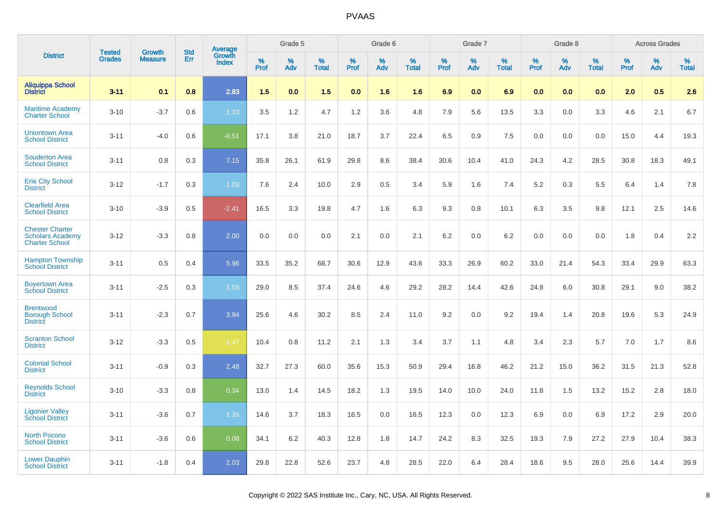|                                                                            | <b>Tested</b> | <b>Growth</b>  | <b>Std</b> | Average                |           | Grade 5  |                   |           | Grade 6  |                   |           | Grade 7  |                   |           | Grade 8  |                   |           | <b>Across Grades</b> |                   |
|----------------------------------------------------------------------------|---------------|----------------|------------|------------------------|-----------|----------|-------------------|-----------|----------|-------------------|-----------|----------|-------------------|-----------|----------|-------------------|-----------|----------------------|-------------------|
| <b>District</b>                                                            | <b>Grades</b> | <b>Measure</b> | Err        | Growth<br><b>Index</b> | %<br>Prof | %<br>Adv | %<br><b>Total</b> | %<br>Prof | %<br>Adv | %<br><b>Total</b> | %<br>Prof | %<br>Adv | %<br><b>Total</b> | %<br>Prof | %<br>Adv | %<br><b>Total</b> | %<br>Prof | %<br>Adv             | %<br><b>Total</b> |
| Aliquippa School<br>District                                               | $3 - 11$      | 0.1            | 0.8        | 2.83                   | 1.5       | 0.0      | 1.5               | 0.0       | 1.6      | 1.6               | 6.9       | 0.0      | 6.9               | 0.0       | 0.0      | 0.0               | 2.0       | 0.5                  | 2.6               |
| <b>Maritime Academy</b><br><b>Charter School</b>                           | $3 - 10$      | $-3.7$         | 0.6        | 1.10                   | 3.5       | 1.2      | 4.7               | 1.2       | 3.6      | 4.8               | 7.9       | 5.6      | 13.5              | 3.3       | 0.0      | 3.3               | 4.6       | 2.1                  | 6.7               |
| <b>Uniontown Area</b><br><b>School District</b>                            | $3 - 11$      | $-4.0$         | 0.6        | $-0.51$                | 17.1      | 3.8      | 21.0              | 18.7      | 3.7      | 22.4              | 6.5       | 0.9      | 7.5               | 0.0       | 0.0      | 0.0               | 15.0      | 4.4                  | 19.3              |
| <b>Souderton Area</b><br><b>School District</b>                            | $3 - 11$      | 0.8            | 0.3        | 7.15                   | 35.8      | 26.1     | 61.9              | 29.8      | 8.6      | 38.4              | 30.6      | 10.4     | 41.0              | 24.3      | 4.2      | 28.5              | 30.8      | 18.3                 | 49.1              |
| <b>Erie City School</b><br><b>District</b>                                 | $3 - 12$      | $-1.7$         | 0.3        | 1.03                   | 7.6       | 2.4      | 10.0              | 2.9       | 0.5      | 3.4               | 5.9       | 1.6      | 7.4               | 5.2       | 0.3      | 5.5               | 6.4       | 1.4                  | 7.8               |
| <b>Clearfield Area</b><br><b>School District</b>                           | $3 - 10$      | $-3.9$         | 0.5        | $-2.41$                | 16.5      | 3.3      | 19.8              | 4.7       | 1.6      | 6.3               | 9.3       | 0.8      | 10.1              | 6.3       | 3.5      | 9.8               | 12.1      | 2.5                  | 14.6              |
| <b>Chester Charter</b><br><b>Scholars Academy</b><br><b>Charter School</b> | $3 - 12$      | $-3.3$         | 0.8        | 2.00                   | 0.0       | 0.0      | 0.0               | 2.1       | 0.0      | 2.1               | 6.2       | 0.0      | 6.2               | 0.0       | 0.0      | 0.0               | 1.8       | 0.4                  | 2.2               |
| <b>Hampton Township</b><br><b>School District</b>                          | $3 - 11$      | 0.5            | 0.4        | 5.96                   | 33.5      | 35.2     | 68.7              | 30.6      | 12.9     | 43.6              | 33.3      | 26.9     | 60.2              | 33.0      | 21.4     | 54.3              | 33.4      | 29.9                 | 63.3              |
| <b>Boyertown Area</b><br><b>School District</b>                            | $3 - 11$      | $-2.5$         | 0.3        | 1.59                   | 29.0      | 8.5      | 37.4              | 24.6      | 4.6      | 29.2              | 28.2      | 14.4     | 42.6              | 24.8      | 6.0      | 30.8              | 29.1      | 9.0                  | 38.2              |
| <b>Brentwood</b><br><b>Borough School</b><br><b>District</b>               | $3 - 11$      | $-2.3$         | 0.7        | 3.94                   | 25.6      | 4.6      | 30.2              | 8.5       | 2.4      | 11.0              | 9.2       | 0.0      | 9.2               | 19.4      | 1.4      | 20.8              | 19.6      | 5.3                  | 24.9              |
| <b>Scranton School</b><br><b>District</b>                                  | $3 - 12$      | $-3.3$         | 0.5        | $-1.47$                | 10.4      | 0.8      | 11.2              | 2.1       | 1.3      | 3.4               | 3.7       | 1.1      | 4.8               | 3.4       | 2.3      | 5.7               | 7.0       | 1.7                  | 8.6               |
| <b>Colonial School</b><br><b>District</b>                                  | $3 - 11$      | $-0.9$         | 0.3        | 2.48                   | 32.7      | 27.3     | 60.0              | 35.6      | 15.3     | 50.9              | 29.4      | 16.8     | 46.2              | 21.2      | 15.0     | 36.2              | 31.5      | 21.3                 | 52.8              |
| <b>Reynolds School</b><br><b>District</b>                                  | $3 - 10$      | $-3.3$         | 0.8        | 0.34                   | 13.0      | 1.4      | 14.5              | 18.2      | 1.3      | 19.5              | 14.0      | 10.0     | 24.0              | 11.8      | 1.5      | 13.2              | 15.2      | 2.8                  | 18.0              |
| <b>Ligonier Valley</b><br><b>School District</b>                           | $3 - 11$      | $-3.6$         | 0.7        | 1.35                   | 14.6      | 3.7      | 18.3              | 16.5      | 0.0      | 16.5              | 12.3      | 0.0      | 12.3              | 6.9       | 0.0      | 6.9               | 17.2      | 2.9                  | 20.0              |
| <b>North Pocono</b><br><b>School District</b>                              | $3 - 11$      | $-3.6$         | 0.6        | 0.08                   | 34.1      | 6.2      | 40.3              | 12.8      | 1.8      | 14.7              | 24.2      | 8.3      | 32.5              | 19.3      | 7.9      | 27.2              | 27.9      | 10.4                 | 38.3              |
| <b>Lower Dauphin</b><br><b>School District</b>                             | $3 - 11$      | $-1.8$         | 0.4        | 2.03                   | 29.8      | 22.8     | 52.6              | 23.7      | 4.8      | 28.5              | 22.0      | 6.4      | 28.4              | 18.6      | 9.5      | 28.0              | 25.6      | 14.4                 | 39.9              |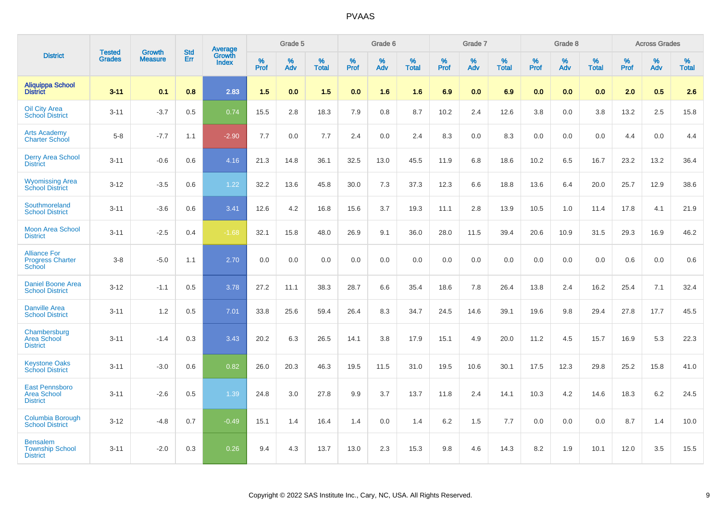|                                                                | <b>Tested</b> | <b>Growth</b>  | <b>Std</b> | Average<br>Growth |                     | Grade 5  |                      |           | Grade 6  |                   |              | Grade 7  |                      |              | Grade 8  |                   |                  | <b>Across Grades</b> |                   |
|----------------------------------------------------------------|---------------|----------------|------------|-------------------|---------------------|----------|----------------------|-----------|----------|-------------------|--------------|----------|----------------------|--------------|----------|-------------------|------------------|----------------------|-------------------|
| <b>District</b>                                                | <b>Grades</b> | <b>Measure</b> | Err        | <b>Index</b>      | $\%$<br><b>Prof</b> | %<br>Adv | $\%$<br><b>Total</b> | %<br>Prof | %<br>Adv | %<br><b>Total</b> | $\%$<br>Prof | %<br>Adv | $\%$<br><b>Total</b> | $\%$<br>Prof | %<br>Adv | %<br><b>Total</b> | %<br><b>Prof</b> | %<br>Adv             | %<br><b>Total</b> |
| <b>Aliquippa School</b><br><b>District</b>                     | $3 - 11$      | 0.1            | 0.8        | 2.83              | 1.5                 | 0.0      | 1.5                  | 0.0       | 1.6      | 1.6               | 6.9          | 0.0      | 6.9                  | 0.0          | 0.0      | 0.0               | 2.0              | 0.5                  | 2.6               |
| <b>Oil City Area</b><br><b>School District</b>                 | $3 - 11$      | $-3.7$         | 0.5        | 0.74              | 15.5                | 2.8      | 18.3                 | 7.9       | 0.8      | 8.7               | 10.2         | 2.4      | 12.6                 | 3.8          | 0.0      | 3.8               | 13.2             | 2.5                  | 15.8              |
| <b>Arts Academy</b><br>Charter School                          | $5 - 8$       | $-7.7$         | 1.1        | $-2.90$           | 7.7                 | 0.0      | 7.7                  | 2.4       | 0.0      | 2.4               | 8.3          | 0.0      | 8.3                  | 0.0          | 0.0      | 0.0               | 4.4              | 0.0                  | 4.4               |
| <b>Derry Area School</b><br><b>District</b>                    | $3 - 11$      | $-0.6$         | 0.6        | 4.16              | 21.3                | 14.8     | 36.1                 | 32.5      | 13.0     | 45.5              | 11.9         | 6.8      | 18.6                 | 10.2         | 6.5      | 16.7              | 23.2             | 13.2                 | 36.4              |
| <b>Wyomissing Area</b><br><b>School District</b>               | $3 - 12$      | $-3.5$         | 0.6        | 1.22              | 32.2                | 13.6     | 45.8                 | 30.0      | 7.3      | 37.3              | 12.3         | 6.6      | 18.8                 | 13.6         | 6.4      | 20.0              | 25.7             | 12.9                 | 38.6              |
| Southmoreland<br><b>School District</b>                        | $3 - 11$      | $-3.6$         | 0.6        | 3.41              | 12.6                | 4.2      | 16.8                 | 15.6      | 3.7      | 19.3              | 11.1         | 2.8      | 13.9                 | 10.5         | 1.0      | 11.4              | 17.8             | 4.1                  | 21.9              |
| <b>Moon Area School</b><br><b>District</b>                     | $3 - 11$      | $-2.5$         | 0.4        | $-1.68$           | 32.1                | 15.8     | 48.0                 | 26.9      | 9.1      | 36.0              | 28.0         | 11.5     | 39.4                 | 20.6         | 10.9     | 31.5              | 29.3             | 16.9                 | 46.2              |
| <b>Alliance For</b><br><b>Progress Charter</b><br>School       | $3 - 8$       | $-5.0$         | 1.1        | 2.70              | 0.0                 | 0.0      | 0.0                  | 0.0       | 0.0      | 0.0               | 0.0          | 0.0      | 0.0                  | 0.0          | 0.0      | 0.0               | 0.6              | 0.0                  | 0.6               |
| <b>Daniel Boone Area</b><br><b>School District</b>             | $3 - 12$      | $-1.1$         | 0.5        | 3.78              | 27.2                | 11.1     | 38.3                 | 28.7      | 6.6      | 35.4              | 18.6         | 7.8      | 26.4                 | 13.8         | 2.4      | 16.2              | 25.4             | 7.1                  | 32.4              |
| <b>Danville Area</b><br><b>School District</b>                 | $3 - 11$      | 1.2            | 0.5        | 7.01              | 33.8                | 25.6     | 59.4                 | 26.4      | 8.3      | 34.7              | 24.5         | 14.6     | 39.1                 | 19.6         | 9.8      | 29.4              | 27.8             | 17.7                 | 45.5              |
| Chambersburg<br><b>Area School</b><br><b>District</b>          | $3 - 11$      | $-1.4$         | 0.3        | 3.43              | 20.2                | 6.3      | 26.5                 | 14.1      | 3.8      | 17.9              | 15.1         | 4.9      | 20.0                 | 11.2         | 4.5      | 15.7              | 16.9             | 5.3                  | 22.3              |
| <b>Keystone Oaks</b><br><b>School District</b>                 | $3 - 11$      | $-3.0$         | 0.6        | 0.82              | 26.0                | 20.3     | 46.3                 | 19.5      | 11.5     | 31.0              | 19.5         | 10.6     | 30.1                 | 17.5         | 12.3     | 29.8              | 25.2             | 15.8                 | 41.0              |
| <b>East Pennsboro</b><br><b>Area School</b><br><b>District</b> | $3 - 11$      | $-2.6$         | 0.5        | 1.39              | 24.8                | 3.0      | 27.8                 | 9.9       | 3.7      | 13.7              | 11.8         | 2.4      | 14.1                 | 10.3         | 4.2      | 14.6              | 18.3             | $6.2\,$              | 24.5              |
| Columbia Borough<br><b>School District</b>                     | $3 - 12$      | $-4.8$         | 0.7        | $-0.49$           | 15.1                | 1.4      | 16.4                 | 1.4       | 0.0      | 1.4               | 6.2          | 1.5      | 7.7                  | 0.0          | 0.0      | 0.0               | 8.7              | 1.4                  | 10.0              |
| <b>Bensalem</b><br><b>Township School</b><br><b>District</b>   | $3 - 11$      | $-2.0$         | 0.3        | 0.26              | 9.4                 | 4.3      | 13.7                 | 13.0      | 2.3      | 15.3              | 9.8          | 4.6      | 14.3                 | 8.2          | 1.9      | 10.1              | 12.0             | 3.5                  | 15.5              |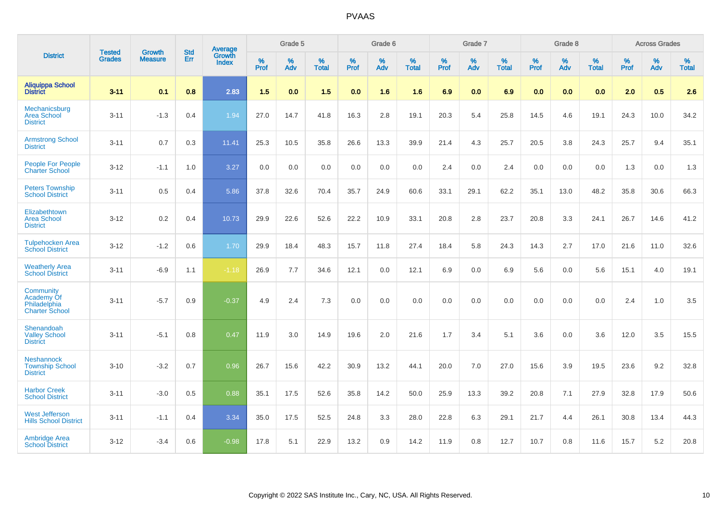|                                                                  | <b>Tested</b> | <b>Growth</b>  | <b>Std</b> | Average                       |              | Grade 5  |                   |           | Grade 6  |                   |           | Grade 7  |                   |           | Grade 8  |                   |           | <b>Across Grades</b> |                   |
|------------------------------------------------------------------|---------------|----------------|------------|-------------------------------|--------------|----------|-------------------|-----------|----------|-------------------|-----------|----------|-------------------|-----------|----------|-------------------|-----------|----------------------|-------------------|
| <b>District</b>                                                  | <b>Grades</b> | <b>Measure</b> | <b>Err</b> | <b>Growth</b><br><b>Index</b> | $\%$<br>Prof | %<br>Adv | %<br><b>Total</b> | %<br>Prof | %<br>Adv | %<br><b>Total</b> | %<br>Prof | %<br>Adv | %<br><b>Total</b> | %<br>Prof | %<br>Adv | %<br><b>Total</b> | %<br>Prof | %<br>Adv             | %<br><b>Total</b> |
| <b>Aliquippa School</b><br><b>District</b>                       | $3 - 11$      | 0.1            | 0.8        | 2.83                          | 1.5          | 0.0      | 1.5               | 0.0       | 1.6      | 1.6               | 6.9       | 0.0      | 6.9               | 0.0       | 0.0      | 0.0               | 2.0       | 0.5                  | 2.6               |
| Mechanicsburg<br><b>Area School</b><br><b>District</b>           | $3 - 11$      | $-1.3$         | 0.4        | 1.94                          | 27.0         | 14.7     | 41.8              | 16.3      | 2.8      | 19.1              | 20.3      | 5.4      | 25.8              | 14.5      | 4.6      | 19.1              | 24.3      | 10.0                 | 34.2              |
| <b>Armstrong School</b><br><b>District</b>                       | $3 - 11$      | 0.7            | 0.3        | 11.41                         | 25.3         | 10.5     | 35.8              | 26.6      | 13.3     | 39.9              | 21.4      | 4.3      | 25.7              | 20.5      | 3.8      | 24.3              | 25.7      | 9.4                  | 35.1              |
| <b>People For People</b><br><b>Charter School</b>                | $3 - 12$      | $-1.1$         | 1.0        | 3.27                          | 0.0          | 0.0      | 0.0               | 0.0       | 0.0      | 0.0               | 2.4       | 0.0      | 2.4               | 0.0       | 0.0      | 0.0               | 1.3       | 0.0                  | 1.3               |
| <b>Peters Township</b><br><b>School District</b>                 | $3 - 11$      | 0.5            | 0.4        | 5.86                          | 37.8         | 32.6     | 70.4              | 35.7      | 24.9     | 60.6              | 33.1      | 29.1     | 62.2              | 35.1      | 13.0     | 48.2              | 35.8      | 30.6                 | 66.3              |
| Elizabethtown<br><b>Area School</b><br><b>District</b>           | $3 - 12$      | 0.2            | 0.4        | 10.73                         | 29.9         | 22.6     | 52.6              | 22.2      | 10.9     | 33.1              | 20.8      | 2.8      | 23.7              | 20.8      | 3.3      | 24.1              | 26.7      | 14.6                 | 41.2              |
| <b>Tulpehocken Area</b><br><b>School District</b>                | $3 - 12$      | $-1.2$         | 0.6        | 1.70                          | 29.9         | 18.4     | 48.3              | 15.7      | 11.8     | 27.4              | 18.4      | 5.8      | 24.3              | 14.3      | 2.7      | 17.0              | 21.6      | 11.0                 | 32.6              |
| <b>Weatherly Area</b><br><b>School District</b>                  | $3 - 11$      | $-6.9$         | 1.1        | $-1.18$                       | 26.9         | 7.7      | 34.6              | 12.1      | 0.0      | 12.1              | 6.9       | $0.0\,$  | 6.9               | 5.6       | $0.0\,$  | 5.6               | 15.1      | 4.0                  | 19.1              |
| Community<br>Academy Of<br>Philadelphia<br><b>Charter School</b> | $3 - 11$      | $-5.7$         | 0.9        | $-0.37$                       | 4.9          | 2.4      | 7.3               | 0.0       | 0.0      | 0.0               | 0.0       | 0.0      | 0.0               | 0.0       | 0.0      | 0.0               | 2.4       | $1.0$                | 3.5               |
| Shenandoah<br><b>Valley School</b><br><b>District</b>            | $3 - 11$      | $-5.1$         | 0.8        | 0.47                          | 11.9         | 3.0      | 14.9              | 19.6      | 2.0      | 21.6              | 1.7       | 3.4      | 5.1               | 3.6       | 0.0      | 3.6               | 12.0      | 3.5                  | 15.5              |
| <b>Neshannock</b><br><b>Township School</b><br><b>District</b>   | $3 - 10$      | $-3.2$         | 0.7        | 0.96                          | 26.7         | 15.6     | 42.2              | 30.9      | 13.2     | 44.1              | 20.0      | 7.0      | 27.0              | 15.6      | 3.9      | 19.5              | 23.6      | 9.2                  | 32.8              |
| <b>Harbor Creek</b><br><b>School District</b>                    | $3 - 11$      | $-3.0$         | 0.5        | 0.88                          | 35.1         | 17.5     | 52.6              | 35.8      | 14.2     | 50.0              | 25.9      | 13.3     | 39.2              | 20.8      | 7.1      | 27.9              | 32.8      | 17.9                 | 50.6              |
| <b>West Jefferson</b><br><b>Hills School District</b>            | $3 - 11$      | $-1.1$         | 0.4        | 3.34                          | 35.0         | 17.5     | 52.5              | 24.8      | 3.3      | 28.0              | 22.8      | 6.3      | 29.1              | 21.7      | 4.4      | 26.1              | 30.8      | 13.4                 | 44.3              |
| <b>Ambridge Area</b><br><b>School District</b>                   | $3 - 12$      | $-3.4$         | 0.6        | $-0.98$                       | 17.8         | 5.1      | 22.9              | 13.2      | 0.9      | 14.2              | 11.9      | 0.8      | 12.7              | 10.7      | 0.8      | 11.6              | 15.7      | 5.2                  | 20.8              |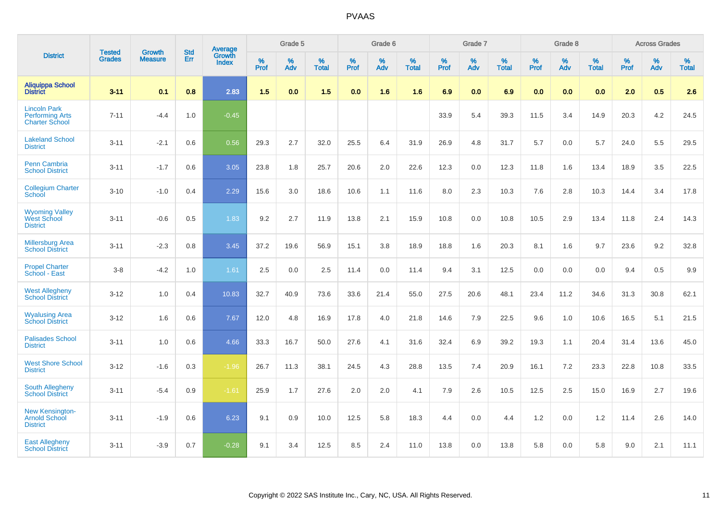|                                                                        | <b>Tested</b> | <b>Growth</b>  | <b>Std</b> | Average                       |           | Grade 5  |                   |           | Grade 6  |                   |           | Grade 7  |                   |           | Grade 8  |                   |           | <b>Across Grades</b> |                   |
|------------------------------------------------------------------------|---------------|----------------|------------|-------------------------------|-----------|----------|-------------------|-----------|----------|-------------------|-----------|----------|-------------------|-----------|----------|-------------------|-----------|----------------------|-------------------|
| <b>District</b>                                                        | <b>Grades</b> | <b>Measure</b> | Err        | <b>Growth</b><br><b>Index</b> | %<br>Prof | %<br>Adv | %<br><b>Total</b> | %<br>Prof | %<br>Adv | %<br><b>Total</b> | %<br>Prof | %<br>Adv | %<br><b>Total</b> | %<br>Prof | %<br>Adv | %<br><b>Total</b> | %<br>Prof | %<br>Adv             | %<br><b>Total</b> |
| <b>Aliquippa School</b><br><b>District</b>                             | $3 - 11$      | 0.1            | 0.8        | 2.83                          | 1.5       | 0.0      | 1.5               | 0.0       | 1.6      | 1.6               | 6.9       | 0.0      | 6.9               | 0.0       | 0.0      | 0.0               | 2.0       | 0.5                  | 2.6               |
| <b>Lincoln Park</b><br><b>Performing Arts</b><br><b>Charter School</b> | $7 - 11$      | $-4.4$         | 1.0        | $-0.45$                       |           |          |                   |           |          |                   | 33.9      | 5.4      | 39.3              | 11.5      | 3.4      | 14.9              | 20.3      | 4.2                  | 24.5              |
| <b>Lakeland School</b><br><b>District</b>                              | $3 - 11$      | $-2.1$         | 0.6        | 0.56                          | 29.3      | 2.7      | 32.0              | 25.5      | 6.4      | 31.9              | 26.9      | 4.8      | 31.7              | 5.7       | 0.0      | 5.7               | 24.0      | 5.5                  | 29.5              |
| <b>Penn Cambria</b><br><b>School District</b>                          | $3 - 11$      | $-1.7$         | 0.6        | 3.05                          | 23.8      | 1.8      | 25.7              | 20.6      | 2.0      | 22.6              | 12.3      | 0.0      | 12.3              | 11.8      | 1.6      | 13.4              | 18.9      | 3.5                  | 22.5              |
| <b>Collegium Charter</b><br>School                                     | $3 - 10$      | $-1.0$         | 0.4        | 2.29                          | 15.6      | 3.0      | 18.6              | 10.6      | 1.1      | 11.6              | 8.0       | 2.3      | 10.3              | 7.6       | 2.8      | 10.3              | 14.4      | 3.4                  | 17.8              |
| <b>Wyoming Valley</b><br>West School<br><b>District</b>                | $3 - 11$      | $-0.6$         | 0.5        | 1.83                          | 9.2       | 2.7      | 11.9              | 13.8      | 2.1      | 15.9              | 10.8      | 0.0      | 10.8              | 10.5      | 2.9      | 13.4              | 11.8      | 2.4                  | 14.3              |
| <b>Millersburg Area</b><br><b>School District</b>                      | $3 - 11$      | $-2.3$         | 0.8        | 3.45                          | 37.2      | 19.6     | 56.9              | 15.1      | 3.8      | 18.9              | 18.8      | 1.6      | 20.3              | 8.1       | 1.6      | 9.7               | 23.6      | 9.2                  | 32.8              |
| <b>Propel Charter</b><br>School - East                                 | $3 - 8$       | $-4.2$         | 1.0        | 1.61                          | 2.5       | 0.0      | 2.5               | 11.4      | 0.0      | 11.4              | 9.4       | 3.1      | 12.5              | 0.0       | 0.0      | 0.0               | 9.4       | 0.5                  | 9.9               |
| <b>West Allegheny</b><br><b>School District</b>                        | $3 - 12$      | 1.0            | 0.4        | 10.83                         | 32.7      | 40.9     | 73.6              | 33.6      | 21.4     | 55.0              | 27.5      | 20.6     | 48.1              | 23.4      | 11.2     | 34.6              | 31.3      | 30.8                 | 62.1              |
| <b>Wyalusing Area</b><br><b>School District</b>                        | $3 - 12$      | 1.6            | 0.6        | 7.67                          | 12.0      | 4.8      | 16.9              | 17.8      | 4.0      | 21.8              | 14.6      | 7.9      | 22.5              | 9.6       | 1.0      | 10.6              | 16.5      | 5.1                  | 21.5              |
| <b>Palisades School</b><br><b>District</b>                             | $3 - 11$      | 1.0            | 0.6        | 4.66                          | 33.3      | 16.7     | 50.0              | 27.6      | 4.1      | 31.6              | 32.4      | 6.9      | 39.2              | 19.3      | 1.1      | 20.4              | 31.4      | 13.6                 | 45.0              |
| <b>West Shore School</b><br><b>District</b>                            | $3 - 12$      | $-1.6$         | 0.3        | $-1.96$                       | 26.7      | 11.3     | 38.1              | 24.5      | 4.3      | 28.8              | 13.5      | 7.4      | 20.9              | 16.1      | 7.2      | 23.3              | 22.8      | 10.8                 | 33.5              |
| <b>South Allegheny</b><br><b>School District</b>                       | $3 - 11$      | $-5.4$         | 0.9        | $-1.61$                       | 25.9      | 1.7      | 27.6              | 2.0       | 2.0      | 4.1               | 7.9       | 2.6      | 10.5              | 12.5      | 2.5      | 15.0              | 16.9      | 2.7                  | 19.6              |
| <b>New Kensington-</b><br><b>Arnold School</b><br><b>District</b>      | $3 - 11$      | $-1.9$         | 0.6        | 6.23                          | 9.1       | 0.9      | 10.0              | 12.5      | 5.8      | 18.3              | 4.4       | $0.0\,$  | 4.4               | 1.2       | $0.0\,$  | 1.2               | 11.4      | 2.6                  | 14.0              |
| <b>East Allegheny</b><br><b>School District</b>                        | $3 - 11$      | $-3.9$         | 0.7        | $-0.28$                       | 9.1       | 3.4      | 12.5              | 8.5       | 2.4      | 11.0              | 13.8      | 0.0      | 13.8              | 5.8       | 0.0      | 5.8               | 9.0       | 2.1                  | 11.1              |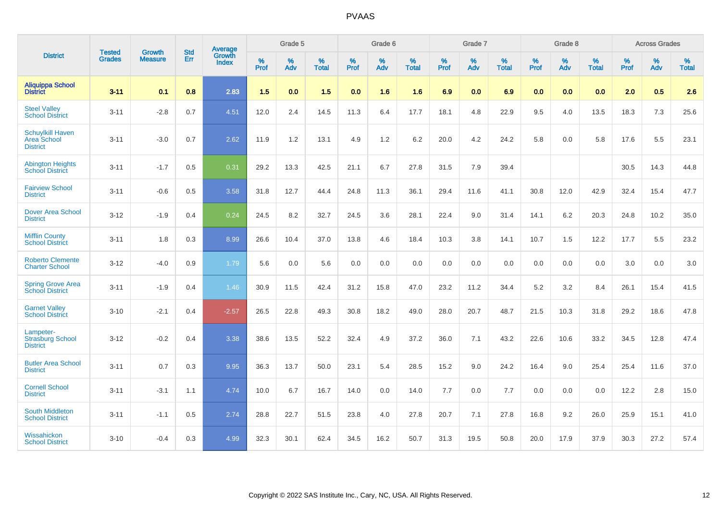|                                                                  | <b>Tested</b> | <b>Growth</b>  | <b>Std</b> | Average                |                  | Grade 5  |                   |                  | Grade 6  |                   |           | Grade 7  |                   |           | Grade 8  |                   |           | <b>Across Grades</b> |                   |
|------------------------------------------------------------------|---------------|----------------|------------|------------------------|------------------|----------|-------------------|------------------|----------|-------------------|-----------|----------|-------------------|-----------|----------|-------------------|-----------|----------------------|-------------------|
| <b>District</b>                                                  | <b>Grades</b> | <b>Measure</b> | Err        | Growth<br><b>Index</b> | %<br><b>Prof</b> | %<br>Adv | %<br><b>Total</b> | %<br><b>Prof</b> | %<br>Adv | %<br><b>Total</b> | %<br>Prof | %<br>Adv | %<br><b>Total</b> | %<br>Prof | %<br>Adv | %<br><b>Total</b> | %<br>Prof | %<br>Adv             | %<br><b>Total</b> |
| <b>Aliquippa School</b><br><b>District</b>                       | $3 - 11$      | 0.1            | 0.8        | 2.83                   | 1.5              | 0.0      | 1.5               | 0.0              | 1.6      | 1.6               | 6.9       | 0.0      | 6.9               | 0.0       | 0.0      | 0.0               | 2.0       | 0.5                  | 2.6               |
| <b>Steel Valley</b><br><b>School District</b>                    | $3 - 11$      | $-2.8$         | 0.7        | 4.51                   | 12.0             | 2.4      | 14.5              | 11.3             | 6.4      | 17.7              | 18.1      | 4.8      | 22.9              | 9.5       | 4.0      | 13.5              | 18.3      | 7.3                  | 25.6              |
| <b>Schuylkill Haven</b><br><b>Area School</b><br><b>District</b> | $3 - 11$      | $-3.0$         | 0.7        | 2.62                   | 11.9             | 1.2      | 13.1              | 4.9              | 1.2      | 6.2               | 20.0      | 4.2      | 24.2              | 5.8       | 0.0      | 5.8               | 17.6      | 5.5                  | 23.1              |
| <b>Abington Heights</b><br><b>School District</b>                | $3 - 11$      | $-1.7$         | 0.5        | 0.31                   | 29.2             | 13.3     | 42.5              | 21.1             | 6.7      | 27.8              | 31.5      | 7.9      | 39.4              |           |          |                   | 30.5      | 14.3                 | 44.8              |
| <b>Fairview School</b><br><b>District</b>                        | $3 - 11$      | $-0.6$         | 0.5        | 3.58                   | 31.8             | 12.7     | 44.4              | 24.8             | 11.3     | 36.1              | 29.4      | 11.6     | 41.1              | 30.8      | 12.0     | 42.9              | 32.4      | 15.4                 | 47.7              |
| <b>Dover Area School</b><br><b>District</b>                      | $3 - 12$      | $-1.9$         | 0.4        | 0.24                   | 24.5             | 8.2      | 32.7              | 24.5             | 3.6      | 28.1              | 22.4      | 9.0      | 31.4              | 14.1      | $6.2\,$  | 20.3              | 24.8      | 10.2                 | 35.0              |
| <b>Mifflin County</b><br><b>School District</b>                  | $3 - 11$      | 1.8            | 0.3        | 8.99                   | 26.6             | 10.4     | 37.0              | 13.8             | 4.6      | 18.4              | 10.3      | 3.8      | 14.1              | 10.7      | 1.5      | 12.2              | 17.7      | 5.5                  | 23.2              |
| <b>Roberto Clemente</b><br><b>Charter School</b>                 | $3 - 12$      | $-4.0$         | 0.9        | 1.79                   | 5.6              | 0.0      | 5.6               | 0.0              | 0.0      | 0.0               | 0.0       | 0.0      | 0.0               | 0.0       | 0.0      | 0.0               | 3.0       | 0.0                  | 3.0               |
| <b>Spring Grove Area</b><br><b>School District</b>               | $3 - 11$      | $-1.9$         | 0.4        | 1.46                   | 30.9             | 11.5     | 42.4              | 31.2             | 15.8     | 47.0              | 23.2      | 11.2     | 34.4              | 5.2       | 3.2      | 8.4               | 26.1      | 15.4                 | 41.5              |
| <b>Garnet Valley</b><br><b>School District</b>                   | $3 - 10$      | $-2.1$         | 0.4        | $-2.57$                | 26.5             | 22.8     | 49.3              | 30.8             | 18.2     | 49.0              | 28.0      | 20.7     | 48.7              | 21.5      | 10.3     | 31.8              | 29.2      | 18.6                 | 47.8              |
| Lampeter-<br><b>Strasburg School</b><br><b>District</b>          | $3 - 12$      | $-0.2$         | 0.4        | 3.38                   | 38.6             | 13.5     | 52.2              | 32.4             | 4.9      | 37.2              | 36.0      | 7.1      | 43.2              | 22.6      | 10.6     | 33.2              | 34.5      | 12.8                 | 47.4              |
| <b>Butler Area School</b><br><b>District</b>                     | $3 - 11$      | 0.7            | 0.3        | 9.95                   | 36.3             | 13.7     | 50.0              | 23.1             | 5.4      | 28.5              | 15.2      | 9.0      | 24.2              | 16.4      | 9.0      | 25.4              | 25.4      | 11.6                 | 37.0              |
| <b>Cornell School</b><br><b>District</b>                         | $3 - 11$      | $-3.1$         | 1.1        | 4.74                   | 10.0             | 6.7      | 16.7              | 14.0             | 0.0      | 14.0              | $7.7$     | 0.0      | 7.7               | 0.0       | 0.0      | 0.0               | 12.2      | $2.8\,$              | 15.0              |
| <b>South Middleton</b><br><b>School District</b>                 | $3 - 11$      | $-1.1$         | 0.5        | 2.74                   | 28.8             | 22.7     | 51.5              | 23.8             | 4.0      | 27.8              | 20.7      | 7.1      | 27.8              | 16.8      | 9.2      | 26.0              | 25.9      | 15.1                 | 41.0              |
| Wissahickon<br><b>School District</b>                            | $3 - 10$      | $-0.4$         | 0.3        | 4.99                   | 32.3             | 30.1     | 62.4              | 34.5             | 16.2     | 50.7              | 31.3      | 19.5     | 50.8              | 20.0      | 17.9     | 37.9              | 30.3      | 27.2                 | 57.4              |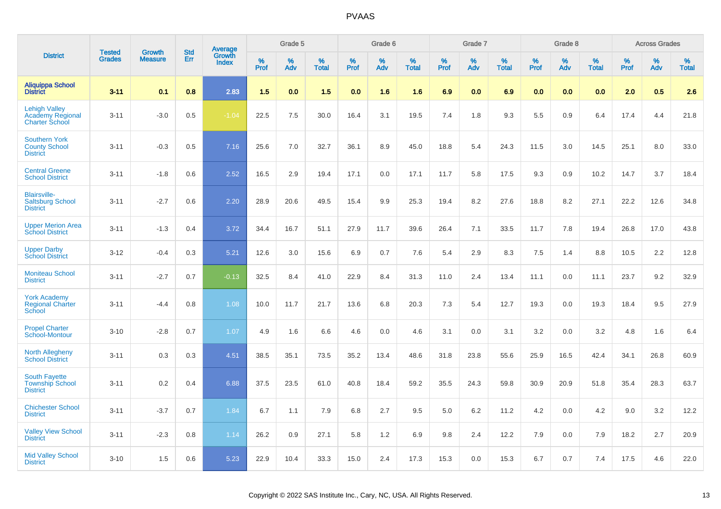|                                                                          | <b>Tested</b> | <b>Growth</b>  | <b>Std</b> |                                   |                  | Grade 5  |                   |           | Grade 6  |                   |           | Grade 7  |                   |           | Grade 8  |                   |              | <b>Across Grades</b> |                   |
|--------------------------------------------------------------------------|---------------|----------------|------------|-----------------------------------|------------------|----------|-------------------|-----------|----------|-------------------|-----------|----------|-------------------|-----------|----------|-------------------|--------------|----------------------|-------------------|
| <b>District</b>                                                          | <b>Grades</b> | <b>Measure</b> | Err        | Average<br>Growth<br><b>Index</b> | %<br><b>Prof</b> | %<br>Adv | %<br><b>Total</b> | %<br>Prof | %<br>Adv | %<br><b>Total</b> | %<br>Prof | %<br>Adv | %<br><b>Total</b> | %<br>Prof | %<br>Adv | %<br><b>Total</b> | $\%$<br>Prof | %<br>Adv             | %<br><b>Total</b> |
| <b>Aliquippa School</b><br><b>District</b>                               | $3 - 11$      | 0.1            | 0.8        | 2.83                              | 1.5              | 0.0      | 1.5               | 0.0       | 1.6      | 1.6               | 6.9       | 0.0      | 6.9               | 0.0       | 0.0      | 0.0               | 2.0          | 0.5                  | 2.6               |
| <b>Lehigh Valley</b><br><b>Academy Regional</b><br><b>Charter School</b> | $3 - 11$      | $-3.0$         | 0.5        | $-1.04$                           | 22.5             | 7.5      | 30.0              | 16.4      | 3.1      | 19.5              | 7.4       | 1.8      | 9.3               | 5.5       | 0.9      | 6.4               | 17.4         | 4.4                  | 21.8              |
| <b>Southern York</b><br><b>County School</b><br><b>District</b>          | $3 - 11$      | $-0.3$         | 0.5        | 7.16                              | 25.6             | 7.0      | 32.7              | 36.1      | 8.9      | 45.0              | 18.8      | 5.4      | 24.3              | 11.5      | 3.0      | 14.5              | 25.1         | 8.0                  | 33.0              |
| <b>Central Greene</b><br><b>School District</b>                          | $3 - 11$      | $-1.8$         | 0.6        | 2.52                              | 16.5             | 2.9      | 19.4              | 17.1      | 0.0      | 17.1              | 11.7      | 5.8      | 17.5              | 9.3       | 0.9      | 10.2              | 14.7         | 3.7                  | 18.4              |
| <b>Blairsville-</b><br><b>Saltsburg School</b><br><b>District</b>        | $3 - 11$      | $-2.7$         | 0.6        | 2.20                              | 28.9             | 20.6     | 49.5              | 15.4      | 9.9      | 25.3              | 19.4      | 8.2      | 27.6              | 18.8      | 8.2      | 27.1              | 22.2         | 12.6                 | 34.8              |
| <b>Upper Merion Area</b><br><b>School District</b>                       | $3 - 11$      | $-1.3$         | 0.4        | 3.72                              | 34.4             | 16.7     | 51.1              | 27.9      | 11.7     | 39.6              | 26.4      | 7.1      | 33.5              | 11.7      | 7.8      | 19.4              | 26.8         | 17.0                 | 43.8              |
| <b>Upper Darby</b><br><b>School District</b>                             | $3 - 12$      | $-0.4$         | 0.3        | 5.21                              | 12.6             | 3.0      | 15.6              | 6.9       | 0.7      | 7.6               | 5.4       | 2.9      | 8.3               | 7.5       | 1.4      | 8.8               | 10.5         | 2.2                  | 12.8              |
| <b>Moniteau School</b><br><b>District</b>                                | $3 - 11$      | $-2.7$         | 0.7        | $-0.13$                           | 32.5             | 8.4      | 41.0              | 22.9      | 8.4      | 31.3              | 11.0      | 2.4      | 13.4              | 11.1      | 0.0      | 11.1              | 23.7         | 9.2                  | 32.9              |
| <b>York Academy</b><br><b>Regional Charter</b><br>School                 | $3 - 11$      | $-4.4$         | 0.8        | 1.08                              | 10.0             | 11.7     | 21.7              | 13.6      | 6.8      | 20.3              | 7.3       | 5.4      | 12.7              | 19.3      | 0.0      | 19.3              | 18.4         | 9.5                  | 27.9              |
| <b>Propel Charter</b><br>School-Montour                                  | $3 - 10$      | $-2.8$         | 0.7        | 1.07                              | 4.9              | 1.6      | 6.6               | 4.6       | 0.0      | 4.6               | 3.1       | 0.0      | 3.1               | 3.2       | 0.0      | 3.2               | 4.8          | 1.6                  | 6.4               |
| <b>North Allegheny</b><br><b>School District</b>                         | $3 - 11$      | 0.3            | 0.3        | 4.51                              | 38.5             | 35.1     | 73.5              | 35.2      | 13.4     | 48.6              | 31.8      | 23.8     | 55.6              | 25.9      | 16.5     | 42.4              | 34.1         | 26.8                 | 60.9              |
| <b>South Fayette</b><br><b>Township School</b><br><b>District</b>        | $3 - 11$      | 0.2            | 0.4        | 6.88                              | 37.5             | 23.5     | 61.0              | 40.8      | 18.4     | 59.2              | 35.5      | 24.3     | 59.8              | 30.9      | 20.9     | 51.8              | 35.4         | 28.3                 | 63.7              |
| <b>Chichester School</b><br><b>District</b>                              | $3 - 11$      | $-3.7$         | 0.7        | 1.84                              | 6.7              | 1.1      | 7.9               | 6.8       | 2.7      | 9.5               | 5.0       | 6.2      | 11.2              | 4.2       | 0.0      | 4.2               | 9.0          | 3.2                  | 12.2              |
| <b>Valley View School</b><br><b>District</b>                             | $3 - 11$      | $-2.3$         | 0.8        | 1.14                              | 26.2             | 0.9      | 27.1              | 5.8       | 1.2      | 6.9               | 9.8       | 2.4      | 12.2              | 7.9       | 0.0      | 7.9               | 18.2         | 2.7                  | 20.9              |
| <b>Mid Valley School</b><br><b>District</b>                              | $3 - 10$      | 1.5            | 0.6        | 5.23                              | 22.9             | 10.4     | 33.3              | 15.0      | 2.4      | 17.3              | 15.3      | 0.0      | 15.3              | 6.7       | 0.7      | 7.4               | 17.5         | 4.6                  | 22.0              |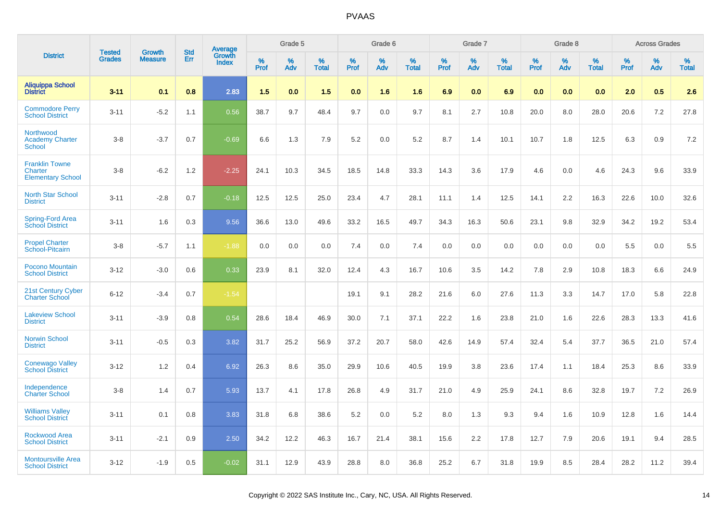|                                                              | <b>Tested</b> | <b>Growth</b>  | <b>Std</b> |                                          |              | Grade 5  |                   |              | Grade 6  |                   |              | Grade 7  |                   |              | Grade 8  |                   |              | <b>Across Grades</b> |                   |
|--------------------------------------------------------------|---------------|----------------|------------|------------------------------------------|--------------|----------|-------------------|--------------|----------|-------------------|--------------|----------|-------------------|--------------|----------|-------------------|--------------|----------------------|-------------------|
| <b>District</b>                                              | <b>Grades</b> | <b>Measure</b> | Err        | <b>Average</b><br>Growth<br><b>Index</b> | $\%$<br>Prof | %<br>Adv | %<br><b>Total</b> | $\%$<br>Prof | %<br>Adv | %<br><b>Total</b> | $\%$<br>Prof | %<br>Adv | %<br><b>Total</b> | $\%$<br>Prof | %<br>Adv | %<br><b>Total</b> | $\%$<br>Prof | %<br>Adv             | %<br><b>Total</b> |
| Aliquippa School<br>District                                 | $3 - 11$      | 0.1            | 0.8        | 2.83                                     | 1.5          | 0.0      | 1.5               | 0.0          | 1.6      | 1.6               | 6.9          | 0.0      | 6.9               | 0.0          | 0.0      | 0.0               | 2.0          | 0.5                  | 2.6               |
| <b>Commodore Perry</b><br><b>School District</b>             | $3 - 11$      | $-5.2$         | 1.1        | 0.56                                     | 38.7         | 9.7      | 48.4              | 9.7          | 0.0      | 9.7               | 8.1          | 2.7      | 10.8              | 20.0         | 8.0      | 28.0              | 20.6         | 7.2                  | 27.8              |
| Northwood<br><b>Academy Charter</b><br><b>School</b>         | $3 - 8$       | $-3.7$         | 0.7        | $-0.69$                                  | 6.6          | 1.3      | 7.9               | 5.2          | 0.0      | 5.2               | 8.7          | 1.4      | 10.1              | 10.7         | 1.8      | 12.5              | 6.3          | 0.9                  | 7.2               |
| <b>Franklin Towne</b><br>Charter<br><b>Elementary School</b> | $3 - 8$       | $-6.2$         | 1.2        | $-2.25$                                  | 24.1         | 10.3     | 34.5              | 18.5         | 14.8     | 33.3              | 14.3         | 3.6      | 17.9              | 4.6          | 0.0      | 4.6               | 24.3         | 9.6                  | 33.9              |
| <b>North Star School</b><br><b>District</b>                  | $3 - 11$      | $-2.8$         | 0.7        | $-0.18$                                  | 12.5         | 12.5     | 25.0              | 23.4         | 4.7      | 28.1              | 11.1         | 1.4      | 12.5              | 14.1         | 2.2      | 16.3              | 22.6         | 10.0                 | 32.6              |
| Spring-Ford Area<br>School District                          | $3 - 11$      | 1.6            | 0.3        | 9.56                                     | 36.6         | 13.0     | 49.6              | 33.2         | 16.5     | 49.7              | 34.3         | 16.3     | 50.6              | 23.1         | 9.8      | 32.9              | 34.2         | 19.2                 | 53.4              |
| <b>Propel Charter</b><br>School-Pitcairn                     | $3 - 8$       | $-5.7$         | 1.1        | $-1.88$                                  | 0.0          | 0.0      | 0.0               | 7.4          | 0.0      | 7.4               | 0.0          | 0.0      | 0.0               | 0.0          | 0.0      | 0.0               | 5.5          | 0.0                  | 5.5               |
| Pocono Mountain<br><b>School District</b>                    | $3 - 12$      | $-3.0$         | 0.6        | 0.33                                     | 23.9         | 8.1      | 32.0              | 12.4         | 4.3      | 16.7              | 10.6         | 3.5      | 14.2              | 7.8          | 2.9      | 10.8              | 18.3         | 6.6                  | 24.9              |
| 21st Century Cyber<br><b>Charter School</b>                  | $6 - 12$      | $-3.4$         | 0.7        | $-1.54$                                  |              |          |                   | 19.1         | 9.1      | 28.2              | 21.6         | 6.0      | 27.6              | 11.3         | 3.3      | 14.7              | 17.0         | 5.8                  | 22.8              |
| <b>Lakeview School</b><br><b>District</b>                    | $3 - 11$      | $-3.9$         | 0.8        | 0.54                                     | 28.6         | 18.4     | 46.9              | 30.0         | 7.1      | 37.1              | 22.2         | 1.6      | 23.8              | 21.0         | 1.6      | 22.6              | 28.3         | 13.3                 | 41.6              |
| Norwin School<br><b>District</b>                             | $3 - 11$      | $-0.5$         | 0.3        | 3.82                                     | 31.7         | 25.2     | 56.9              | 37.2         | 20.7     | 58.0              | 42.6         | 14.9     | 57.4              | 32.4         | 5.4      | 37.7              | 36.5         | 21.0                 | 57.4              |
| <b>Conewago Valley</b><br><b>School District</b>             | $3 - 12$      | 1.2            | 0.4        | 6.92                                     | 26.3         | 8.6      | 35.0              | 29.9         | 10.6     | 40.5              | 19.9         | 3.8      | 23.6              | 17.4         | 1.1      | 18.4              | 25.3         | 8.6                  | 33.9              |
| Independence<br><b>Charter School</b>                        | $3 - 8$       | 1.4            | 0.7        | 5.93                                     | 13.7         | 4.1      | 17.8              | 26.8         | 4.9      | 31.7              | 21.0         | 4.9      | 25.9              | 24.1         | 8.6      | 32.8              | 19.7         | 7.2                  | 26.9              |
| <b>Williams Valley</b><br><b>School District</b>             | $3 - 11$      | 0.1            | 0.8        | 3.83                                     | 31.8         | 6.8      | 38.6              | 5.2          | 0.0      | 5.2               | 8.0          | 1.3      | 9.3               | 9.4          | 1.6      | 10.9              | 12.8         | 1.6                  | 14.4              |
| <b>Rockwood Area</b><br><b>School District</b>               | $3 - 11$      | $-2.1$         | 0.9        | 2.50                                     | 34.2         | 12.2     | 46.3              | 16.7         | 21.4     | 38.1              | 15.6         | 2.2      | 17.8              | 12.7         | 7.9      | 20.6              | 19.1         | 9.4                  | 28.5              |
| <b>Montoursville Area</b><br><b>School District</b>          | $3 - 12$      | $-1.9$         | 0.5        | $-0.02$                                  | 31.1         | 12.9     | 43.9              | 28.8         | 8.0      | 36.8              | 25.2         | 6.7      | 31.8              | 19.9         | 8.5      | 28.4              | 28.2         | 11.2                 | 39.4              |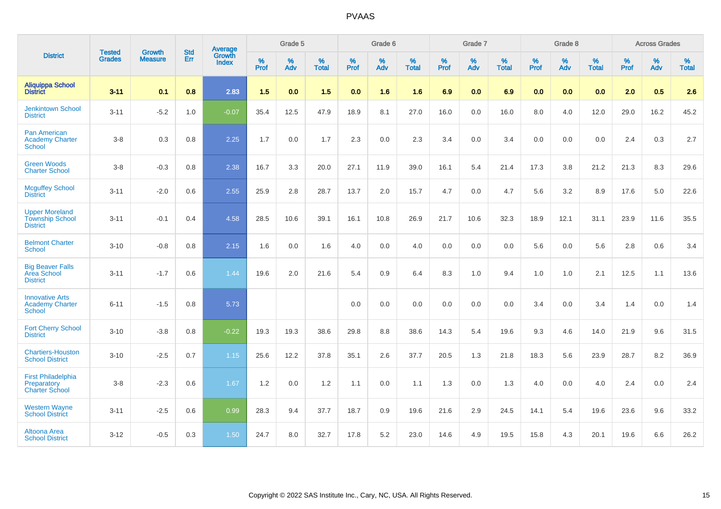|                                                                    |                                | <b>Growth</b>  | <b>Std</b> | Average                |                     | Grade 5  |                   |                  | Grade 6  |                   |           | Grade 7  |                   |                  | Grade 8  |                   |                     | <b>Across Grades</b> |                   |
|--------------------------------------------------------------------|--------------------------------|----------------|------------|------------------------|---------------------|----------|-------------------|------------------|----------|-------------------|-----------|----------|-------------------|------------------|----------|-------------------|---------------------|----------------------|-------------------|
| <b>District</b>                                                    | <b>Tested</b><br><b>Grades</b> | <b>Measure</b> | Err        | Growth<br><b>Index</b> | $\%$<br><b>Prof</b> | %<br>Adv | %<br><b>Total</b> | %<br><b>Prof</b> | %<br>Adv | %<br><b>Total</b> | %<br>Prof | %<br>Adv | %<br><b>Total</b> | %<br><b>Prof</b> | %<br>Adv | %<br><b>Total</b> | $\%$<br><b>Prof</b> | %<br>Adv             | %<br><b>Total</b> |
| <b>Aliquippa School</b><br><b>District</b>                         | $3 - 11$                       | 0.1            | 0.8        | 2.83                   | 1.5                 | 0.0      | 1.5               | 0.0              | 1.6      | 1.6               | 6.9       | 0.0      | 6.9               | 0.0              | 0.0      | 0.0               | 2.0                 | 0.5                  | 2.6               |
| <b>Jenkintown School</b><br><b>District</b>                        | $3 - 11$                       | $-5.2$         | 1.0        | $-0.07$                | 35.4                | 12.5     | 47.9              | 18.9             | 8.1      | 27.0              | 16.0      | 0.0      | 16.0              | 8.0              | 4.0      | 12.0              | 29.0                | 16.2                 | 45.2              |
| <b>Pan American</b><br><b>Academy Charter</b><br><b>School</b>     | $3 - 8$                        | 0.3            | 0.8        | 2.25                   | 1.7                 | 0.0      | 1.7               | 2.3              | 0.0      | 2.3               | 3.4       | 0.0      | 3.4               | 0.0              | 0.0      | 0.0               | 2.4                 | 0.3                  | 2.7               |
| <b>Green Woods</b><br><b>Charter School</b>                        | $3 - 8$                        | $-0.3$         | 0.8        | 2.38                   | 16.7                | 3.3      | 20.0              | 27.1             | 11.9     | 39.0              | 16.1      | 5.4      | 21.4              | 17.3             | 3.8      | 21.2              | 21.3                | 8.3                  | 29.6              |
| <b>Mcguffey School</b><br><b>District</b>                          | $3 - 11$                       | $-2.0$         | 0.6        | 2.55                   | 25.9                | 2.8      | 28.7              | 13.7             | 2.0      | 15.7              | 4.7       | 0.0      | 4.7               | 5.6              | 3.2      | 8.9               | 17.6                | 5.0                  | 22.6              |
| <b>Upper Moreland</b><br><b>Township School</b><br><b>District</b> | $3 - 11$                       | $-0.1$         | 0.4        | 4.58                   | 28.5                | 10.6     | 39.1              | 16.1             | 10.8     | 26.9              | 21.7      | 10.6     | 32.3              | 18.9             | 12.1     | 31.1              | 23.9                | 11.6                 | 35.5              |
| <b>Belmont Charter</b><br><b>School</b>                            | $3 - 10$                       | $-0.8$         | 0.8        | 2.15                   | 1.6                 | 0.0      | 1.6               | 4.0              | 0.0      | 4.0               | 0.0       | 0.0      | 0.0               | 5.6              | 0.0      | 5.6               | 2.8                 | 0.6                  | 3.4               |
| <b>Big Beaver Falls</b><br>Area School<br><b>District</b>          | $3 - 11$                       | $-1.7$         | 0.6        | 1.44                   | 19.6                | 2.0      | 21.6              | 5.4              | 0.9      | 6.4               | 8.3       | 1.0      | 9.4               | 1.0              | 1.0      | 2.1               | 12.5                | 1.1                  | 13.6              |
| <b>Innovative Arts</b><br><b>Academy Charter</b><br>School         | $6 - 11$                       | $-1.5$         | 0.8        | 5.73                   |                     |          |                   | 0.0              | 0.0      | 0.0               | 0.0       | 0.0      | 0.0               | 3.4              | 0.0      | 3.4               | 1.4                 | 0.0                  | 1.4               |
| <b>Fort Cherry School</b><br><b>District</b>                       | $3 - 10$                       | $-3.8$         | 0.8        | $-0.22$                | 19.3                | 19.3     | 38.6              | 29.8             | 8.8      | 38.6              | 14.3      | 5.4      | 19.6              | 9.3              | 4.6      | 14.0              | 21.9                | 9.6                  | 31.5              |
| <b>Chartiers-Houston</b><br><b>School District</b>                 | $3 - 10$                       | $-2.5$         | 0.7        | 1.15                   | 25.6                | 12.2     | 37.8              | 35.1             | 2.6      | 37.7              | 20.5      | 1.3      | 21.8              | 18.3             | 5.6      | 23.9              | 28.7                | 8.2                  | 36.9              |
| <b>First Philadelphia</b><br>Preparatory<br><b>Charter School</b>  | $3 - 8$                        | $-2.3$         | 0.6        | 1.67                   | 1.2                 | 0.0      | 1.2               | 1.1              | $0.0\,$  | 1.1               | 1.3       | $0.0\,$  | 1.3               | 4.0              | $0.0\,$  | 4.0               | 2.4                 | $0.0\,$              | 2.4               |
| <b>Western Wayne</b><br><b>School District</b>                     | $3 - 11$                       | $-2.5$         | 0.6        | 0.99                   | 28.3                | 9.4      | 37.7              | 18.7             | 0.9      | 19.6              | 21.6      | 2.9      | 24.5              | 14.1             | 5.4      | 19.6              | 23.6                | 9.6                  | 33.2              |
| Altoona Area<br><b>School District</b>                             | $3 - 12$                       | $-0.5$         | 0.3        | 1.50                   | 24.7                | 8.0      | 32.7              | 17.8             | 5.2      | 23.0              | 14.6      | 4.9      | 19.5              | 15.8             | 4.3      | 20.1              | 19.6                | 6.6                  | 26.2              |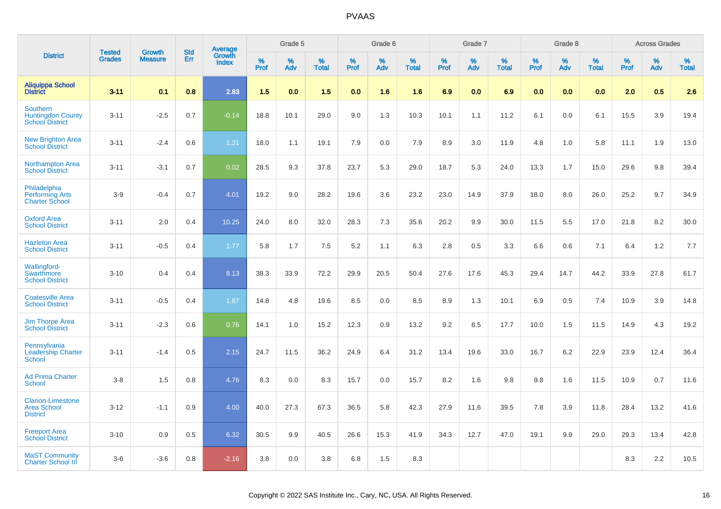|                                                                   | <b>Tested</b> | <b>Growth</b>  | <b>Std</b> | Average                |                     | Grade 5  |                   |              | Grade 6  |                   |              | Grade 7  |                   |           | Grade 8  |                   |              | <b>Across Grades</b> |                   |
|-------------------------------------------------------------------|---------------|----------------|------------|------------------------|---------------------|----------|-------------------|--------------|----------|-------------------|--------------|----------|-------------------|-----------|----------|-------------------|--------------|----------------------|-------------------|
| <b>District</b>                                                   | <b>Grades</b> | <b>Measure</b> | Err        | Growth<br><b>Index</b> | $\%$<br><b>Prof</b> | %<br>Adv | %<br><b>Total</b> | $\%$<br>Prof | %<br>Adv | %<br><b>Total</b> | $\%$<br>Prof | %<br>Adv | %<br><b>Total</b> | %<br>Prof | %<br>Adv | %<br><b>Total</b> | $\%$<br>Prof | $\%$<br>Adv          | %<br><b>Total</b> |
| <b>Aliquippa School</b><br><b>District</b>                        | $3 - 11$      | 0.1            | 0.8        | 2.83                   | 1.5                 | 0.0      | 1.5               | 0.0          | 1.6      | 1.6               | 6.9          | 0.0      | 6.9               | 0.0       | 0.0      | 0.0               | 2.0          | 0.5                  | 2.6               |
| Southern<br><b>Huntingdon County</b><br><b>School District</b>    | $3 - 11$      | $-2.5$         | 0.7        | $-0.14$                | 18.8                | 10.1     | 29.0              | 9.0          | 1.3      | 10.3              | 10.1         | 1.1      | 11.2              | 6.1       | 0.0      | 6.1               | 15.5         | 3.9                  | 19.4              |
| <b>New Brighton Area</b><br><b>School District</b>                | $3 - 11$      | $-2.4$         | 0.6        | 1.31                   | 18.0                | 1.1      | 19.1              | 7.9          | 0.0      | 7.9               | 8.9          | 3.0      | 11.9              | 4.8       | 1.0      | 5.8               | 11.1         | 1.9                  | 13.0              |
| <b>Northampton Area</b><br><b>School District</b>                 | $3 - 11$      | $-3.1$         | 0.7        | 0.02                   | 28.5                | 9.3      | 37.8              | 23.7         | 5.3      | 29.0              | 18.7         | 5.3      | 24.0              | 13.3      | 1.7      | 15.0              | 29.6         | 9.8                  | 39.4              |
| Philadelphia<br><b>Performing Arts</b><br><b>Charter School</b>   | $3-9$         | $-0.4$         | 0.7        | 4.01                   | 19.2                | 9.0      | 28.2              | 19.6         | 3.6      | 23.2              | 23.0         | 14.9     | 37.9              | 18.0      | 8.0      | 26.0              | 25.2         | 9.7                  | 34.9              |
| <b>Oxford Area</b><br><b>School District</b>                      | $3 - 11$      | 2.0            | 0.4        | 10.25                  | 24.0                | 8.0      | 32.0              | 28.3         | 7.3      | 35.6              | 20.2         | 9.9      | 30.0              | 11.5      | 5.5      | 17.0              | 21.8         | 8.2                  | 30.0              |
| <b>Hazleton Area</b><br><b>School District</b>                    | $3 - 11$      | $-0.5$         | 0.4        | 1.77                   | 5.8                 | 1.7      | 7.5               | 5.2          | 1.1      | 6.3               | 2.8          | 0.5      | 3.3               | 6.6       | 0.6      | 7.1               | 6.4          | 1.2                  | 7.7               |
| Wallingford-<br>Swarthmore<br><b>School District</b>              | $3 - 10$      | 0.4            | 0.4        | 8.13                   | 38.3                | 33.9     | 72.2              | 29.9         | 20.5     | 50.4              | 27.6         | 17.6     | 45.3              | 29.4      | 14.7     | 44.2              | 33.9         | 27.8                 | 61.7              |
| <b>Coatesville Area</b><br><b>School District</b>                 | $3 - 11$      | $-0.5$         | 0.4        | 1.87                   | 14.8                | 4.8      | 19.6              | 8.5          | 0.0      | 8.5               | 8.9          | 1.3      | 10.1              | 6.9       | 0.5      | 7.4               | 10.9         | 3.9                  | 14.8              |
| <b>Jim Thorpe Area</b><br><b>School District</b>                  | $3 - 11$      | $-2.3$         | 0.6        | 0.76                   | 14.1                | 1.0      | 15.2              | 12.3         | 0.9      | 13.2              | 9.2          | 8.5      | 17.7              | 10.0      | 1.5      | 11.5              | 14.9         | 4.3                  | 19.2              |
| Pennsylvania<br><b>Leadership Charter</b><br><b>School</b>        | $3 - 11$      | $-1.4$         | 0.5        | 2.15                   | 24.7                | 11.5     | 36.2              | 24.9         | 6.4      | 31.2              | 13.4         | 19.6     | 33.0              | 16.7      | 6.2      | 22.9              | 23.9         | 12.4                 | 36.4              |
| <b>Ad Prima Charter</b><br><b>School</b>                          | $3-8$         | 1.5            | 0.8        | 4.76                   | 8.3                 | 0.0      | 8.3               | 15.7         | 0.0      | 15.7              | 8.2          | 1.6      | 9.8               | 9.8       | 1.6      | 11.5              | 10.9         | 0.7                  | 11.6              |
| <b>Clarion-Limestone</b><br><b>Area School</b><br><b>District</b> | $3 - 12$      | $-1.1$         | 0.9        | 4.00                   | 40.0                | 27.3     | 67.3              | 36.5         | 5.8      | 42.3              | 27.9         | 11.6     | 39.5              | 7.8       | 3.9      | 11.8              | 28.4         | 13.2                 | 41.6              |
| <b>Freeport Area</b><br><b>School District</b>                    | $3 - 10$      | 0.9            | 0.5        | 6.32                   | 30.5                | 9.9      | 40.5              | 26.6         | 15.3     | 41.9              | 34.3         | 12.7     | 47.0              | 19.1      | 9.9      | 29.0              | 29.3         | 13.4                 | 42.8              |
| <b>MaST Community</b><br><b>Charter School III</b>                | $3-6$         | $-3.6$         | 0.8        | $-2.16$                | 3.8                 | 0.0      | 3.8               | 6.8          | 1.5      | 8.3               |              |          |                   |           |          |                   | 8.3          | 2.2                  | 10.5              |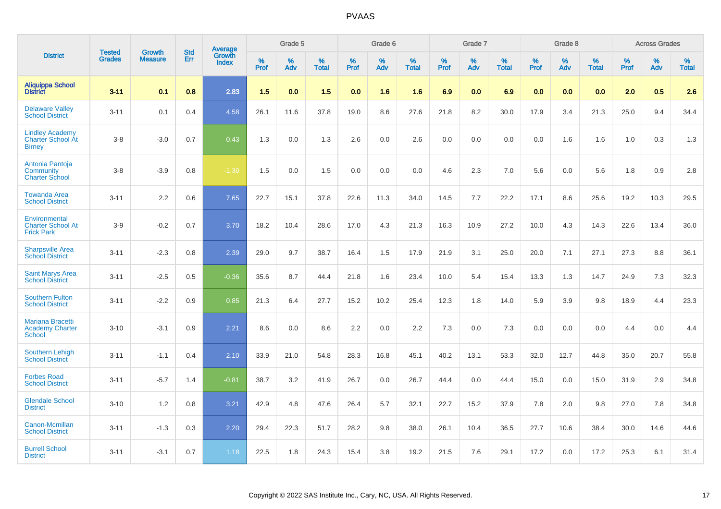|                                                                     |                                | <b>Growth</b>  | <b>Std</b> |                                          |              | Grade 5  |                   |              | Grade 6  |                   |              | Grade 7  |                   |              | Grade 8  |                   |              | <b>Across Grades</b> |                   |
|---------------------------------------------------------------------|--------------------------------|----------------|------------|------------------------------------------|--------------|----------|-------------------|--------------|----------|-------------------|--------------|----------|-------------------|--------------|----------|-------------------|--------------|----------------------|-------------------|
| <b>District</b>                                                     | <b>Tested</b><br><b>Grades</b> | <b>Measure</b> | <b>Err</b> | <b>Average</b><br>Growth<br><b>Index</b> | $\%$<br>Prof | %<br>Adv | %<br><b>Total</b> | $\%$<br>Prof | %<br>Adv | %<br><b>Total</b> | $\%$<br>Prof | %<br>Adv | %<br><b>Total</b> | $\%$<br>Prof | %<br>Adv | %<br><b>Total</b> | $\%$<br>Prof | %<br>Adv             | %<br><b>Total</b> |
| <b>Aliquippa School</b><br><b>District</b>                          | $3 - 11$                       | 0.1            | 0.8        | 2.83                                     | 1.5          | 0.0      | 1.5               | 0.0          | 1.6      | 1.6               | 6.9          | 0.0      | 6.9               | 0.0          | 0.0      | 0.0               | 2.0          | 0.5                  | 2.6               |
| <b>Delaware Valley</b><br><b>School District</b>                    | $3 - 11$                       | 0.1            | 0.4        | 4.58                                     | 26.1         | 11.6     | 37.8              | 19.0         | 8.6      | 27.6              | 21.8         | 8.2      | 30.0              | 17.9         | 3.4      | 21.3              | 25.0         | 9.4                  | 34.4              |
| <b>Lindley Academy</b><br><b>Charter School At</b><br><b>Birney</b> | $3 - 8$                        | $-3.0$         | 0.7        | 0.43                                     | 1.3          | 0.0      | 1.3               | 2.6          | 0.0      | 2.6               | 0.0          | 0.0      | 0.0               | 0.0          | 1.6      | 1.6               | 1.0          | 0.3                  | 1.3               |
| Antonia Pantoja<br>Community<br><b>Charter School</b>               | $3 - 8$                        | $-3.9$         | 0.8        | $-1.30$                                  | 1.5          | 0.0      | 1.5               | 0.0          | 0.0      | 0.0               | 4.6          | 2.3      | 7.0               | 5.6          | 0.0      | 5.6               | 1.8          | 0.9                  | 2.8               |
| <b>Towanda Area</b><br><b>School District</b>                       | $3 - 11$                       | 2.2            | 0.6        | 7.65                                     | 22.7         | 15.1     | 37.8              | 22.6         | 11.3     | 34.0              | 14.5         | 7.7      | 22.2              | 17.1         | 8.6      | 25.6              | 19.2         | 10.3                 | 29.5              |
| Environmental<br><b>Charter School At</b><br><b>Frick Park</b>      | $3-9$                          | $-0.2$         | 0.7        | 3.70                                     | 18.2         | 10.4     | 28.6              | 17.0         | 4.3      | 21.3              | 16.3         | 10.9     | 27.2              | 10.0         | 4.3      | 14.3              | 22.6         | 13.4                 | 36.0              |
| <b>Sharpsville Area</b><br><b>School District</b>                   | $3 - 11$                       | $-2.3$         | 0.8        | 2.39                                     | 29.0         | 9.7      | 38.7              | 16.4         | 1.5      | 17.9              | 21.9         | 3.1      | 25.0              | 20.0         | 7.1      | 27.1              | 27.3         | 8.8                  | 36.1              |
| <b>Saint Marys Area</b><br><b>School District</b>                   | $3 - 11$                       | $-2.5$         | 0.5        | $-0.36$                                  | 35.6         | 8.7      | 44.4              | 21.8         | 1.6      | 23.4              | 10.0         | 5.4      | 15.4              | 13.3         | 1.3      | 14.7              | 24.9         | 7.3                  | 32.3              |
| <b>Southern Fulton</b><br><b>School District</b>                    | $3 - 11$                       | $-2.2$         | 0.9        | 0.85                                     | 21.3         | 6.4      | 27.7              | 15.2         | 10.2     | 25.4              | 12.3         | 1.8      | 14.0              | 5.9          | 3.9      | 9.8               | 18.9         | 4.4                  | 23.3              |
| <b>Mariana Bracetti</b><br><b>Academy Charter</b><br><b>School</b>  | $3 - 10$                       | $-3.1$         | 0.9        | 2.21                                     | 8.6          | 0.0      | 8.6               | 2.2          | 0.0      | 2.2               | 7.3          | 0.0      | 7.3               | 0.0          | 0.0      | 0.0               | 4.4          | 0.0                  | 4.4               |
| <b>Southern Lehigh</b><br><b>School District</b>                    | $3 - 11$                       | $-1.1$         | 0.4        | 2.10                                     | 33.9         | 21.0     | 54.8              | 28.3         | 16.8     | 45.1              | 40.2         | 13.1     | 53.3              | 32.0         | 12.7     | 44.8              | 35.0         | 20.7                 | 55.8              |
| <b>Forbes Road</b><br><b>School District</b>                        | $3 - 11$                       | $-5.7$         | 1.4        | $-0.81$                                  | 38.7         | 3.2      | 41.9              | 26.7         | 0.0      | 26.7              | 44.4         | 0.0      | 44.4              | 15.0         | 0.0      | 15.0              | 31.9         | 2.9                  | 34.8              |
| <b>Glendale School</b><br><b>District</b>                           | $3 - 10$                       | 1.2            | 0.8        | 3.21                                     | 42.9         | 4.8      | 47.6              | 26.4         | 5.7      | 32.1              | 22.7         | 15.2     | 37.9              | 7.8          | 2.0      | 9.8               | 27.0         | 7.8                  | 34.8              |
| Canon-Mcmillan<br><b>School District</b>                            | $3 - 11$                       | $-1.3$         | 0.3        | 2.20                                     | 29.4         | 22.3     | 51.7              | 28.2         | 9.8      | 38.0              | 26.1         | 10.4     | 36.5              | 27.7         | 10.6     | 38.4              | 30.0         | 14.6                 | 44.6              |
| <b>Burrell School</b><br><b>District</b>                            | $3 - 11$                       | $-3.1$         | 0.7        | 1.18                                     | 22.5         | 1.8      | 24.3              | 15.4         | 3.8      | 19.2              | 21.5         | 7.6      | 29.1              | 17.2         | 0.0      | 17.2              | 25.3         | 6.1                  | 31.4              |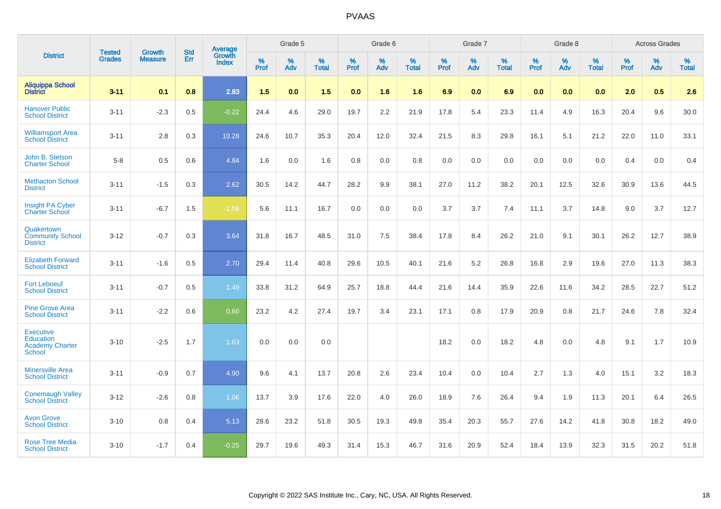|                                                                          | <b>Tested</b> | <b>Growth</b>  | <b>Std</b> |                                   |              | Grade 5  |                   |              | Grade 6  |                   |              | Grade 7  |                      |              | Grade 8  |                   |              | <b>Across Grades</b> |                   |
|--------------------------------------------------------------------------|---------------|----------------|------------|-----------------------------------|--------------|----------|-------------------|--------------|----------|-------------------|--------------|----------|----------------------|--------------|----------|-------------------|--------------|----------------------|-------------------|
| <b>District</b>                                                          | <b>Grades</b> | <b>Measure</b> | <b>Err</b> | Average<br>Growth<br><b>Index</b> | $\%$<br>Prof | %<br>Adv | %<br><b>Total</b> | $\%$<br>Prof | %<br>Adv | %<br><b>Total</b> | $\%$<br>Prof | %<br>Adv | $\%$<br><b>Total</b> | $\%$<br>Prof | %<br>Adv | %<br><b>Total</b> | $\%$<br>Prof | %<br>Adv             | %<br><b>Total</b> |
| <b>Aliquippa School</b><br><b>District</b>                               | $3 - 11$      | 0.1            | 0.8        | 2.83                              | 1.5          | 0.0      | 1.5               | 0.0          | 1.6      | 1.6               | 6.9          | 0.0      | 6.9                  | 0.0          | 0.0      | 0.0               | 2.0          | 0.5                  | 2.6               |
| <b>Hanover Public</b><br><b>School District</b>                          | $3 - 11$      | $-2.3$         | 0.5        | $-0.22$                           | 24.4         | 4.6      | 29.0              | 19.7         | 2.2      | 21.9              | 17.8         | 5.4      | 23.3                 | 11.4         | 4.9      | 16.3              | 20.4         | 9.6                  | 30.0              |
| <b>Williamsport Area</b><br><b>School District</b>                       | $3 - 11$      | 2.8            | 0.3        | 10.28                             | 24.6         | 10.7     | 35.3              | 20.4         | 12.0     | 32.4              | 21.5         | 8.3      | 29.8                 | 16.1         | 5.1      | 21.2              | 22.0         | 11.0                 | 33.1              |
| John B. Stetson<br><b>Charter School</b>                                 | $5 - 8$       | 0.5            | 0.6        | 4.84                              | 1.6          | 0.0      | 1.6               | 0.8          | 0.0      | 0.8               | 0.0          | 0.0      | 0.0                  | 0.0          | 0.0      | 0.0               | 0.4          | 0.0                  | 0.4               |
| <b>Methacton School</b><br><b>District</b>                               | $3 - 11$      | $-1.5$         | 0.3        | 2.62                              | 30.5         | 14.2     | 44.7              | 28.2         | 9.9      | 38.1              | 27.0         | 11.2     | 38.2                 | 20.1         | 12.5     | 32.6              | 30.9         | 13.6                 | 44.5              |
| Insight PA Cyber<br><b>Charter School</b>                                | $3 - 11$      | $-6.7$         | 1.5        | $-1.06$                           | 5.6          | 11.1     | 16.7              | 0.0          | 0.0      | 0.0               | 3.7          | 3.7      | 7.4                  | 11.1         | 3.7      | 14.8              | 9.0          | 3.7                  | 12.7              |
| Quakertown<br><b>Community School</b><br><b>District</b>                 | $3 - 12$      | $-0.7$         | 0.3        | 3.64                              | 31.8         | 16.7     | 48.5              | 31.0         | 7.5      | 38.4              | 17.8         | 8.4      | 26.2                 | 21.0         | 9.1      | 30.1              | 26.2         | 12.7                 | 38.9              |
| <b>Elizabeth Forward</b><br><b>School District</b>                       | $3 - 11$      | $-1.6$         | 0.5        | 2.70                              | 29.4         | 11.4     | 40.8              | 29.6         | 10.5     | 40.1              | 21.6         | 5.2      | 26.8                 | 16.8         | 2.9      | 19.6              | 27.0         | 11.3                 | 38.3              |
| <b>Fort Leboeuf</b><br><b>School District</b>                            | $3 - 11$      | $-0.7$         | 0.5        | 1.49                              | 33.8         | 31.2     | 64.9              | 25.7         | 18.8     | 44.4              | 21.6         | 14.4     | 35.9                 | 22.6         | 11.6     | 34.2              | 28.5         | 22.7                 | 51.2              |
| <b>Pine Grove Area</b><br><b>School District</b>                         | $3 - 11$      | $-2.2$         | 0.6        | 0.60                              | 23.2         | 4.2      | 27.4              | 19.7         | 3.4      | 23.1              | 17.1         | 0.8      | 17.9                 | 20.9         | 0.8      | 21.7              | 24.6         | 7.8                  | 32.4              |
| <b>Executive</b><br><b>Education</b><br><b>Academy Charter</b><br>School | $3 - 10$      | $-2.5$         | 1.7        | 1.63                              | 0.0          | 0.0      | 0.0               |              |          |                   | 18.2         | 0.0      | 18.2                 | 4.8          | 0.0      | 4.8               | 9.1          | 1.7                  | 10.9              |
| <b>Minersville Area</b><br><b>School District</b>                        | $3 - 11$      | $-0.9$         | 0.7        | 4.90                              | 9.6          | 4.1      | 13.7              | 20.8         | 2.6      | 23.4              | 10.4         | 0.0      | 10.4                 | 2.7          | 1.3      | 4.0               | 15.1         | 3.2                  | 18.3              |
| <b>Conemaugh Valley</b><br><b>School District</b>                        | $3 - 12$      | $-2.6$         | 0.8        | 1.06                              | 13.7         | 3.9      | 17.6              | 22.0         | 4.0      | 26.0              | 18.9         | 7.6      | 26.4                 | 9.4          | 1.9      | 11.3              | 20.1         | 6.4                  | 26.5              |
| <b>Avon Grove</b><br><b>School District</b>                              | $3 - 10$      | 0.8            | 0.4        | 5.13                              | 28.6         | 23.2     | 51.8              | 30.5         | 19.3     | 49.8              | 35.4         | 20.3     | 55.7                 | 27.6         | 14.2     | 41.8              | 30.8         | 18.2                 | 49.0              |
| <b>Rose Tree Media</b><br><b>School District</b>                         | $3 - 10$      | $-1.7$         | 0.4        | $-0.25$                           | 29.7         | 19.6     | 49.3              | 31.4         | 15.3     | 46.7              | 31.6         | 20.9     | 52.4                 | 18.4         | 13.9     | 32.3              | 31.5         | 20.2                 | 51.8              |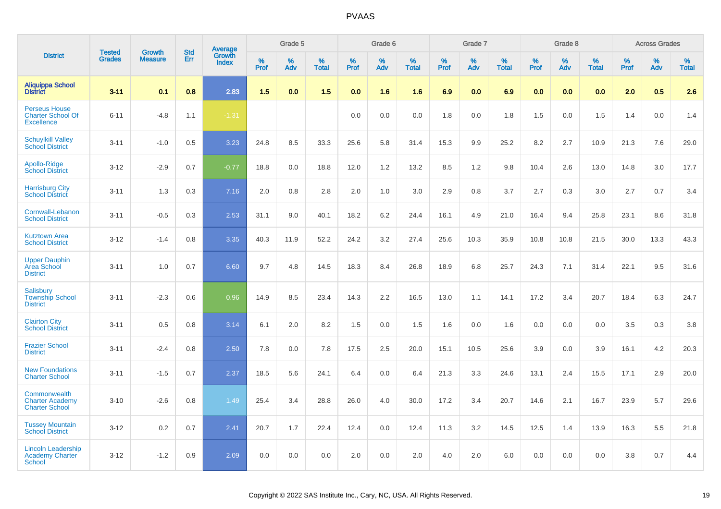|                                                                       |                                |                                 | <b>Std</b> | Average                |                     | Grade 5     |                   |                  | Grade 6  |                   |                  | Grade 7  |                   |           | Grade 8  |                   |              | <b>Across Grades</b> |                   |
|-----------------------------------------------------------------------|--------------------------------|---------------------------------|------------|------------------------|---------------------|-------------|-------------------|------------------|----------|-------------------|------------------|----------|-------------------|-----------|----------|-------------------|--------------|----------------------|-------------------|
| <b>District</b>                                                       | <b>Tested</b><br><b>Grades</b> | <b>Growth</b><br><b>Measure</b> | Err        | Growth<br><b>Index</b> | $\%$<br><b>Prof</b> | $\%$<br>Adv | %<br><b>Total</b> | %<br><b>Prof</b> | %<br>Adv | %<br><b>Total</b> | %<br><b>Prof</b> | %<br>Adv | %<br><b>Total</b> | %<br>Prof | %<br>Adv | %<br><b>Total</b> | $\%$<br>Prof | %<br>Adv             | %<br><b>Total</b> |
| <b>Aliquippa School</b><br><b>District</b>                            | $3 - 11$                       | 0.1                             | 0.8        | 2.83                   | 1.5                 | 0.0         | 1.5               | 0.0              | 1.6      | 1.6               | 6.9              | 0.0      | 6.9               | 0.0       | 0.0      | 0.0               | 2.0          | 0.5                  | 2.6               |
| <b>Perseus House</b><br><b>Charter School Of</b><br><b>Excellence</b> | $6 - 11$                       | $-4.8$                          | 1.1        | $-1.31$                |                     |             |                   | 0.0              | 0.0      | 0.0               | 1.8              | 0.0      | 1.8               | 1.5       | 0.0      | 1.5               | 1.4          | 0.0                  | 1.4               |
| <b>Schuylkill Valley</b><br><b>School District</b>                    | $3 - 11$                       | $-1.0$                          | 0.5        | 3.23                   | 24.8                | 8.5         | 33.3              | 25.6             | 5.8      | 31.4              | 15.3             | 9.9      | 25.2              | 8.2       | 2.7      | 10.9              | 21.3         | 7.6                  | 29.0              |
| Apollo-Ridge<br><b>School District</b>                                | $3-12$                         | $-2.9$                          | 0.7        | $-0.77$                | 18.8                | 0.0         | 18.8              | 12.0             | 1.2      | 13.2              | 8.5              | 1.2      | 9.8               | 10.4      | 2.6      | 13.0              | 14.8         | 3.0                  | 17.7              |
| <b>Harrisburg City</b><br><b>School District</b>                      | $3 - 11$                       | 1.3                             | 0.3        | 7.16                   | 2.0                 | 0.8         | 2.8               | 2.0              | 1.0      | 3.0               | 2.9              | 0.8      | 3.7               | 2.7       | 0.3      | 3.0               | 2.7          | 0.7                  | 3.4               |
| Cornwall-Lebanon<br><b>School District</b>                            | $3 - 11$                       | $-0.5$                          | 0.3        | 2.53                   | 31.1                | 9.0         | 40.1              | 18.2             | 6.2      | 24.4              | 16.1             | 4.9      | 21.0              | 16.4      | 9.4      | 25.8              | 23.1         | 8.6                  | 31.8              |
| <b>Kutztown Area</b><br><b>School District</b>                        | $3 - 12$                       | $-1.4$                          | 0.8        | 3.35                   | 40.3                | 11.9        | 52.2              | 24.2             | 3.2      | 27.4              | 25.6             | 10.3     | 35.9              | 10.8      | 10.8     | 21.5              | 30.0         | 13.3                 | 43.3              |
| <b>Upper Dauphin</b><br><b>Area School</b><br><b>District</b>         | $3 - 11$                       | 1.0                             | 0.7        | 6.60                   | 9.7                 | 4.8         | 14.5              | 18.3             | 8.4      | 26.8              | 18.9             | 6.8      | 25.7              | 24.3      | 7.1      | 31.4              | 22.1         | 9.5                  | 31.6              |
| Salisbury<br><b>Township School</b><br><b>District</b>                | $3 - 11$                       | $-2.3$                          | 0.6        | 0.96                   | 14.9                | 8.5         | 23.4              | 14.3             | 2.2      | 16.5              | 13.0             | 1.1      | 14.1              | 17.2      | 3.4      | 20.7              | 18.4         | 6.3                  | 24.7              |
| <b>Clairton City</b><br><b>School District</b>                        | $3 - 11$                       | 0.5                             | 0.8        | 3.14                   | 6.1                 | 2.0         | 8.2               | 1.5              | 0.0      | 1.5               | 1.6              | 0.0      | 1.6               | 0.0       | 0.0      | 0.0               | 3.5          | 0.3                  | 3.8               |
| <b>Frazier School</b><br><b>District</b>                              | $3 - 11$                       | $-2.4$                          | 0.8        | 2.50                   | 7.8                 | 0.0         | 7.8               | 17.5             | 2.5      | 20.0              | 15.1             | 10.5     | 25.6              | 3.9       | 0.0      | 3.9               | 16.1         | 4.2                  | 20.3              |
| <b>New Foundations</b><br><b>Charter School</b>                       | $3 - 11$                       | $-1.5$                          | 0.7        | 2.37                   | 18.5                | 5.6         | 24.1              | 6.4              | 0.0      | 6.4               | 21.3             | 3.3      | 24.6              | 13.1      | 2.4      | 15.5              | 17.1         | 2.9                  | 20.0              |
| Commonwealth<br><b>Charter Academy</b><br><b>Charter School</b>       | $3 - 10$                       | $-2.6$                          | 0.8        | 1.49                   | 25.4                | 3.4         | 28.8              | 26.0             | 4.0      | 30.0              | 17.2             | 3.4      | 20.7              | 14.6      | 2.1      | 16.7              | 23.9         | 5.7                  | 29.6              |
| <b>Tussey Mountain</b><br><b>School District</b>                      | $3 - 12$                       | 0.2                             | 0.7        | 2.41                   | 20.7                | 1.7         | 22.4              | 12.4             | 0.0      | 12.4              | 11.3             | 3.2      | 14.5              | 12.5      | 1.4      | 13.9              | 16.3         | 5.5                  | 21.8              |
| <b>Lincoln Leadership</b><br>Academy Charter<br>School                | $3 - 12$                       | $-1.2$                          | 0.9        | 2.09                   | 0.0                 | 0.0         | 0.0               | 2.0              | 0.0      | 2.0               | 4.0              | 2.0      | 6.0               | 0.0       | 0.0      | 0.0               | 3.8          | 0.7                  | 4.4               |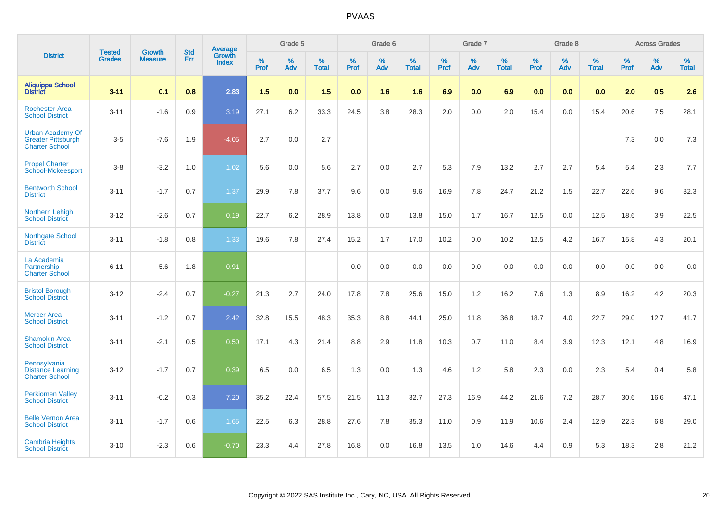|                                                                               |                                |                                 | <b>Std</b> | Average                       |           | Grade 5  |                   |           | Grade 6  |                   |           | Grade 7  |                   |           | Grade 8  |                   |           | <b>Across Grades</b> |                   |
|-------------------------------------------------------------------------------|--------------------------------|---------------------------------|------------|-------------------------------|-----------|----------|-------------------|-----------|----------|-------------------|-----------|----------|-------------------|-----------|----------|-------------------|-----------|----------------------|-------------------|
| <b>District</b>                                                               | <b>Tested</b><br><b>Grades</b> | <b>Growth</b><br><b>Measure</b> | <b>Err</b> | <b>Growth</b><br><b>Index</b> | %<br>Prof | %<br>Adv | %<br><b>Total</b> | %<br>Prof | %<br>Adv | %<br><b>Total</b> | %<br>Prof | %<br>Adv | %<br><b>Total</b> | %<br>Prof | %<br>Adv | %<br><b>Total</b> | %<br>Prof | %<br>Adv             | %<br><b>Total</b> |
| <b>Aliquippa School</b><br><b>District</b>                                    | $3 - 11$                       | 0.1                             | 0.8        | 2.83                          | 1.5       | 0.0      | 1.5               | 0.0       | 1.6      | 1.6               | 6.9       | 0.0      | 6.9               | 0.0       | 0.0      | 0.0               | 2.0       | 0.5                  | 2.6               |
| <b>Rochester Area</b><br><b>School District</b>                               | $3 - 11$                       | $-1.6$                          | 0.9        | 3.19                          | 27.1      | 6.2      | 33.3              | 24.5      | 3.8      | 28.3              | 2.0       | 0.0      | 2.0               | 15.4      | 0.0      | 15.4              | 20.6      | 7.5                  | 28.1              |
| <b>Urban Academy Of</b><br><b>Greater Pittsburgh</b><br><b>Charter School</b> | $3-5$                          | $-7.6$                          | 1.9        | $-4.05$                       | 2.7       | 0.0      | 2.7               |           |          |                   |           |          |                   |           |          |                   | 7.3       | $0.0\,$              | $7.3$             |
| <b>Propel Charter</b><br><b>School-Mckeesport</b>                             | $3 - 8$                        | $-3.2$                          | 1.0        | 1.02                          | 5.6       | 0.0      | 5.6               | 2.7       | 0.0      | 2.7               | 5.3       | 7.9      | 13.2              | 2.7       | 2.7      | 5.4               | 5.4       | 2.3                  | 7.7               |
| <b>Bentworth School</b><br><b>District</b>                                    | $3 - 11$                       | $-1.7$                          | 0.7        | 1.37                          | 29.9      | 7.8      | 37.7              | 9.6       | 0.0      | 9.6               | 16.9      | 7.8      | 24.7              | 21.2      | 1.5      | 22.7              | 22.6      | 9.6                  | 32.3              |
| <b>Northern Lehigh</b><br><b>School District</b>                              | $3 - 12$                       | $-2.6$                          | 0.7        | 0.19                          | 22.7      | 6.2      | 28.9              | 13.8      | 0.0      | 13.8              | 15.0      | 1.7      | 16.7              | 12.5      | 0.0      | 12.5              | 18.6      | 3.9                  | 22.5              |
| <b>Northgate School</b><br><b>District</b>                                    | $3 - 11$                       | $-1.8$                          | 0.8        | 1.33                          | 19.6      | 7.8      | 27.4              | 15.2      | 1.7      | 17.0              | 10.2      | 0.0      | 10.2              | 12.5      | 4.2      | 16.7              | 15.8      | 4.3                  | 20.1              |
| La Academia<br>Partnership<br><b>Charter School</b>                           | $6 - 11$                       | $-5.6$                          | 1.8        | $-0.91$                       |           |          |                   | 0.0       | 0.0      | 0.0               | 0.0       | 0.0      | 0.0               | 0.0       | 0.0      | 0.0               | 0.0       | 0.0                  | 0.0               |
| <b>Bristol Borough</b><br><b>School District</b>                              | $3 - 12$                       | $-2.4$                          | 0.7        | $-0.27$                       | 21.3      | 2.7      | 24.0              | 17.8      | 7.8      | 25.6              | 15.0      | 1.2      | 16.2              | 7.6       | 1.3      | 8.9               | 16.2      | 4.2                  | 20.3              |
| <b>Mercer Area</b><br><b>School District</b>                                  | $3 - 11$                       | $-1.2$                          | 0.7        | 2.42                          | 32.8      | 15.5     | 48.3              | 35.3      | 8.8      | 44.1              | 25.0      | 11.8     | 36.8              | 18.7      | 4.0      | 22.7              | 29.0      | 12.7                 | 41.7              |
| <b>Shamokin Area</b><br><b>School District</b>                                | $3 - 11$                       | $-2.1$                          | 0.5        | 0.50                          | 17.1      | 4.3      | 21.4              | 8.8       | 2.9      | 11.8              | 10.3      | 0.7      | 11.0              | 8.4       | 3.9      | 12.3              | 12.1      | 4.8                  | 16.9              |
| Pennsylvania<br><b>Distance Learning</b><br><b>Charter School</b>             | $3 - 12$                       | $-1.7$                          | 0.7        | 0.39                          | 6.5       | 0.0      | 6.5               | 1.3       | 0.0      | 1.3               | 4.6       | 1.2      | 5.8               | 2.3       | 0.0      | 2.3               | 5.4       | 0.4                  | 5.8               |
| <b>Perkiomen Valley</b><br><b>School District</b>                             | $3 - 11$                       | $-0.2$                          | 0.3        | 7.20                          | 35.2      | 22.4     | 57.5              | 21.5      | 11.3     | 32.7              | 27.3      | 16.9     | 44.2              | 21.6      | 7.2      | 28.7              | 30.6      | 16.6                 | 47.1              |
| <b>Belle Vernon Area</b><br><b>School District</b>                            | $3 - 11$                       | $-1.7$                          | 0.6        | 1.65                          | 22.5      | 6.3      | 28.8              | 27.6      | 7.8      | 35.3              | 11.0      | 0.9      | 11.9              | 10.6      | 2.4      | 12.9              | 22.3      | 6.8                  | 29.0              |
| <b>Cambria Heights</b><br><b>School District</b>                              | $3 - 10$                       | $-2.3$                          | 0.6        | $-0.70$                       | 23.3      | 4.4      | 27.8              | 16.8      | 0.0      | 16.8              | 13.5      | 1.0      | 14.6              | 4.4       | 0.9      | 5.3               | 18.3      | 2.8                  | 21.2              |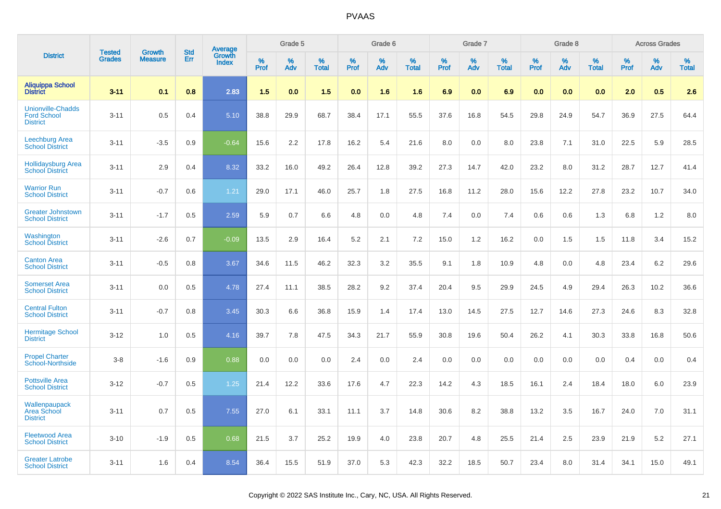|                                                                   |                                |                                 | <b>Std</b> | <b>Average</b>         |              | Grade 5     |                   |              | Grade 6     |                   |                     | Grade 7  |                   |           | Grade 8  |                   |              | <b>Across Grades</b> |                   |
|-------------------------------------------------------------------|--------------------------------|---------------------------------|------------|------------------------|--------------|-------------|-------------------|--------------|-------------|-------------------|---------------------|----------|-------------------|-----------|----------|-------------------|--------------|----------------------|-------------------|
| <b>District</b>                                                   | <b>Tested</b><br><b>Grades</b> | <b>Growth</b><br><b>Measure</b> | Err        | Growth<br><b>Index</b> | $\%$<br>Prof | $\%$<br>Adv | %<br><b>Total</b> | $\%$<br>Prof | $\%$<br>Adv | %<br><b>Total</b> | $\%$<br><b>Prof</b> | %<br>Adv | %<br><b>Total</b> | %<br>Prof | %<br>Adv | %<br><b>Total</b> | $\%$<br>Prof | $\%$<br>Adv          | %<br><b>Total</b> |
| <b>Aliquippa School</b><br><b>District</b>                        | $3 - 11$                       | 0.1                             | 0.8        | 2.83                   | 1.5          | 0.0         | 1.5               | 0.0          | 1.6         | 1.6               | 6.9                 | 0.0      | 6.9               | 0.0       | 0.0      | 0.0               | 2.0          | 0.5                  | 2.6               |
| <b>Unionville-Chadds</b><br><b>Ford School</b><br><b>District</b> | $3 - 11$                       | 0.5                             | 0.4        | 5.10                   | 38.8         | 29.9        | 68.7              | 38.4         | 17.1        | 55.5              | 37.6                | 16.8     | 54.5              | 29.8      | 24.9     | 54.7              | 36.9         | 27.5                 | 64.4              |
| Leechburg Area<br><b>School District</b>                          | $3 - 11$                       | $-3.5$                          | 0.9        | $-0.64$                | 15.6         | 2.2         | 17.8              | 16.2         | 5.4         | 21.6              | 8.0                 | 0.0      | 8.0               | 23.8      | 7.1      | 31.0              | 22.5         | 5.9                  | 28.5              |
| <b>Hollidaysburg Area</b><br><b>School District</b>               | $3 - 11$                       | 2.9                             | 0.4        | 8.32                   | 33.2         | 16.0        | 49.2              | 26.4         | 12.8        | 39.2              | 27.3                | 14.7     | 42.0              | 23.2      | 8.0      | 31.2              | 28.7         | 12.7                 | 41.4              |
| <b>Warrior Run</b><br><b>School District</b>                      | $3 - 11$                       | $-0.7$                          | 0.6        | 1.21                   | 29.0         | 17.1        | 46.0              | 25.7         | 1.8         | 27.5              | 16.8                | 11.2     | 28.0              | 15.6      | 12.2     | 27.8              | 23.2         | 10.7                 | 34.0              |
| <b>Greater Johnstown</b><br><b>School District</b>                | $3 - 11$                       | $-1.7$                          | 0.5        | 2.59                   | 5.9          | 0.7         | 6.6               | 4.8          | 0.0         | 4.8               | 7.4                 | 0.0      | 7.4               | 0.6       | 0.6      | 1.3               | 6.8          | 1.2                  | 8.0               |
| Washington<br><b>School District</b>                              | $3 - 11$                       | $-2.6$                          | 0.7        | $-0.09$                | 13.5         | 2.9         | 16.4              | 5.2          | 2.1         | 7.2               | 15.0                | 1.2      | 16.2              | 0.0       | 1.5      | 1.5               | 11.8         | 3.4                  | 15.2              |
| <b>Canton Area</b><br><b>School District</b>                      | $3 - 11$                       | $-0.5$                          | 0.8        | 3.67                   | 34.6         | 11.5        | 46.2              | 32.3         | 3.2         | 35.5              | 9.1                 | 1.8      | 10.9              | 4.8       | 0.0      | 4.8               | 23.4         | 6.2                  | 29.6              |
| <b>Somerset Area</b><br><b>School District</b>                    | $3 - 11$                       | 0.0                             | 0.5        | 4.78                   | 27.4         | 11.1        | 38.5              | 28.2         | 9.2         | 37.4              | 20.4                | 9.5      | 29.9              | 24.5      | 4.9      | 29.4              | 26.3         | 10.2                 | 36.6              |
| <b>Central Fulton</b><br><b>School District</b>                   | $3 - 11$                       | $-0.7$                          | 0.8        | 3.45                   | 30.3         | 6.6         | 36.8              | 15.9         | 1.4         | 17.4              | 13.0                | 14.5     | 27.5              | 12.7      | 14.6     | 27.3              | 24.6         | 8.3                  | 32.8              |
| <b>Hermitage School</b><br><b>District</b>                        | $3 - 12$                       | 1.0                             | 0.5        | 4.16                   | 39.7         | 7.8         | 47.5              | 34.3         | 21.7        | 55.9              | 30.8                | 19.6     | 50.4              | 26.2      | 4.1      | 30.3              | 33.8         | 16.8                 | 50.6              |
| <b>Propel Charter</b><br><b>School-Northside</b>                  | $3-8$                          | $-1.6$                          | 0.9        | 0.88                   | 0.0          | 0.0         | 0.0               | 2.4          | 0.0         | 2.4               | 0.0                 | 0.0      | 0.0               | 0.0       | 0.0      | 0.0               | 0.4          | 0.0                  | 0.4               |
| <b>Pottsville Area</b><br><b>School District</b>                  | $3 - 12$                       | $-0.7$                          | 0.5        | 1.25                   | 21.4         | 12.2        | 33.6              | 17.6         | 4.7         | 22.3              | 14.2                | 4.3      | 18.5              | 16.1      | 2.4      | 18.4              | 18.0         | 6.0                  | 23.9              |
| Wallenpaupack<br><b>Area School</b><br><b>District</b>            | $3 - 11$                       | 0.7                             | 0.5        | 7.55                   | 27.0         | 6.1         | 33.1              | 11.1         | 3.7         | 14.8              | 30.6                | 8.2      | 38.8              | 13.2      | 3.5      | 16.7              | 24.0         | 7.0                  | 31.1              |
| <b>Fleetwood Area</b><br><b>School District</b>                   | $3 - 10$                       | $-1.9$                          | 0.5        | 0.68                   | 21.5         | 3.7         | 25.2              | 19.9         | 4.0         | 23.8              | 20.7                | 4.8      | 25.5              | 21.4      | 2.5      | 23.9              | 21.9         | 5.2                  | 27.1              |
| <b>Greater Latrobe</b><br><b>School District</b>                  | $3 - 11$                       | 1.6                             | 0.4        | 8.54                   | 36.4         | 15.5        | 51.9              | 37.0         | 5.3         | 42.3              | 32.2                | 18.5     | 50.7              | 23.4      | 8.0      | 31.4              | 34.1         | 15.0                 | 49.1              |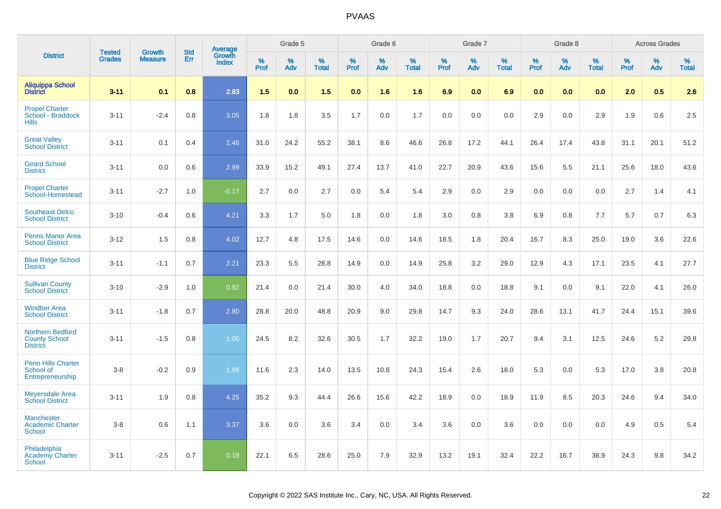|                                                                    |                                |                                 | <b>Std</b> | Average                |                  | Grade 5  |                   |                  | Grade 6  |                   |                  | Grade 7  |                   |           | Grade 8  |                   |                  | <b>Across Grades</b> |                   |
|--------------------------------------------------------------------|--------------------------------|---------------------------------|------------|------------------------|------------------|----------|-------------------|------------------|----------|-------------------|------------------|----------|-------------------|-----------|----------|-------------------|------------------|----------------------|-------------------|
| <b>District</b>                                                    | <b>Tested</b><br><b>Grades</b> | <b>Growth</b><br><b>Measure</b> | Err        | Growth<br><b>Index</b> | %<br><b>Prof</b> | %<br>Adv | %<br><b>Total</b> | %<br><b>Prof</b> | %<br>Adv | %<br><b>Total</b> | %<br><b>Prof</b> | %<br>Adv | %<br><b>Total</b> | %<br>Prof | %<br>Adv | %<br><b>Total</b> | %<br><b>Prof</b> | %<br>Adv             | %<br><b>Total</b> |
| <b>Aliquippa School</b><br><b>District</b>                         | $3 - 11$                       | 0.1                             | 0.8        | 2.83                   | 1.5              | 0.0      | 1.5               | 0.0              | 1.6      | 1.6               | 6.9              | 0.0      | 6.9               | 0.0       | 0.0      | 0.0               | 2.0              | 0.5                  | 2.6               |
| <b>Propel Charter</b><br>School - Braddock<br><b>Hills</b>         | $3 - 11$                       | $-2.4$                          | 0.8        | 3.05                   | 1.8              | 1.8      | 3.5               | 1.7              | 0.0      | 1.7               | 0.0              | 0.0      | 0.0               | 2.9       | 0.0      | 2.9               | 1.9              | 0.6                  | 2.5               |
| <b>Great Valley</b><br><b>School District</b>                      | $3 - 11$                       | 0.1                             | 0.4        | 2.46                   | 31.0             | 24.2     | 55.2              | 38.1             | 8.6      | 46.6              | 26.8             | 17.2     | 44.1              | 26.4      | 17.4     | 43.8              | 31.1             | 20.1                 | 51.2              |
| <b>Girard School</b><br><b>District</b>                            | $3 - 11$                       | 0.0                             | 0.6        | 2.99                   | 33.9             | 15.2     | 49.1              | 27.4             | 13.7     | 41.0              | 22.7             | 20.9     | 43.6              | 15.6      | 5.5      | 21.1              | 25.6             | 18.0                 | 43.6              |
| <b>Propel Charter</b><br>School-Homestead                          | $3 - 11$                       | $-2.7$                          | 1.0        | $-0.17$                | 2.7              | 0.0      | 2.7               | 0.0              | 5.4      | 5.4               | 2.9              | 0.0      | 2.9               | 0.0       | 0.0      | 0.0               | 2.7              | 1.4                  | 4.1               |
| <b>Southeast Delco</b><br><b>School District</b>                   | $3 - 10$                       | $-0.4$                          | 0.6        | 4.21                   | 3.3              | 1.7      | 5.0               | 1.8              | 0.0      | 1.8               | 3.0              | 0.8      | 3.8               | 6.9       | 0.8      | 7.7               | 5.7              | 0.7                  | 6.3               |
| <b>Penns Manor Area</b><br><b>School District</b>                  | $3 - 12$                       | 1.5                             | 0.8        | 4.02                   | 12.7             | 4.8      | 17.5              | 14.6             | 0.0      | 14.6              | 18.5             | 1.8      | 20.4              | 16.7      | 8.3      | 25.0              | 19.0             | 3.6                  | 22.6              |
| <b>Blue Ridge School</b><br><b>District</b>                        | $3 - 11$                       | $-1.1$                          | 0.7        | 2.21                   | 23.3             | 5.5      | 28.8              | 14.9             | 0.0      | 14.9              | 25.8             | 3.2      | 29.0              | 12.9      | 4.3      | 17.1              | 23.5             | 4.1                  | 27.7              |
| <b>Sullivan County</b><br><b>School District</b>                   | $3 - 10$                       | $-2.9$                          | 1.0        | 0.92                   | 21.4             | 0.0      | 21.4              | 30.0             | 4.0      | 34.0              | 18.8             | 0.0      | 18.8              | 9.1       | 0.0      | 9.1               | 22.0             | 4.1                  | 26.0              |
| <b>Windber Area</b><br><b>School District</b>                      | $3 - 11$                       | $-1.8$                          | 0.7        | 2.80                   | 28.8             | 20.0     | 48.8              | 20.9             | 9.0      | 29.8              | 14.7             | 9.3      | 24.0              | 28.6      | 13.1     | 41.7              | 24.4             | 15.1                 | 39.6              |
| <b>Northern Bedford</b><br><b>County School</b><br><b>District</b> | $3 - 11$                       | $-1.5$                          | 0.8        | 1.00                   | 24.5             | 8.2      | 32.6              | 30.5             | 1.7      | 32.2              | 19.0             | 1.7      | 20.7              | 9.4       | 3.1      | 12.5              | 24.6             | 5.2                  | 29.8              |
| <b>Penn Hills Charter</b><br>School of<br>Entrepreneurship         | $3-8$                          | $-0.2$                          | 0.9        | 1.98                   | 11.6             | 2.3      | 14.0              | 13.5             | 10.8     | 24.3              | 15.4             | 2.6      | 18.0              | 5.3       | 0.0      | 5.3               | 17.0             | 3.8                  | 20.8              |
| <b>Meyersdale Area</b><br><b>School District</b>                   | $3 - 11$                       | 1.9                             | 0.8        | 4.25                   | 35.2             | 9.3      | 44.4              | 26.6             | 15.6     | 42.2              | 18.9             | 0.0      | 18.9              | 11.9      | 8.5      | 20.3              | 24.6             | 9.4                  | 34.0              |
| <b>Manchester</b><br><b>Academic Charter</b><br><b>School</b>      | $3-8$                          | 0.6                             | 1.1        | 3.37                   | 3.6              | 0.0      | 3.6               | 3.4              | 0.0      | 3.4               | 3.6              | 0.0      | 3.6               | 0.0       | 0.0      | 0.0               | 4.9              | 0.5                  | 5.4               |
| Philadelphia<br><b>Academy Charter</b><br><b>School</b>            | $3 - 11$                       | $-2.5$                          | 0.7        | 0.18                   | 22.1             | 6.5      | 28.6              | 25.0             | 7.9      | 32.9              | 13.2             | 19.1     | 32.4              | 22.2      | 16.7     | 38.9              | 24.3             | 9.8                  | 34.2              |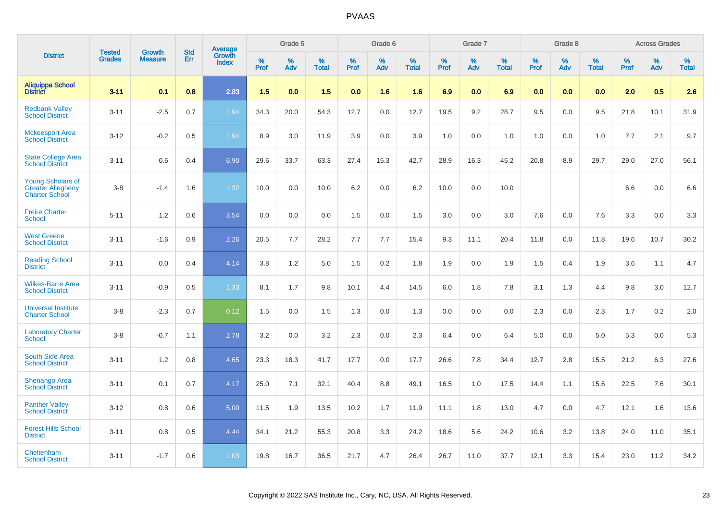|                                                                               | <b>Tested</b> | <b>Growth</b>  | <b>Std</b> | Average<br>Growth |                     | Grade 5  |                      |                     | Grade 6  |                      |              | Grade 7  |                      |                     | Grade 8  |                      |                     | <b>Across Grades</b> |                      |
|-------------------------------------------------------------------------------|---------------|----------------|------------|-------------------|---------------------|----------|----------------------|---------------------|----------|----------------------|--------------|----------|----------------------|---------------------|----------|----------------------|---------------------|----------------------|----------------------|
| <b>District</b>                                                               | <b>Grades</b> | <b>Measure</b> | Err        | Index             | $\%$<br><b>Prof</b> | %<br>Adv | $\%$<br><b>Total</b> | $\%$<br><b>Prof</b> | %<br>Adv | $\%$<br><b>Total</b> | $\%$<br>Prof | %<br>Adv | $\%$<br><b>Total</b> | $\%$<br><b>Prof</b> | %<br>Adv | $\%$<br><b>Total</b> | $\%$<br><b>Prof</b> | $\%$<br>Adv          | $\%$<br><b>Total</b> |
| <b>Aliquippa School</b><br><b>District</b>                                    | $3 - 11$      | 0.1            | 0.8        | 2.83              | 1.5                 | 0.0      | 1.5                  | 0.0                 | 1.6      | 1.6                  | 6.9          | 0.0      | 6.9                  | 0.0                 | 0.0      | 0.0                  | 2.0                 | 0.5                  | 2.6                  |
| <b>Redbank Valley</b><br><b>School District</b>                               | $3 - 11$      | $-2.5$         | 0.7        | 1.94              | 34.3                | 20.0     | 54.3                 | 12.7                | 0.0      | 12.7                 | 19.5         | 9.2      | 28.7                 | 9.5                 | 0.0      | 9.5                  | 21.8                | 10.1                 | 31.9                 |
| <b>Mckeesport Area</b><br><b>School District</b>                              | $3 - 12$      | $-0.2$         | 0.5        | 1.94              | 8.9                 | 3.0      | 11.9                 | 3.9                 | 0.0      | 3.9                  | 1.0          | 0.0      | 1.0                  | 1.0                 | 0.0      | 1.0                  | 7.7                 | 2.1                  | 9.7                  |
| <b>State College Area</b><br><b>School District</b>                           | $3 - 11$      | 0.6            | 0.4        | 6.90              | 29.6                | 33.7     | 63.3                 | 27.4                | 15.3     | 42.7                 | 28.9         | 16.3     | 45.2                 | 20.8                | 8.9      | 29.7                 | 29.0                | 27.0                 | 56.1                 |
| <b>Young Scholars of</b><br><b>Greater Allegheny</b><br><b>Charter School</b> | $3 - 8$       | $-1.4$         | 1.6        | 1.32              | 10.0                | 0.0      | 10.0                 | 6.2                 | 0.0      | 6.2                  | 10.0         | 0.0      | 10.0                 |                     |          |                      | 6.6                 | 0.0                  | 6.6                  |
| <b>Freire Charter</b><br><b>School</b>                                        | $5 - 11$      | 1.2            | 0.6        | 3.54              | 0.0                 | 0.0      | 0.0                  | 1.5                 | 0.0      | 1.5                  | 3.0          | 0.0      | 3.0                  | 7.6                 | 0.0      | 7.6                  | 3.3                 | 0.0                  | 3.3                  |
| <b>West Greene</b><br><b>School District</b>                                  | $3 - 11$      | $-1.6$         | 0.9        | 2.26              | 20.5                | 7.7      | 28.2                 | 7.7                 | 7.7      | 15.4                 | 9.3          | 11.1     | 20.4                 | 11.8                | 0.0      | 11.8                 | 19.6                | 10.7                 | 30.2                 |
| <b>Reading School</b><br><b>District</b>                                      | $3 - 11$      | 0.0            | 0.4        | 4.14              | 3.8                 | 1.2      | 5.0                  | 1.5                 | 0.2      | 1.8                  | 1.9          | 0.0      | 1.9                  | 1.5                 | 0.4      | 1.9                  | 3.6                 | 1.1                  | 4.7                  |
| <b>Wilkes-Barre Area</b><br><b>School District</b>                            | $3 - 11$      | $-0.9$         | 0.5        | 1.33              | 8.1                 | 1.7      | 9.8                  | 10.1                | 4.4      | 14.5                 | $6.0\,$      | 1.8      | 7.8                  | 3.1                 | 1.3      | 4.4                  | 9.8                 | 3.0                  | 12.7                 |
| <b>Universal Institute</b><br><b>Charter School</b>                           | $3 - 8$       | $-2.3$         | 0.7        | 0.12              | 1.5                 | 0.0      | 1.5                  | 1.3                 | 0.0      | 1.3                  | 0.0          | 0.0      | 0.0                  | 2.3                 | 0.0      | 2.3                  | 1.7                 | $0.2\,$              | 2.0                  |
| <b>Laboratory Charter</b><br><b>School</b>                                    | $3 - 8$       | $-0.7$         | 1.1        | 2.78              | 3.2                 | 0.0      | 3.2                  | 2.3                 | 0.0      | 2.3                  | 6.4          | 0.0      | 6.4                  | 5.0                 | 0.0      | 5.0                  | 5.3                 | 0.0                  | 5.3                  |
| <b>South Side Area</b><br><b>School District</b>                              | $3 - 11$      | 1.2            | 0.8        | 4.65              | 23.3                | 18.3     | 41.7                 | 17.7                | 0.0      | 17.7                 | 26.6         | 7.8      | 34.4                 | 12.7                | 2.8      | 15.5                 | 21.2                | 6.3                  | 27.6                 |
| <b>Shenango Area</b><br><b>School District</b>                                | $3 - 11$      | 0.1            | 0.7        | 4.17              | 25.0                | 7.1      | 32.1                 | 40.4                | 8.8      | 49.1                 | 16.5         | 1.0      | 17.5                 | 14.4                | 1.1      | 15.6                 | 22.5                | 7.6                  | 30.1                 |
| <b>Panther Valley</b><br><b>School District</b>                               | $3 - 12$      | 0.8            | 0.6        | 5.00              | 11.5                | 1.9      | 13.5                 | 10.2                | 1.7      | 11.9                 | 11.1         | 1.8      | 13.0                 | 4.7                 | 0.0      | 4.7                  | 12.1                | 1.6                  | 13.6                 |
| <b>Forest Hills School</b><br><b>District</b>                                 | $3 - 11$      | 0.8            | 0.5        | 4.44              | 34.1                | 21.2     | 55.3                 | 20.8                | 3.3      | 24.2                 | 18.6         | 5.6      | 24.2                 | 10.6                | 3.2      | 13.8                 | 24.0                | 11.0                 | 35.1                 |
| Cheltenham<br><b>School District</b>                                          | $3 - 11$      | $-1.7$         | 0.6        | 1.03              | 19.8                | 16.7     | 36.5                 | 21.7                | 4.7      | 26.4                 | 26.7         | 11.0     | 37.7                 | 12.1                | 3.3      | 15.4                 | 23.0                | 11.2                 | 34.2                 |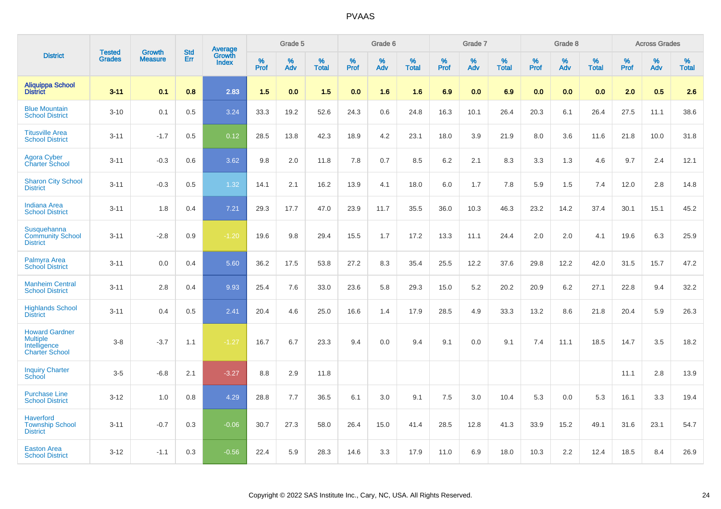|                                                                                   | <b>Tested</b> | <b>Growth</b>  | <b>Std</b> | Average<br>Growth |              | Grade 5  |                   |                  | Grade 6  |                   |              | Grade 7  |                      |           | Grade 8  |                   |              | <b>Across Grades</b> |                   |
|-----------------------------------------------------------------------------------|---------------|----------------|------------|-------------------|--------------|----------|-------------------|------------------|----------|-------------------|--------------|----------|----------------------|-----------|----------|-------------------|--------------|----------------------|-------------------|
| <b>District</b>                                                                   | <b>Grades</b> | <b>Measure</b> | <b>Err</b> | <b>Index</b>      | $\%$<br>Prof | %<br>Adv | %<br><b>Total</b> | %<br><b>Prof</b> | %<br>Adv | %<br><b>Total</b> | $\%$<br>Prof | %<br>Adv | $\%$<br><b>Total</b> | %<br>Prof | %<br>Adv | %<br><b>Total</b> | $\%$<br>Prof | $\%$<br>Adv          | %<br><b>Total</b> |
| <b>Aliquippa School</b><br><b>District</b>                                        | $3 - 11$      | 0.1            | 0.8        | 2.83              | 1.5          | 0.0      | 1.5               | 0.0              | 1.6      | 1.6               | 6.9          | 0.0      | 6.9                  | 0.0       | 0.0      | 0.0               | 2.0          | 0.5                  | 2.6               |
| <b>Blue Mountain</b><br><b>School District</b>                                    | $3 - 10$      | 0.1            | 0.5        | 3.24              | 33.3         | 19.2     | 52.6              | 24.3             | 0.6      | 24.8              | 16.3         | 10.1     | 26.4                 | 20.3      | 6.1      | 26.4              | 27.5         | 11.1                 | 38.6              |
| <b>Titusville Area</b><br><b>School District</b>                                  | $3 - 11$      | $-1.7$         | 0.5        | 0.12              | 28.5         | 13.8     | 42.3              | 18.9             | 4.2      | 23.1              | 18.0         | 3.9      | 21.9                 | 8.0       | 3.6      | 11.6              | 21.8         | 10.0                 | 31.8              |
| <b>Agora Cyber</b><br><b>Charter School</b>                                       | $3 - 11$      | $-0.3$         | 0.6        | 3.62              | 9.8          | 2.0      | 11.8              | 7.8              | 0.7      | 8.5               | 6.2          | 2.1      | 8.3                  | 3.3       | 1.3      | 4.6               | 9.7          | 2.4                  | 12.1              |
| <b>Sharon City School</b><br><b>District</b>                                      | $3 - 11$      | $-0.3$         | 0.5        | 1.32              | 14.1         | 2.1      | 16.2              | 13.9             | 4.1      | 18.0              | 6.0          | 1.7      | 7.8                  | 5.9       | 1.5      | 7.4               | 12.0         | 2.8                  | 14.8              |
| <b>Indiana Area</b><br><b>School District</b>                                     | $3 - 11$      | 1.8            | 0.4        | 7.21              | 29.3         | 17.7     | 47.0              | 23.9             | 11.7     | 35.5              | 36.0         | 10.3     | 46.3                 | 23.2      | 14.2     | 37.4              | 30.1         | 15.1                 | 45.2              |
| <b>Susquehanna</b><br><b>Community School</b><br><b>District</b>                  | $3 - 11$      | $-2.8$         | 0.9        | $-1.20$           | 19.6         | 9.8      | 29.4              | 15.5             | 1.7      | 17.2              | 13.3         | 11.1     | 24.4                 | 2.0       | 2.0      | 4.1               | 19.6         | 6.3                  | 25.9              |
| Palmyra Area<br><b>School District</b>                                            | $3 - 11$      | 0.0            | 0.4        | 5.60              | 36.2         | 17.5     | 53.8              | 27.2             | 8.3      | 35.4              | 25.5         | 12.2     | 37.6                 | 29.8      | 12.2     | 42.0              | 31.5         | 15.7                 | 47.2              |
| <b>Manheim Central</b><br><b>School District</b>                                  | $3 - 11$      | 2.8            | 0.4        | 9.93              | 25.4         | 7.6      | 33.0              | 23.6             | 5.8      | 29.3              | 15.0         | 5.2      | 20.2                 | 20.9      | 6.2      | 27.1              | 22.8         | 9.4                  | 32.2              |
| <b>Highlands School</b><br><b>District</b>                                        | $3 - 11$      | 0.4            | 0.5        | $\overline{2.41}$ | 20.4         | 4.6      | 25.0              | 16.6             | 1.4      | 17.9              | 28.5         | 4.9      | 33.3                 | 13.2      | 8.6      | 21.8              | 20.4         | 5.9                  | 26.3              |
| <b>Howard Gardner</b><br><b>Multiple</b><br>Intelligence<br><b>Charter School</b> | $3 - 8$       | $-3.7$         | 1.1        | $-1.27$           | 16.7         | 6.7      | 23.3              | 9.4              | 0.0      | 9.4               | 9.1          | 0.0      | 9.1                  | 7.4       | 11.1     | 18.5              | 14.7         | 3.5                  | 18.2              |
| <b>Inquiry Charter</b><br>School                                                  | $3-5$         | $-6.8$         | 2.1        | $-3.27$           | 8.8          | 2.9      | 11.8              |                  |          |                   |              |          |                      |           |          |                   | 11.1         | 2.8                  | 13.9              |
| <b>Purchase Line</b><br><b>School District</b>                                    | $3 - 12$      | 1.0            | 0.8        | 4.29              | 28.8         | 7.7      | 36.5              | 6.1              | 3.0      | 9.1               | 7.5          | 3.0      | 10.4                 | 5.3       | 0.0      | 5.3               | 16.1         | 3.3                  | 19.4              |
| <b>Haverford</b><br><b>Township School</b><br><b>District</b>                     | $3 - 11$      | $-0.7$         | 0.3        | $-0.06$           | 30.7         | 27.3     | 58.0              | 26.4             | 15.0     | 41.4              | 28.5         | 12.8     | 41.3                 | 33.9      | 15.2     | 49.1              | 31.6         | 23.1                 | 54.7              |
| <b>Easton Area</b><br><b>School District</b>                                      | $3 - 12$      | $-1.1$         | 0.3        | $-0.56$           | 22.4         | 5.9      | 28.3              | 14.6             | 3.3      | 17.9              | 11.0         | 6.9      | 18.0                 | 10.3      | 2.2      | 12.4              | 18.5         | 8.4                  | 26.9              |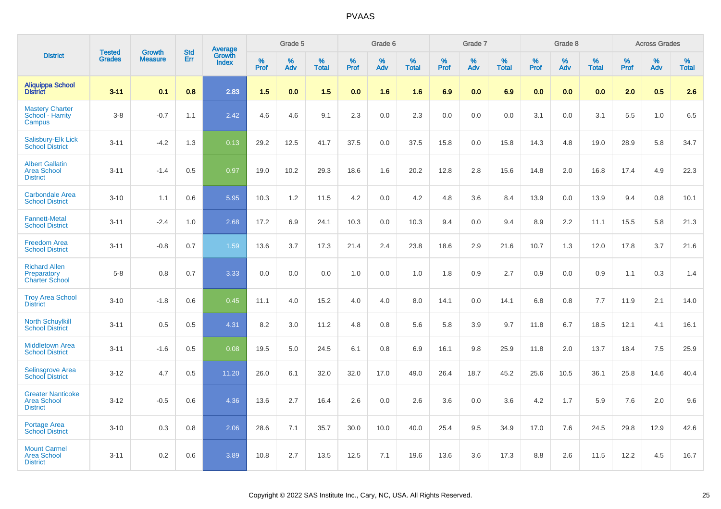|                                                                   |                                |                                 |                   | Average                |                     | Grade 5     |                   |                  | Grade 6  |                   |                  | Grade 7  |                   |           | Grade 8  |                   |              | <b>Across Grades</b> |                   |
|-------------------------------------------------------------------|--------------------------------|---------------------------------|-------------------|------------------------|---------------------|-------------|-------------------|------------------|----------|-------------------|------------------|----------|-------------------|-----------|----------|-------------------|--------------|----------------------|-------------------|
| <b>District</b>                                                   | <b>Tested</b><br><b>Grades</b> | <b>Growth</b><br><b>Measure</b> | <b>Std</b><br>Err | Growth<br><b>Index</b> | $\%$<br><b>Prof</b> | $\%$<br>Adv | %<br><b>Total</b> | %<br><b>Prof</b> | %<br>Adv | %<br><b>Total</b> | %<br><b>Prof</b> | %<br>Adv | %<br><b>Total</b> | %<br>Prof | %<br>Adv | %<br><b>Total</b> | $\%$<br>Prof | $\%$<br>Adv          | %<br><b>Total</b> |
| <b>Aliquippa School</b><br><b>District</b>                        | $3 - 11$                       | 0.1                             | 0.8               | 2.83                   | 1.5                 | 0.0         | 1.5               | 0.0              | 1.6      | 1.6               | 6.9              | 0.0      | 6.9               | 0.0       | 0.0      | 0.0               | 2.0          | 0.5                  | 2.6               |
| <b>Mastery Charter</b><br>School - Harrity<br>Campus              | $3-8$                          | $-0.7$                          | 1.1               | 2.42                   | 4.6                 | 4.6         | 9.1               | 2.3              | 0.0      | 2.3               | 0.0              | 0.0      | 0.0               | 3.1       | 0.0      | 3.1               | 5.5          | 1.0                  | 6.5               |
| Salisbury-Elk Lick<br><b>School District</b>                      | $3 - 11$                       | $-4.2$                          | 1.3               | 0.13                   | 29.2                | 12.5        | 41.7              | 37.5             | 0.0      | 37.5              | 15.8             | 0.0      | 15.8              | 14.3      | 4.8      | 19.0              | 28.9         | 5.8                  | 34.7              |
| <b>Albert Gallatin</b><br><b>Area School</b><br><b>District</b>   | $3 - 11$                       | $-1.4$                          | 0.5               | 0.97                   | 19.0                | 10.2        | 29.3              | 18.6             | 1.6      | 20.2              | 12.8             | 2.8      | 15.6              | 14.8      | 2.0      | 16.8              | 17.4         | 4.9                  | 22.3              |
| <b>Carbondale Area</b><br><b>School District</b>                  | $3 - 10$                       | 1.1                             | 0.6               | 5.95                   | 10.3                | 1.2         | 11.5              | 4.2              | 0.0      | 4.2               | 4.8              | 3.6      | 8.4               | 13.9      | 0.0      | 13.9              | 9.4          | 0.8                  | 10.1              |
| <b>Fannett-Metal</b><br><b>School District</b>                    | $3 - 11$                       | $-2.4$                          | 1.0               | 2.68                   | 17.2                | 6.9         | 24.1              | 10.3             | 0.0      | 10.3              | 9.4              | 0.0      | 9.4               | 8.9       | 2.2      | 11.1              | 15.5         | 5.8                  | 21.3              |
| <b>Freedom Area</b><br><b>School District</b>                     | $3 - 11$                       | $-0.8$                          | 0.7               | 1.59                   | 13.6                | 3.7         | 17.3              | 21.4             | 2.4      | 23.8              | 18.6             | 2.9      | 21.6              | 10.7      | 1.3      | 12.0              | 17.8         | 3.7                  | 21.6              |
| <b>Richard Allen</b><br>Preparatory<br><b>Charter School</b>      | $5-8$                          | 0.8                             | 0.7               | 3.33                   | 0.0                 | 0.0         | 0.0               | 1.0              | 0.0      | 1.0               | 1.8              | 0.9      | 2.7               | 0.9       | 0.0      | 0.9               | 1.1          | 0.3                  | 1.4               |
| <b>Troy Area School</b><br><b>District</b>                        | $3 - 10$                       | $-1.8$                          | 0.6               | 0.45                   | 11.1                | 4.0         | 15.2              | 4.0              | 4.0      | 8.0               | 14.1             | 0.0      | 14.1              | 6.8       | 0.8      | 7.7               | 11.9         | 2.1                  | 14.0              |
| <b>North Schuylkill</b><br><b>School District</b>                 | $3 - 11$                       | 0.5                             | 0.5               | 4.31                   | 8.2                 | 3.0         | 11.2              | 4.8              | 0.8      | 5.6               | 5.8              | 3.9      | 9.7               | 11.8      | 6.7      | 18.5              | 12.1         | 4.1                  | 16.1              |
| <b>Middletown Area</b><br><b>School District</b>                  | $3 - 11$                       | $-1.6$                          | 0.5               | 0.08                   | 19.5                | 5.0         | 24.5              | 6.1              | 0.8      | 6.9               | 16.1             | 9.8      | 25.9              | 11.8      | 2.0      | 13.7              | 18.4         | 7.5                  | 25.9              |
| <b>Selinsgrove Area</b><br><b>School District</b>                 | $3 - 12$                       | 4.7                             | 0.5               | 11.20                  | 26.0                | 6.1         | 32.0              | 32.0             | 17.0     | 49.0              | 26.4             | 18.7     | 45.2              | 25.6      | 10.5     | 36.1              | 25.8         | 14.6                 | 40.4              |
| <b>Greater Nanticoke</b><br><b>Area School</b><br><b>District</b> | $3 - 12$                       | $-0.5$                          | 0.6               | 4.36                   | 13.6                | 2.7         | 16.4              | 2.6              | 0.0      | 2.6               | 3.6              | 0.0      | 3.6               | 4.2       | 1.7      | 5.9               | 7.6          | 2.0                  | 9.6               |
| Portage Area<br><b>School District</b>                            | $3 - 10$                       | 0.3                             | 0.8               | 2.06                   | 28.6                | 7.1         | 35.7              | 30.0             | 10.0     | 40.0              | 25.4             | 9.5      | 34.9              | 17.0      | 7.6      | 24.5              | 29.8         | 12.9                 | 42.6              |
| <b>Mount Carmel</b><br><b>Area School</b><br><b>District</b>      | $3 - 11$                       | 0.2                             | 0.6               | 3.89                   | 10.8                | 2.7         | 13.5              | 12.5             | 7.1      | 19.6              | 13.6             | 3.6      | 17.3              | 8.8       | 2.6      | 11.5              | 12.2         | 4.5                  | 16.7              |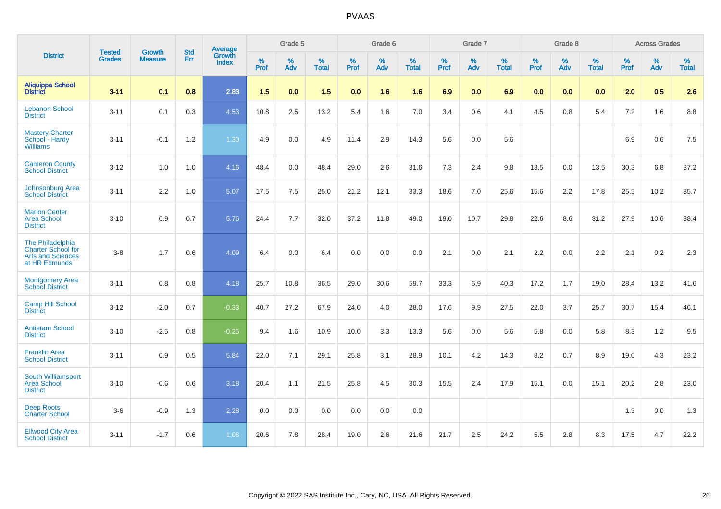|                                                                                            | <b>Tested</b> | <b>Growth</b>  | <b>Std</b> | Average                |                     | Grade 5  |                   |                     | Grade 6  |                   |              | Grade 7  |                   |                     | Grade 8  |                   |                     | <b>Across Grades</b> |                   |
|--------------------------------------------------------------------------------------------|---------------|----------------|------------|------------------------|---------------------|----------|-------------------|---------------------|----------|-------------------|--------------|----------|-------------------|---------------------|----------|-------------------|---------------------|----------------------|-------------------|
| <b>District</b>                                                                            | <b>Grades</b> | <b>Measure</b> | <b>Err</b> | Growth<br><b>Index</b> | $\%$<br><b>Prof</b> | %<br>Adv | %<br><b>Total</b> | $\%$<br><b>Prof</b> | %<br>Adv | %<br><b>Total</b> | $\%$<br>Prof | %<br>Adv | %<br><b>Total</b> | $\%$<br><b>Prof</b> | %<br>Adv | %<br><b>Total</b> | $\%$<br><b>Prof</b> | %<br>Adv             | %<br><b>Total</b> |
| <b>Aliquippa School</b><br><b>District</b>                                                 | $3 - 11$      | 0.1            | 0.8        | 2.83                   | 1.5                 | 0.0      | 1.5               | 0.0                 | 1.6      | 1.6               | 6.9          | 0.0      | 6.9               | 0.0                 | 0.0      | 0.0               | 2.0                 | 0.5                  | 2.6               |
| <b>Lebanon School</b><br><b>District</b>                                                   | $3 - 11$      | 0.1            | 0.3        | 4.53                   | 10.8                | 2.5      | 13.2              | 5.4                 | 1.6      | 7.0               | 3.4          | 0.6      | 4.1               | 4.5                 | 0.8      | 5.4               | 7.2                 | 1.6                  | 8.8               |
| <b>Mastery Charter</b><br>School - Hardy<br><b>Williams</b>                                | $3 - 11$      | $-0.1$         | 1.2        | 1.30                   | 4.9                 | 0.0      | 4.9               | 11.4                | 2.9      | 14.3              | 5.6          | 0.0      | 5.6               |                     |          |                   | 6.9                 | 0.6                  | 7.5               |
| <b>Cameron County</b><br><b>School District</b>                                            | $3 - 12$      | 1.0            | 1.0        | 4.16                   | 48.4                | 0.0      | 48.4              | 29.0                | 2.6      | 31.6              | 7.3          | 2.4      | 9.8               | 13.5                | 0.0      | 13.5              | 30.3                | 6.8                  | 37.2              |
| Johnsonburg Area<br><b>School District</b>                                                 | $3 - 11$      | 2.2            | 1.0        | 5.07                   | 17.5                | 7.5      | 25.0              | 21.2                | 12.1     | 33.3              | 18.6         | 7.0      | 25.6              | 15.6                | 2.2      | 17.8              | 25.5                | 10.2                 | 35.7              |
| <b>Marion Center</b><br>Area School<br><b>District</b>                                     | $3 - 10$      | 0.9            | 0.7        | 5.76                   | 24.4                | 7.7      | 32.0              | 37.2                | 11.8     | 49.0              | 19.0         | 10.7     | 29.8              | 22.6                | 8.6      | 31.2              | 27.9                | 10.6                 | 38.4              |
| The Philadelphia<br><b>Charter School for</b><br><b>Arts and Sciences</b><br>at HR Edmunds | $3 - 8$       | 1.7            | 0.6        | 4.09                   | 6.4                 | 0.0      | 6.4               | 0.0                 | 0.0      | 0.0               | 2.1          | 0.0      | 2.1               | 2.2                 | 0.0      | 2.2               | 2.1                 | $0.2\,$              | 2.3               |
| <b>Montgomery Area</b><br><b>School District</b>                                           | $3 - 11$      | 0.8            | 0.8        | 4.18                   | 25.7                | 10.8     | 36.5              | 29.0                | 30.6     | 59.7              | 33.3         | 6.9      | 40.3              | 17.2                | 1.7      | 19.0              | 28.4                | 13.2                 | 41.6              |
| <b>Camp Hill School</b><br><b>District</b>                                                 | $3 - 12$      | $-2.0$         | 0.7        | $-0.33$                | 40.7                | 27.2     | 67.9              | 24.0                | 4.0      | 28.0              | 17.6         | 9.9      | 27.5              | 22.0                | 3.7      | 25.7              | 30.7                | 15.4                 | 46.1              |
| <b>Antietam School</b><br><b>District</b>                                                  | $3 - 10$      | $-2.5$         | 0.8        | $-0.25$                | 9.4                 | 1.6      | 10.9              | 10.0                | 3.3      | 13.3              | 5.6          | 0.0      | 5.6               | 5.8                 | 0.0      | 5.8               | 8.3                 | 1.2                  | 9.5               |
| <b>Franklin Area</b><br><b>School District</b>                                             | $3 - 11$      | 0.9            | 0.5        | 5.84                   | 22.0                | 7.1      | 29.1              | 25.8                | 3.1      | 28.9              | 10.1         | 4.2      | 14.3              | 8.2                 | 0.7      | 8.9               | 19.0                | 4.3                  | 23.2              |
| South Williamsport<br><b>Area School</b><br><b>District</b>                                | $3 - 10$      | $-0.6$         | 0.6        | 3.18                   | 20.4                | 1.1      | 21.5              | 25.8                | 4.5      | 30.3              | 15.5         | 2.4      | 17.9              | 15.1                | 0.0      | 15.1              | 20.2                | 2.8                  | 23.0              |
| <b>Deep Roots</b><br><b>Charter School</b>                                                 | $3-6$         | $-0.9$         | 1.3        | 2.28                   | 0.0                 | 0.0      | 0.0               | 0.0                 | 0.0      | 0.0               |              |          |                   |                     |          |                   | 1.3                 | 0.0                  | 1.3               |
| <b>Ellwood City Area</b><br><b>School District</b>                                         | $3 - 11$      | $-1.7$         | 0.6        | 1.08                   | 20.6                | 7.8      | 28.4              | 19.0                | 2.6      | 21.6              | 21.7         | 2.5      | 24.2              | 5.5                 | 2.8      | 8.3               | 17.5                | 4.7                  | 22.2              |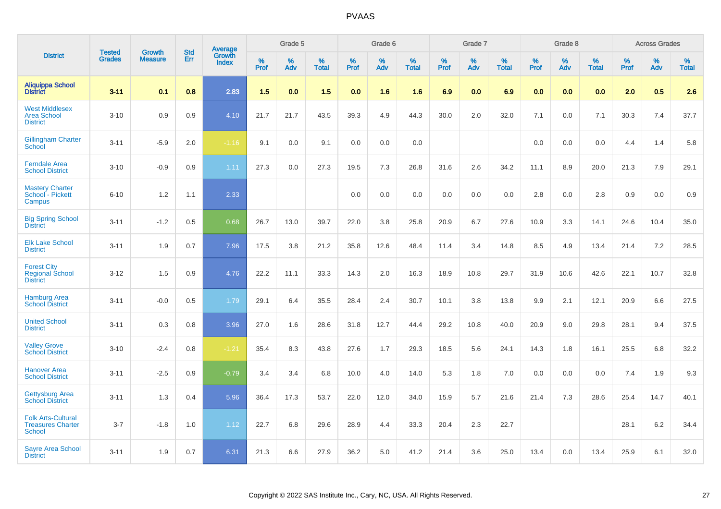|                                                                        |                                |                                 | <b>Std</b> | Average                |                     | Grade 5     |                   |                  | Grade 6     |                   |                  | Grade 7     |                   |                     | Grade 8  |                   |              | <b>Across Grades</b> |                   |
|------------------------------------------------------------------------|--------------------------------|---------------------------------|------------|------------------------|---------------------|-------------|-------------------|------------------|-------------|-------------------|------------------|-------------|-------------------|---------------------|----------|-------------------|--------------|----------------------|-------------------|
| <b>District</b>                                                        | <b>Tested</b><br><b>Grades</b> | <b>Growth</b><br><b>Measure</b> | Err        | Growth<br><b>Index</b> | $\%$<br><b>Prof</b> | $\%$<br>Adv | %<br><b>Total</b> | %<br><b>Prof</b> | $\%$<br>Adv | %<br><b>Total</b> | %<br><b>Prof</b> | $\%$<br>Adv | %<br><b>Total</b> | $\%$<br><b>Prof</b> | %<br>Adv | %<br><b>Total</b> | $\%$<br>Prof | $\%$<br>Adv          | %<br><b>Total</b> |
| <b>Aliquippa School</b><br><b>District</b>                             | $3 - 11$                       | 0.1                             | 0.8        | 2.83                   | 1.5                 | 0.0         | 1.5               | 0.0              | 1.6         | 1.6               | 6.9              | 0.0         | 6.9               | 0.0                 | 0.0      | 0.0               | 2.0          | 0.5                  | 2.6               |
| <b>West Middlesex</b><br><b>Area School</b><br><b>District</b>         | $3 - 10$                       | 0.9                             | 0.9        | 4.10                   | 21.7                | 21.7        | 43.5              | 39.3             | 4.9         | 44.3              | 30.0             | 2.0         | 32.0              | 7.1                 | 0.0      | 7.1               | 30.3         | 7.4                  | 37.7              |
| <b>Gillingham Charter</b><br>School                                    | $3 - 11$                       | $-5.9$                          | 2.0        | $-1.16$                | 9.1                 | 0.0         | 9.1               | 0.0              | 0.0         | 0.0               |                  |             |                   | 0.0                 | 0.0      | 0.0               | 4.4          | 1.4                  | 5.8               |
| <b>Ferndale Area</b><br><b>School District</b>                         | $3 - 10$                       | $-0.9$                          | 0.9        | 1.11                   | 27.3                | 0.0         | 27.3              | 19.5             | 7.3         | 26.8              | 31.6             | 2.6         | 34.2              | 11.1                | 8.9      | 20.0              | 21.3         | 7.9                  | 29.1              |
| <b>Mastery Charter</b><br>School - Pickett<br>Campus                   | $6 - 10$                       | 1.2                             | 1.1        | 2.33                   |                     |             |                   | 0.0              | 0.0         | 0.0               | 0.0              | 0.0         | 0.0               | 2.8                 | 0.0      | 2.8               | 0.9          | 0.0                  | 0.9               |
| <b>Big Spring School</b><br><b>District</b>                            | $3 - 11$                       | $-1.2$                          | 0.5        | 0.68                   | 26.7                | 13.0        | 39.7              | 22.0             | 3.8         | 25.8              | 20.9             | 6.7         | 27.6              | 10.9                | 3.3      | 14.1              | 24.6         | 10.4                 | 35.0              |
| <b>Elk Lake School</b><br><b>District</b>                              | $3 - 11$                       | 1.9                             | 0.7        | 7.96                   | 17.5                | 3.8         | 21.2              | 35.8             | 12.6        | 48.4              | 11.4             | 3.4         | 14.8              | 8.5                 | 4.9      | 13.4              | 21.4         | 7.2                  | 28.5              |
| <b>Forest City</b><br><b>Regional School</b><br><b>District</b>        | $3 - 12$                       | 1.5                             | 0.9        | 4.76                   | 22.2                | 11.1        | 33.3              | 14.3             | 2.0         | 16.3              | 18.9             | 10.8        | 29.7              | 31.9                | 10.6     | 42.6              | 22.1         | 10.7                 | 32.8              |
| <b>Hamburg Area</b><br><b>School District</b>                          | $3 - 11$                       | $-0.0$                          | 0.5        | 1.79                   | 29.1                | 6.4         | 35.5              | 28.4             | 2.4         | 30.7              | 10.1             | 3.8         | 13.8              | 9.9                 | 2.1      | 12.1              | 20.9         | 6.6                  | 27.5              |
| <b>United School</b><br><b>District</b>                                | $3 - 11$                       | 0.3                             | 0.8        | 3.96                   | 27.0                | 1.6         | 28.6              | 31.8             | 12.7        | 44.4              | 29.2             | 10.8        | 40.0              | 20.9                | 9.0      | 29.8              | 28.1         | 9.4                  | 37.5              |
| <b>Valley Grove</b><br><b>School District</b>                          | $3 - 10$                       | $-2.4$                          | 0.8        | $-1.21$                | 35.4                | 8.3         | 43.8              | 27.6             | 1.7         | 29.3              | 18.5             | 5.6         | 24.1              | 14.3                | 1.8      | 16.1              | 25.5         | 6.8                  | 32.2              |
| <b>Hanover Area</b><br><b>School District</b>                          | $3 - 11$                       | $-2.5$                          | 0.9        | $-0.79$                | 3.4                 | 3.4         | 6.8               | 10.0             | 4.0         | 14.0              | 5.3              | 1.8         | 7.0               | 0.0                 | 0.0      | 0.0               | 7.4          | 1.9                  | 9.3               |
| <b>Gettysburg Area</b><br><b>School District</b>                       | $3 - 11$                       | 1.3                             | 0.4        | 5.96                   | 36.4                | 17.3        | 53.7              | 22.0             | 12.0        | 34.0              | 15.9             | 5.7         | 21.6              | 21.4                | 7.3      | 28.6              | 25.4         | 14.7                 | 40.1              |
| <b>Folk Arts-Cultural</b><br><b>Treasures Charter</b><br><b>School</b> | $3 - 7$                        | $-1.8$                          | 1.0        | 1.12                   | 22.7                | 6.8         | 29.6              | 28.9             | 4.4         | 33.3              | 20.4             | 2.3         | 22.7              |                     |          |                   | 28.1         | 6.2                  | 34.4              |
| <b>Sayre Area School</b><br><b>District</b>                            | $3 - 11$                       | 1.9                             | 0.7        | 6.31                   | 21.3                | 6.6         | 27.9              | 36.2             | 5.0         | 41.2              | 21.4             | 3.6         | 25.0              | 13.4                | 0.0      | 13.4              | 25.9         | 6.1                  | 32.0              |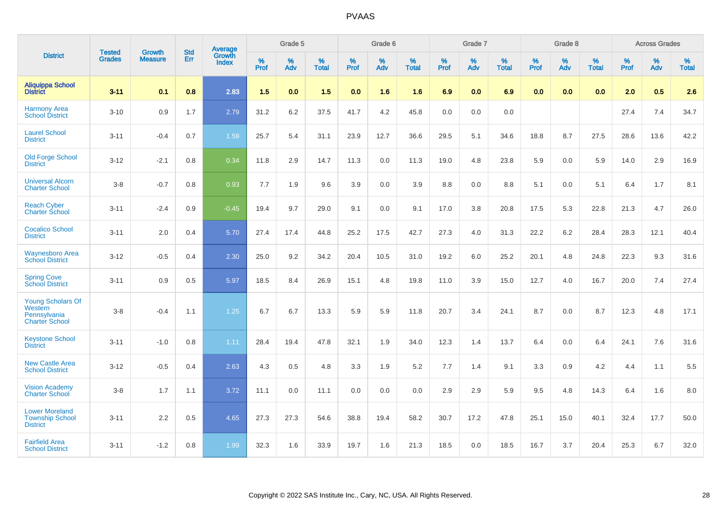|                                                                       |                         |                                 | <b>Std</b> | Average         |           | Grade 5  |                   |           | Grade 6  |                   |           | Grade 7  |                   |           | Grade 8  |                   |           | <b>Across Grades</b> |                   |
|-----------------------------------------------------------------------|-------------------------|---------------------------------|------------|-----------------|-----------|----------|-------------------|-----------|----------|-------------------|-----------|----------|-------------------|-----------|----------|-------------------|-----------|----------------------|-------------------|
| <b>District</b>                                                       | <b>Tested</b><br>Grades | <b>Growth</b><br><b>Measure</b> | Err        | Growth<br>Index | %<br>Prof | %<br>Adv | %<br><b>Total</b> | %<br>Prof | %<br>Adv | %<br><b>Total</b> | %<br>Prof | %<br>Adv | %<br><b>Total</b> | %<br>Prof | %<br>Adv | %<br><b>Total</b> | %<br>Prof | %<br>Adv             | %<br><b>Total</b> |
| <b>Aliquippa School</b><br><b>District</b>                            | $3 - 11$                | 0.1                             | 0.8        | 2.83            | 1.5       | 0.0      | 1.5               | 0.0       | 1.6      | 1.6               | 6.9       | 0.0      | 6.9               | 0.0       | 0.0      | 0.0               | 2.0       | 0.5                  | 2.6               |
| <b>Harmony Area</b><br><b>School District</b>                         | $3 - 10$                | 0.9                             | 1.7        | 2.79            | 31.2      | 6.2      | 37.5              | 41.7      | 4.2      | 45.8              | 0.0       | 0.0      | 0.0               |           |          |                   | 27.4      | 7.4                  | 34.7              |
| <b>Laurel School</b><br><b>District</b>                               | $3 - 11$                | $-0.4$                          | 0.7        | 1.59            | 25.7      | 5.4      | 31.1              | 23.9      | 12.7     | 36.6              | 29.5      | 5.1      | 34.6              | 18.8      | 8.7      | 27.5              | 28.6      | 13.6                 | 42.2              |
| <b>Old Forge School</b><br><b>District</b>                            | $3 - 12$                | $-2.1$                          | 0.8        | 0.34            | 11.8      | 2.9      | 14.7              | 11.3      | 0.0      | 11.3              | 19.0      | 4.8      | 23.8              | 5.9       | 0.0      | 5.9               | 14.0      | 2.9                  | 16.9              |
| <b>Universal Alcorn</b><br><b>Charter School</b>                      | $3 - 8$                 | $-0.7$                          | 0.8        | 0.93            | 7.7       | 1.9      | 9.6               | 3.9       | 0.0      | 3.9               | 8.8       | 0.0      | 8.8               | 5.1       | 0.0      | 5.1               | 6.4       | 1.7                  | 8.1               |
| <b>Reach Cyber</b><br><b>Charter School</b>                           | $3 - 11$                | $-2.4$                          | 0.9        | $-0.45$         | 19.4      | 9.7      | 29.0              | 9.1       | 0.0      | 9.1               | 17.0      | 3.8      | 20.8              | 17.5      | 5.3      | 22.8              | 21.3      | 4.7                  | 26.0              |
| <b>Cocalico School</b><br><b>District</b>                             | $3 - 11$                | 2.0                             | 0.4        | 5.70            | 27.4      | 17.4     | 44.8              | 25.2      | 17.5     | 42.7              | 27.3      | 4.0      | 31.3              | 22.2      | $6.2\,$  | 28.4              | 28.3      | 12.1                 | 40.4              |
| <b>Waynesboro Area</b><br><b>School District</b>                      | $3 - 12$                | $-0.5$                          | 0.4        | 2.30            | 25.0      | 9.2      | 34.2              | 20.4      | 10.5     | 31.0              | 19.2      | 6.0      | 25.2              | 20.1      | 4.8      | 24.8              | 22.3      | 9.3                  | 31.6              |
| <b>Spring Cove</b><br><b>School District</b>                          | $3 - 11$                | 0.9                             | 0.5        | 5.97            | 18.5      | 8.4      | 26.9              | 15.1      | 4.8      | 19.8              | 11.0      | 3.9      | 15.0              | 12.7      | 4.0      | 16.7              | 20.0      | 7.4                  | 27.4              |
| Young Scholars Of<br>Western<br>Pennsylvania<br><b>Charter School</b> | $3 - 8$                 | $-0.4$                          | 1.1        | 1.25            | 6.7       | 6.7      | 13.3              | 5.9       | 5.9      | 11.8              | 20.7      | 3.4      | 24.1              | 8.7       | 0.0      | 8.7               | 12.3      | 4.8                  | 17.1              |
| <b>Keystone School</b><br><b>District</b>                             | $3 - 11$                | $-1.0$                          | 0.8        | 1.11            | 28.4      | 19.4     | 47.8              | 32.1      | 1.9      | 34.0              | 12.3      | 1.4      | 13.7              | 6.4       | 0.0      | 6.4               | 24.1      | 7.6                  | 31.6              |
| <b>New Castle Area</b><br><b>School District</b>                      | $3 - 12$                | $-0.5$                          | 0.4        | 2.63            | 4.3       | 0.5      | 4.8               | 3.3       | 1.9      | 5.2               | 7.7       | 1.4      | 9.1               | 3.3       | 0.9      | 4.2               | 4.4       | 1.1                  | 5.5               |
| <b>Vision Academy</b><br><b>Charter School</b>                        | $3 - 8$                 | 1.7                             | 1.1        | 3.72            | 11.1      | 0.0      | 11.1              | 0.0       | 0.0      | 0.0               | 2.9       | 2.9      | 5.9               | 9.5       | 4.8      | 14.3              | 6.4       | 1.6                  | 8.0               |
| <b>Lower Moreland</b><br><b>Township School</b><br><b>District</b>    | $3 - 11$                | 2.2                             | 0.5        | 4.65            | 27.3      | 27.3     | 54.6              | 38.8      | 19.4     | 58.2              | 30.7      | 17.2     | 47.8              | 25.1      | 15.0     | 40.1              | 32.4      | 17.7                 | 50.0              |
| <b>Fairfield Area</b><br><b>School District</b>                       | $3 - 11$                | $-1.2$                          | 0.8        | 1.99            | 32.3      | 1.6      | 33.9              | 19.7      | 1.6      | 21.3              | 18.5      | 0.0      | 18.5              | 16.7      | 3.7      | 20.4              | 25.3      | 6.7                  | 32.0              |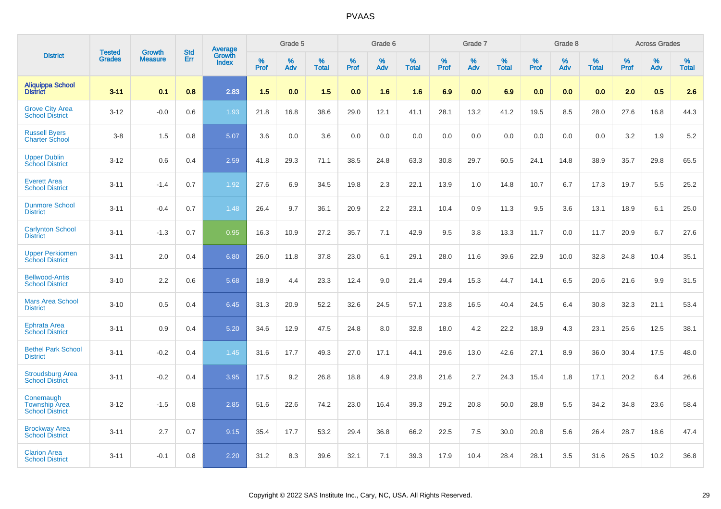|                                                             | <b>Tested</b> | <b>Growth</b>  | <b>Std</b> | Average         |              | Grade 5  |                   |              | Grade 6  |                   |              | Grade 7  |                   |              | Grade 8  |                   |              | <b>Across Grades</b> |                   |
|-------------------------------------------------------------|---------------|----------------|------------|-----------------|--------------|----------|-------------------|--------------|----------|-------------------|--------------|----------|-------------------|--------------|----------|-------------------|--------------|----------------------|-------------------|
| <b>District</b>                                             | <b>Grades</b> | <b>Measure</b> | Err        | Growth<br>Index | $\%$<br>Prof | %<br>Adv | %<br><b>Total</b> | $\%$<br>Prof | %<br>Adv | %<br><b>Total</b> | $\%$<br>Prof | %<br>Adv | %<br><b>Total</b> | $\%$<br>Prof | %<br>Adv | %<br><b>Total</b> | $\%$<br>Prof | $\%$<br>Adv          | %<br><b>Total</b> |
| <b>Aliquippa School</b><br><b>District</b>                  | $3 - 11$      | 0.1            | 0.8        | 2.83            | 1.5          | 0.0      | 1.5               | 0.0          | 1.6      | 1.6               | 6.9          | 0.0      | 6.9               | 0.0          | 0.0      | 0.0               | 2.0          | 0.5                  | 2.6               |
| <b>Grove City Area</b><br><b>School District</b>            | $3 - 12$      | $-0.0$         | 0.6        | 1.93            | 21.8         | 16.8     | 38.6              | 29.0         | 12.1     | 41.1              | 28.1         | 13.2     | 41.2              | 19.5         | 8.5      | 28.0              | 27.6         | 16.8                 | 44.3              |
| <b>Russell Bvers</b><br><b>Charter School</b>               | $3 - 8$       | 1.5            | 0.8        | 5.07            | 3.6          | 0.0      | 3.6               | 0.0          | 0.0      | 0.0               | 0.0          | 0.0      | 0.0               | 0.0          | 0.0      | 0.0               | 3.2          | 1.9                  | 5.2               |
| <b>Upper Dublin</b><br><b>School District</b>               | $3 - 12$      | 0.6            | 0.4        | 2.59            | 41.8         | 29.3     | 71.1              | 38.5         | 24.8     | 63.3              | 30.8         | 29.7     | 60.5              | 24.1         | 14.8     | 38.9              | 35.7         | 29.8                 | 65.5              |
| <b>Everett Area</b><br><b>School District</b>               | $3 - 11$      | $-1.4$         | 0.7        | 1.92            | 27.6         | 6.9      | 34.5              | 19.8         | 2.3      | 22.1              | 13.9         | 1.0      | 14.8              | 10.7         | 6.7      | 17.3              | 19.7         | 5.5                  | 25.2              |
| <b>Dunmore School</b><br><b>District</b>                    | $3 - 11$      | $-0.4$         | 0.7        | 1.48            | 26.4         | 9.7      | 36.1              | 20.9         | 2.2      | 23.1              | 10.4         | 0.9      | 11.3              | 9.5          | 3.6      | 13.1              | 18.9         | 6.1                  | 25.0              |
| <b>Carlynton School</b><br><b>District</b>                  | $3 - 11$      | $-1.3$         | 0.7        | 0.95            | 16.3         | 10.9     | 27.2              | 35.7         | 7.1      | 42.9              | 9.5          | 3.8      | 13.3              | 11.7         | 0.0      | 11.7              | 20.9         | 6.7                  | 27.6              |
| <b>Upper Perkiomen</b><br><b>School District</b>            | $3 - 11$      | 2.0            | 0.4        | 6.80            | 26.0         | 11.8     | 37.8              | 23.0         | 6.1      | 29.1              | 28.0         | 11.6     | 39.6              | 22.9         | 10.0     | 32.8              | 24.8         | 10.4                 | 35.1              |
| <b>Bellwood-Antis</b><br><b>School District</b>             | $3 - 10$      | 2.2            | 0.6        | 5.68            | 18.9         | 4.4      | 23.3              | 12.4         | 9.0      | 21.4              | 29.4         | 15.3     | 44.7              | 14.1         | 6.5      | 20.6              | 21.6         | 9.9                  | 31.5              |
| <b>Mars Area School</b><br><b>District</b>                  | $3 - 10$      | 0.5            | 0.4        | 6.45            | 31.3         | 20.9     | 52.2              | 32.6         | 24.5     | 57.1              | 23.8         | 16.5     | 40.4              | 24.5         | 6.4      | 30.8              | 32.3         | 21.1                 | 53.4              |
| <b>Ephrata Area</b><br><b>School District</b>               | $3 - 11$      | 0.9            | 0.4        | 5.20            | 34.6         | 12.9     | 47.5              | 24.8         | 8.0      | 32.8              | 18.0         | 4.2      | 22.2              | 18.9         | 4.3      | 23.1              | 25.6         | 12.5                 | 38.1              |
| <b>Bethel Park School</b><br><b>District</b>                | $3 - 11$      | $-0.2$         | 0.4        | 1.45            | 31.6         | 17.7     | 49.3              | 27.0         | 17.1     | 44.1              | 29.6         | 13.0     | 42.6              | 27.1         | 8.9      | 36.0              | 30.4         | 17.5                 | 48.0              |
| <b>Stroudsburg Area</b><br><b>School District</b>           | $3 - 11$      | $-0.2$         | 0.4        | 3.95            | 17.5         | 9.2      | 26.8              | 18.8         | 4.9      | 23.8              | 21.6         | 2.7      | 24.3              | 15.4         | 1.8      | 17.1              | 20.2         | 6.4                  | 26.6              |
| Conemaugh<br><b>Township Area</b><br><b>School District</b> | $3 - 12$      | $-1.5$         | 0.8        | 2.85            | 51.6         | 22.6     | 74.2              | 23.0         | 16.4     | 39.3              | 29.2         | 20.8     | 50.0              | 28.8         | 5.5      | 34.2              | 34.8         | 23.6                 | 58.4              |
| <b>Brockway Area</b><br><b>School District</b>              | $3 - 11$      | 2.7            | 0.7        | 9.15            | 35.4         | 17.7     | 53.2              | 29.4         | 36.8     | 66.2              | 22.5         | 7.5      | 30.0              | 20.8         | 5.6      | 26.4              | 28.7         | 18.6                 | 47.4              |
| <b>Clarion Area</b><br><b>School District</b>               | $3 - 11$      | $-0.1$         | 0.8        | 2.20            | 31.2         | 8.3      | 39.6              | 32.1         | 7.1      | 39.3              | 17.9         | 10.4     | 28.4              | 28.1         | 3.5      | 31.6              | 26.5         | 10.2                 | 36.8              |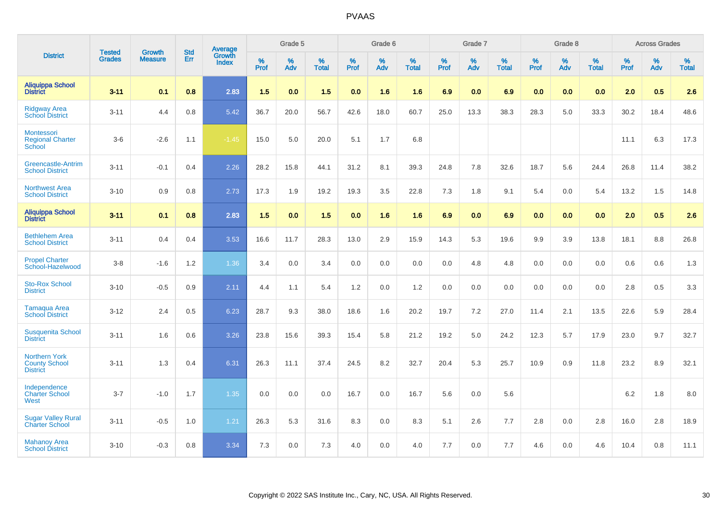|                                                                 | <b>Tested</b> | <b>Growth</b>  | <b>Std</b> | Average                       |           | Grade 5  |                   |           | Grade 6  |                   |           | Grade 7  |                   |           | Grade 8  |                   |           | <b>Across Grades</b> |                   |
|-----------------------------------------------------------------|---------------|----------------|------------|-------------------------------|-----------|----------|-------------------|-----------|----------|-------------------|-----------|----------|-------------------|-----------|----------|-------------------|-----------|----------------------|-------------------|
| <b>District</b>                                                 | <b>Grades</b> | <b>Measure</b> | Err        | <b>Growth</b><br><b>Index</b> | %<br>Prof | %<br>Adv | %<br><b>Total</b> | %<br>Prof | %<br>Adv | %<br><b>Total</b> | %<br>Prof | %<br>Adv | %<br><b>Total</b> | %<br>Prof | %<br>Adv | %<br><b>Total</b> | %<br>Prof | %<br>Adv             | %<br><b>Total</b> |
| <b>Aliquippa School</b><br><b>District</b>                      | $3 - 11$      | 0.1            | 0.8        | 2.83                          | 1.5       | 0.0      | 1.5               | 0.0       | 1.6      | 1.6               | 6.9       | 0.0      | 6.9               | 0.0       | 0.0      | 0.0               | 2.0       | 0.5                  | 2.6               |
| <b>Ridgway Area</b><br><b>School District</b>                   | $3 - 11$      | 4.4            | 0.8        | 5.42                          | 36.7      | 20.0     | 56.7              | 42.6      | 18.0     | 60.7              | 25.0      | 13.3     | 38.3              | 28.3      | 5.0      | 33.3              | 30.2      | 18.4                 | 48.6              |
| Montessori<br><b>Regional Charter</b><br>School                 | $3-6$         | $-2.6$         | 1.1        | $-1.45$                       | 15.0      | 5.0      | 20.0              | 5.1       | 1.7      | 6.8               |           |          |                   |           |          |                   | 11.1      | 6.3                  | 17.3              |
| <b>Greencastle-Antrim</b><br><b>School District</b>             | $3 - 11$      | $-0.1$         | 0.4        | 2.26                          | 28.2      | 15.8     | 44.1              | 31.2      | 8.1      | 39.3              | 24.8      | 7.8      | 32.6              | 18.7      | 5.6      | 24.4              | 26.8      | 11.4                 | 38.2              |
| <b>Northwest Area</b><br><b>School District</b>                 | $3 - 10$      | 0.9            | 0.8        | 2.73                          | 17.3      | 1.9      | 19.2              | 19.3      | 3.5      | 22.8              | 7.3       | 1.8      | 9.1               | 5.4       | 0.0      | 5.4               | 13.2      | 1.5                  | 14.8              |
| <b>Aliquippa School</b><br><b>District</b>                      | $3 - 11$      | 0.1            | 0.8        | 2.83                          | 1.5       | 0.0      | 1.5               | 0.0       | 1.6      | 1.6               | 6.9       | 0.0      | 6.9               | 0.0       | 0.0      | 0.0               | 2.0       | 0.5                  | 2.6               |
| <b>Bethlehem Area</b><br><b>School District</b>                 | $3 - 11$      | 0.4            | 0.4        | 3.53                          | 16.6      | 11.7     | 28.3              | 13.0      | 2.9      | 15.9              | 14.3      | 5.3      | 19.6              | 9.9       | 3.9      | 13.8              | 18.1      | 8.8                  | 26.8              |
| <b>Propel Charter</b><br>School-Hazelwood                       | $3 - 8$       | $-1.6$         | 1.2        | 1.36                          | 3.4       | 0.0      | 3.4               | 0.0       | 0.0      | 0.0               | 0.0       | 4.8      | 4.8               | 0.0       | 0.0      | 0.0               | 0.6       | 0.6                  | 1.3               |
| <b>Sto-Rox School</b><br><b>District</b>                        | $3 - 10$      | $-0.5$         | 0.9        | 2.11                          | 4.4       | 1.1      | 5.4               | 1.2       | 0.0      | 1.2               | 0.0       | 0.0      | 0.0               | 0.0       | 0.0      | 0.0               | 2.8       | 0.5                  | 3.3               |
| <b>Tamaqua Area</b><br><b>School District</b>                   | $3 - 12$      | 2.4            | 0.5        | 6.23                          | 28.7      | 9.3      | 38.0              | 18.6      | 1.6      | 20.2              | 19.7      | 7.2      | 27.0              | 11.4      | 2.1      | 13.5              | 22.6      | 5.9                  | 28.4              |
| <b>Susquenita School</b><br><b>District</b>                     | $3 - 11$      | 1.6            | 0.6        | 3.26                          | 23.8      | 15.6     | 39.3              | 15.4      | 5.8      | 21.2              | 19.2      | 5.0      | 24.2              | 12.3      | 5.7      | 17.9              | 23.0      | 9.7                  | 32.7              |
| <b>Northern York</b><br><b>County School</b><br><b>District</b> | $3 - 11$      | 1.3            | 0.4        | 6.31                          | 26.3      | 11.1     | 37.4              | 24.5      | 8.2      | 32.7              | 20.4      | 5.3      | 25.7              | 10.9      | 0.9      | 11.8              | 23.2      | 8.9                  | 32.1              |
| Independence<br><b>Charter School</b><br>West                   | $3 - 7$       | $-1.0$         | 1.7        | 1.35                          | 0.0       | $0.0\,$  | 0.0               | 16.7      | 0.0      | 16.7              | 5.6       | 0.0      | 5.6               |           |          |                   | 6.2       | 1.8                  | 8.0               |
| <b>Sugar Valley Rural</b><br><b>Charter School</b>              | $3 - 11$      | $-0.5$         | 1.0        | 1.21                          | 26.3      | 5.3      | 31.6              | 8.3       | 0.0      | 8.3               | 5.1       | 2.6      | 7.7               | 2.8       | 0.0      | 2.8               | 16.0      | 2.8                  | 18.9              |
| <b>Mahanoy Area</b><br><b>School District</b>                   | $3 - 10$      | $-0.3$         | 0.8        | 3.34                          | 7.3       | 0.0      | 7.3               | 4.0       | 0.0      | 4.0               | 7.7       | 0.0      | 7.7               | 4.6       | 0.0      | 4.6               | 10.4      | 0.8                  | 11.1              |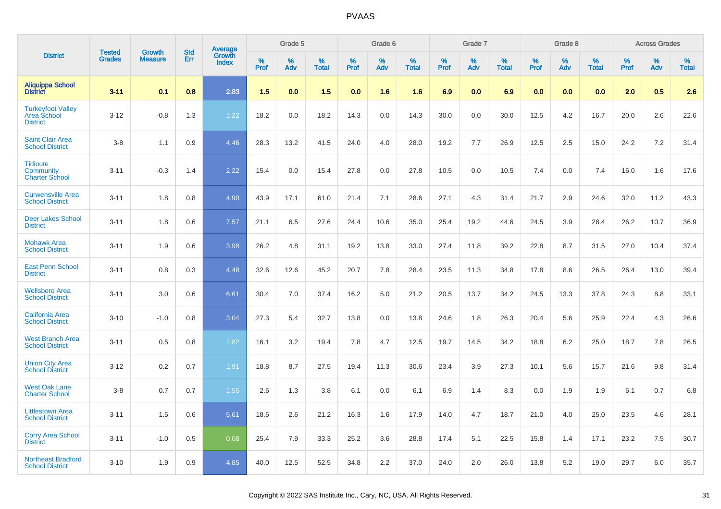|                                                                   |                                |                                 |                   |                                   |           | Grade 5  |                   |           | Grade 6  |                   |           | Grade 7  |                   |           | Grade 8  |                   |           | <b>Across Grades</b> |                   |
|-------------------------------------------------------------------|--------------------------------|---------------------------------|-------------------|-----------------------------------|-----------|----------|-------------------|-----------|----------|-------------------|-----------|----------|-------------------|-----------|----------|-------------------|-----------|----------------------|-------------------|
| <b>District</b>                                                   | <b>Tested</b><br><b>Grades</b> | <b>Growth</b><br><b>Measure</b> | <b>Std</b><br>Err | Average<br>Growth<br><b>Index</b> | %<br>Prof | %<br>Adv | %<br><b>Total</b> | %<br>Prof | %<br>Adv | %<br><b>Total</b> | %<br>Prof | %<br>Adv | %<br><b>Total</b> | %<br>Prof | %<br>Adv | %<br><b>Total</b> | %<br>Prof | %<br>Adv             | %<br><b>Total</b> |
| Aliquippa School<br>District                                      | $3 - 11$                       | 0.1                             | 0.8               | 2.83                              | 1.5       | 0.0      | 1.5               | 0.0       | 1.6      | 1.6               | 6.9       | 0.0      | 6.9               | 0.0       | 0.0      | 0.0               | 2.0       | 0.5                  | 2.6               |
| <b>Turkeyfoot Valley</b><br><b>Area School</b><br><b>District</b> | $3 - 12$                       | $-0.8$                          | 1.3               | 1.22                              | 18.2      | 0.0      | 18.2              | 14.3      | 0.0      | 14.3              | 30.0      | 0.0      | 30.0              | 12.5      | 4.2      | 16.7              | 20.0      | 2.6                  | 22.6              |
| <b>Saint Clair Area</b><br><b>School District</b>                 | $3 - 8$                        | 1.1                             | 0.9               | 4.46                              | 28.3      | 13.2     | 41.5              | 24.0      | 4.0      | 28.0              | 19.2      | 7.7      | 26.9              | 12.5      | 2.5      | 15.0              | 24.2      | $7.2\,$              | 31.4              |
| <b>Tidioute</b><br><b>Community</b><br><b>Charter School</b>      | $3 - 11$                       | $-0.3$                          | 1.4               | 2.22                              | 15.4      | 0.0      | 15.4              | 27.8      | 0.0      | 27.8              | 10.5      | 0.0      | 10.5              | 7.4       | 0.0      | 7.4               | 16.0      | 1.6                  | 17.6              |
| <b>Curwensville Area</b><br><b>School District</b>                | $3 - 11$                       | 1.8                             | 0.8               | 4.90                              | 43.9      | 17.1     | 61.0              | 21.4      | 7.1      | 28.6              | 27.1      | 4.3      | 31.4              | 21.7      | 2.9      | 24.6              | 32.0      | 11.2                 | 43.3              |
| <b>Deer Lakes School</b><br><b>District</b>                       | $3 - 11$                       | 1.8                             | 0.6               | 7.57                              | 21.1      | 6.5      | 27.6              | 24.4      | 10.6     | 35.0              | 25.4      | 19.2     | 44.6              | 24.5      | 3.9      | 28.4              | 26.2      | 10.7                 | 36.9              |
| <b>Mohawk Area</b><br><b>School District</b>                      | $3 - 11$                       | 1.9                             | 0.6               | 3.98                              | 26.2      | 4.8      | 31.1              | 19.2      | 13.8     | 33.0              | 27.4      | 11.8     | 39.2              | 22.8      | 8.7      | 31.5              | 27.0      | 10.4                 | 37.4              |
| <b>East Penn School</b><br><b>District</b>                        | $3 - 11$                       | 0.8                             | 0.3               | 4.48                              | 32.6      | 12.6     | 45.2              | 20.7      | 7.8      | 28.4              | 23.5      | 11.3     | 34.8              | 17.8      | 8.6      | 26.5              | 26.4      | 13.0                 | 39.4              |
| <b>Wellsboro Area</b><br><b>School District</b>                   | $3 - 11$                       | 3.0                             | 0.6               | 6.61                              | 30.4      | 7.0      | 37.4              | 16.2      | 5.0      | 21.2              | 20.5      | 13.7     | 34.2              | 24.5      | 13.3     | 37.8              | 24.3      | 8.8                  | 33.1              |
| <b>California Area</b><br><b>School District</b>                  | $3 - 10$                       | $-1.0$                          | 0.8               | 3.04                              | 27.3      | 5.4      | 32.7              | 13.8      | 0.0      | 13.8              | 24.6      | 1.8      | 26.3              | 20.4      | 5.6      | 25.9              | 22.4      | 4.3                  | 26.6              |
| <b>West Branch Area</b><br><b>School District</b>                 | $3 - 11$                       | 0.5                             | 0.8               | 1.82                              | 16.1      | 3.2      | 19.4              | 7.8       | 4.7      | 12.5              | 19.7      | 14.5     | 34.2              | 18.8      | 6.2      | 25.0              | 18.7      | 7.8                  | 26.5              |
| <b>Union City Area</b><br><b>School District</b>                  | $3 - 12$                       | 0.2                             | 0.7               | 1.91                              | 18.8      | 8.7      | 27.5              | 19.4      | 11.3     | 30.6              | 23.4      | 3.9      | 27.3              | 10.1      | 5.6      | 15.7              | 21.6      | 9.8                  | 31.4              |
| <b>West Oak Lane</b><br><b>Charter School</b>                     | $3 - 8$                        | 0.7                             | 0.7               | 1.55                              | 2.6       | 1.3      | 3.8               | 6.1       | 0.0      | 6.1               | 6.9       | 1.4      | 8.3               | 0.0       | 1.9      | 1.9               | 6.1       | 0.7                  | 6.8               |
| <b>Littlestown Area</b><br><b>School District</b>                 | $3 - 11$                       | 1.5                             | 0.6               | 5.61                              | 18.6      | 2.6      | 21.2              | 16.3      | 1.6      | 17.9              | 14.0      | 4.7      | 18.7              | 21.0      | 4.0      | 25.0              | 23.5      | 4.6                  | 28.1              |
| <b>Corry Area School</b><br><b>District</b>                       | $3 - 11$                       | $-1.0$                          | 0.5               | 0.08                              | 25.4      | 7.9      | 33.3              | 25.2      | 3.6      | 28.8              | 17.4      | 5.1      | 22.5              | 15.8      | 1.4      | 17.1              | 23.2      | 7.5                  | 30.7              |
| <b>Northeast Bradford</b><br><b>School District</b>               | $3 - 10$                       | 1.9                             | 0.9               | 4.85                              | 40.0      | 12.5     | 52.5              | 34.8      | 2.2      | 37.0              | 24.0      | 2.0      | 26.0              | 13.8      | 5.2      | 19.0              | 29.7      | 6.0                  | 35.7              |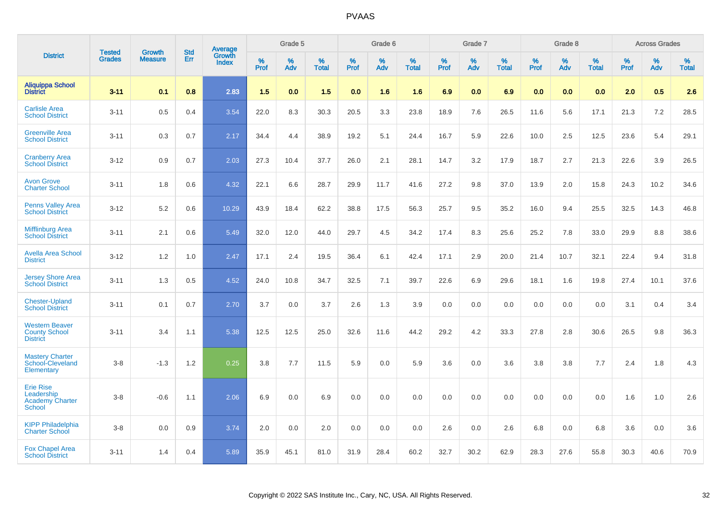|                                                                    | <b>Tested</b> | <b>Growth</b>  | <b>Std</b> | Average<br>Growth |                  | Grade 5  |                   |           | Grade 6  |                   |           | Grade 7  |                   |           | Grade 8  |                   |                     | <b>Across Grades</b> |                   |
|--------------------------------------------------------------------|---------------|----------------|------------|-------------------|------------------|----------|-------------------|-----------|----------|-------------------|-----------|----------|-------------------|-----------|----------|-------------------|---------------------|----------------------|-------------------|
| <b>District</b>                                                    | <b>Grades</b> | <b>Measure</b> | <b>Err</b> | <b>Index</b>      | %<br><b>Prof</b> | %<br>Adv | %<br><b>Total</b> | %<br>Prof | %<br>Adv | %<br><b>Total</b> | %<br>Prof | %<br>Adv | %<br><b>Total</b> | %<br>Prof | %<br>Adv | %<br><b>Total</b> | $\%$<br><b>Prof</b> | $\%$<br>Adv          | %<br><b>Total</b> |
| <b>Aliquippa School</b><br><b>District</b>                         | $3 - 11$      | 0.1            | 0.8        | 2.83              | 1.5              | 0.0      | 1.5               | 0.0       | 1.6      | 1.6               | 6.9       | 0.0      | 6.9               | 0.0       | 0.0      | 0.0               | 2.0                 | 0.5                  | 2.6               |
| <b>Carlisle Area</b><br><b>School District</b>                     | $3 - 11$      | 0.5            | 0.4        | 3.54              | 22.0             | 8.3      | 30.3              | 20.5      | 3.3      | 23.8              | 18.9      | 7.6      | 26.5              | 11.6      | 5.6      | 17.1              | 21.3                | 7.2                  | 28.5              |
| <b>Greenville Area</b><br><b>School District</b>                   | $3 - 11$      | 0.3            | 0.7        | 2.17              | 34.4             | 4.4      | 38.9              | 19.2      | 5.1      | 24.4              | 16.7      | 5.9      | 22.6              | 10.0      | 2.5      | 12.5              | 23.6                | 5.4                  | 29.1              |
| <b>Cranberry Area</b><br><b>School District</b>                    | $3 - 12$      | 0.9            | 0.7        | 2.03              | 27.3             | 10.4     | 37.7              | 26.0      | 2.1      | 28.1              | 14.7      | 3.2      | 17.9              | 18.7      | 2.7      | 21.3              | 22.6                | 3.9                  | 26.5              |
| <b>Avon Grove</b><br><b>Charter School</b>                         | $3 - 11$      | 1.8            | 0.6        | 4.32              | 22.1             | 6.6      | 28.7              | 29.9      | 11.7     | 41.6              | 27.2      | 9.8      | 37.0              | 13.9      | 2.0      | 15.8              | 24.3                | 10.2                 | 34.6              |
| <b>Penns Valley Area</b><br><b>School District</b>                 | $3 - 12$      | 5.2            | 0.6        | 10.29             | 43.9             | 18.4     | 62.2              | 38.8      | 17.5     | 56.3              | 25.7      | 9.5      | 35.2              | 16.0      | 9.4      | 25.5              | 32.5                | 14.3                 | 46.8              |
| <b>Mifflinburg Area</b><br><b>School District</b>                  | $3 - 11$      | 2.1            | 0.6        | 5.49              | 32.0             | 12.0     | 44.0              | 29.7      | 4.5      | 34.2              | 17.4      | 8.3      | 25.6              | 25.2      | 7.8      | 33.0              | 29.9                | 8.8                  | 38.6              |
| <b>Avella Area School</b><br><b>District</b>                       | $3 - 12$      | 1.2            | 1.0        | 2.47              | 17.1             | 2.4      | 19.5              | 36.4      | 6.1      | 42.4              | 17.1      | 2.9      | 20.0              | 21.4      | 10.7     | 32.1              | 22.4                | 9.4                  | 31.8              |
| <b>Jersey Shore Area</b><br><b>School District</b>                 | $3 - 11$      | 1.3            | 0.5        | 4.52              | 24.0             | 10.8     | 34.7              | 32.5      | 7.1      | 39.7              | 22.6      | 6.9      | 29.6              | 18.1      | 1.6      | 19.8              | 27.4                | 10.1                 | 37.6              |
| <b>Chester-Upland</b><br><b>School District</b>                    | $3 - 11$      | 0.1            | 0.7        | 2.70              | 3.7              | 0.0      | 3.7               | 2.6       | 1.3      | 3.9               | 0.0       | 0.0      | 0.0               | 0.0       | 0.0      | 0.0               | 3.1                 | 0.4                  | 3.4               |
| <b>Western Beaver</b><br><b>County School</b><br><b>District</b>   | $3 - 11$      | 3.4            | 1.1        | 5.38              | 12.5             | 12.5     | 25.0              | 32.6      | 11.6     | 44.2              | 29.2      | 4.2      | 33.3              | 27.8      | 2.8      | 30.6              | 26.5                | 9.8                  | 36.3              |
| <b>Mastery Charter</b><br>School-Cleveland<br>Elementary           | $3 - 8$       | $-1.3$         | 1.2        | 0.25              | 3.8              | 7.7      | 11.5              | 5.9       | 0.0      | 5.9               | 3.6       | 0.0      | 3.6               | 3.8       | 3.8      | 7.7               | 2.4                 | 1.8                  | 4.3               |
| <b>Erie Rise</b><br>Leadership<br><b>Academy Charter</b><br>School | $3 - 8$       | $-0.6$         | 1.1        | 2.06              | 6.9              | 0.0      | 6.9               | 0.0       | 0.0      | 0.0               | 0.0       | 0.0      | 0.0               | 0.0       | 0.0      | 0.0               | 1.6                 | 1.0                  | 2.6               |
| <b>KIPP Philadelphia</b><br><b>Charter School</b>                  | $3 - 8$       | 0.0            | 0.9        | 3.74              | 2.0              | 0.0      | 2.0               | 0.0       | 0.0      | 0.0               | 2.6       | 0.0      | 2.6               | 6.8       | 0.0      | 6.8               | 3.6                 | 0.0                  | 3.6               |
| Fox Chapel Area<br><b>School District</b>                          | $3 - 11$      | 1.4            | 0.4        | 5.89              | 35.9             | 45.1     | 81.0              | 31.9      | 28.4     | 60.2              | 32.7      | 30.2     | 62.9              | 28.3      | 27.6     | 55.8              | 30.3                | 40.6                 | 70.9              |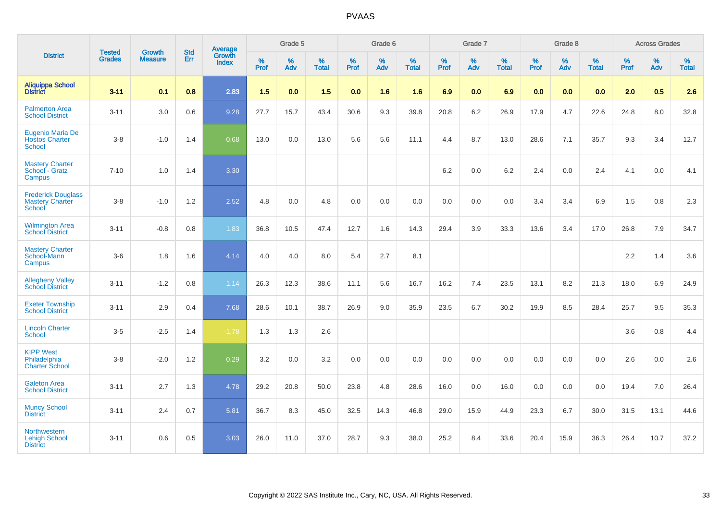|                                                                      | <b>Tested</b> | <b>Growth</b>  | <b>Std</b> | Average                |           | Grade 5  |                   |           | Grade 6  |                   |           | Grade 7  |                   |           | Grade 8  |                   |           | <b>Across Grades</b> |                   |
|----------------------------------------------------------------------|---------------|----------------|------------|------------------------|-----------|----------|-------------------|-----------|----------|-------------------|-----------|----------|-------------------|-----------|----------|-------------------|-----------|----------------------|-------------------|
| <b>District</b>                                                      | <b>Grades</b> | <b>Measure</b> | Err        | Growth<br><b>Index</b> | %<br>Prof | %<br>Adv | %<br><b>Total</b> | %<br>Prof | %<br>Adv | %<br><b>Total</b> | %<br>Prof | %<br>Adv | %<br><b>Total</b> | %<br>Prof | %<br>Adv | %<br><b>Total</b> | %<br>Prof | %<br>Adv             | %<br><b>Total</b> |
| <b>Aliquippa School</b><br><b>District</b>                           | $3 - 11$      | 0.1            | 0.8        | 2.83                   | 1.5       | 0.0      | 1.5               | 0.0       | 1.6      | 1.6               | 6.9       | 0.0      | 6.9               | 0.0       | 0.0      | 0.0               | 2.0       | 0.5                  | 2.6               |
| <b>Palmerton Area</b><br><b>School District</b>                      | $3 - 11$      | 3.0            | 0.6        | 9.28                   | 27.7      | 15.7     | 43.4              | 30.6      | 9.3      | 39.8              | 20.8      | 6.2      | 26.9              | 17.9      | 4.7      | 22.6              | 24.8      | 8.0                  | 32.8              |
| <b>Eugenio Maria De</b><br><b>Hostos Charter</b><br><b>School</b>    | $3 - 8$       | $-1.0$         | 1.4        | 0.68                   | 13.0      | 0.0      | 13.0              | 5.6       | 5.6      | 11.1              | 4.4       | 8.7      | 13.0              | 28.6      | 7.1      | 35.7              | 9.3       | 3.4                  | 12.7              |
| <b>Mastery Charter</b><br>School - Gratz<br>Campus                   | $7 - 10$      | 1.0            | 1.4        | 3.30                   |           |          |                   |           |          |                   | 6.2       | 0.0      | 6.2               | 2.4       | 0.0      | 2.4               | 4.1       | 0.0                  | 4.1               |
| <b>Frederick Douglass</b><br><b>Mastery Charter</b><br><b>School</b> | $3 - 8$       | $-1.0$         | 1.2        | 2.52                   | 4.8       | 0.0      | 4.8               | 0.0       | 0.0      | 0.0               | 0.0       | $0.0\,$  | 0.0               | 3.4       | 3.4      | 6.9               | 1.5       | $0.8\,$              | 2.3               |
| <b>Wilmington Area</b><br><b>School District</b>                     | $3 - 11$      | $-0.8$         | 0.8        | 1.83                   | 36.8      | 10.5     | 47.4              | 12.7      | 1.6      | 14.3              | 29.4      | 3.9      | 33.3              | 13.6      | 3.4      | 17.0              | 26.8      | 7.9                  | 34.7              |
| <b>Mastery Charter</b><br>School-Mann<br>Campus                      | $3-6$         | 1.8            | 1.6        | 4.14                   | 4.0       | 4.0      | 8.0               | 5.4       | 2.7      | 8.1               |           |          |                   |           |          |                   | 2.2       | 1.4                  | 3.6               |
| <b>Allegheny Valley</b><br><b>School District</b>                    | $3 - 11$      | $-1.2$         | 0.8        | 1.14                   | 26.3      | 12.3     | 38.6              | 11.1      | 5.6      | 16.7              | 16.2      | 7.4      | 23.5              | 13.1      | 8.2      | 21.3              | 18.0      | 6.9                  | 24.9              |
| <b>Exeter Township</b><br><b>School District</b>                     | $3 - 11$      | 2.9            | 0.4        | 7.68                   | 28.6      | 10.1     | 38.7              | 26.9      | 9.0      | 35.9              | 23.5      | 6.7      | 30.2              | 19.9      | 8.5      | 28.4              | 25.7      | 9.5                  | 35.3              |
| <b>Lincoln Charter</b><br><b>School</b>                              | $3-5$         | $-2.5$         | 1.4        | $-1.78$                | 1.3       | 1.3      | 2.6               |           |          |                   |           |          |                   |           |          |                   | 3.6       | 0.8                  | 4.4               |
| <b>KIPP West</b><br>Philadelphia<br><b>Charter School</b>            | $3 - 8$       | $-2.0$         | 1.2        | 0.29                   | 3.2       | 0.0      | 3.2               | $0.0\,$   | 0.0      | 0.0               | $0.0\,$   | 0.0      | 0.0               | 0.0       | 0.0      | 0.0               | 2.6       | 0.0                  | 2.6               |
| <b>Galeton Area</b><br><b>School District</b>                        | $3 - 11$      | 2.7            | 1.3        | 4.78                   | 29.2      | 20.8     | 50.0              | 23.8      | 4.8      | 28.6              | 16.0      | 0.0      | 16.0              | 0.0       | 0.0      | 0.0               | 19.4      | 7.0                  | 26.4              |
| <b>Muncy School</b><br><b>District</b>                               | $3 - 11$      | 2.4            | 0.7        | 5.81                   | 36.7      | 8.3      | 45.0              | 32.5      | 14.3     | 46.8              | 29.0      | 15.9     | 44.9              | 23.3      | 6.7      | 30.0              | 31.5      | 13.1                 | 44.6              |
| <b>Northwestern</b><br><b>Lehigh School</b><br><b>District</b>       | $3 - 11$      | 0.6            | 0.5        | 3.03                   | 26.0      | 11.0     | 37.0              | 28.7      | 9.3      | 38.0              | 25.2      | 8.4      | 33.6              | 20.4      | 15.9     | 36.3              | 26.4      | 10.7                 | 37.2              |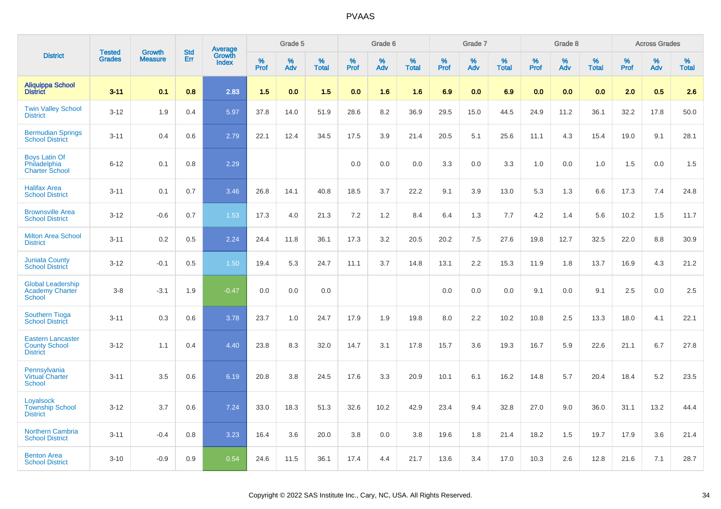|                                                                     | <b>Tested</b> | <b>Growth</b>  | <b>Std</b> |                                   |              | Grade 5  |                   |           | Grade 6  |                   |           | Grade 7  |                   |           | Grade 8  |                   |              | <b>Across Grades</b> |                   |
|---------------------------------------------------------------------|---------------|----------------|------------|-----------------------------------|--------------|----------|-------------------|-----------|----------|-------------------|-----------|----------|-------------------|-----------|----------|-------------------|--------------|----------------------|-------------------|
| <b>District</b>                                                     | <b>Grades</b> | <b>Measure</b> | <b>Err</b> | Average<br>Growth<br><b>Index</b> | $\%$<br>Prof | %<br>Adv | %<br><b>Total</b> | %<br>Prof | %<br>Adv | %<br><b>Total</b> | %<br>Prof | %<br>Adv | %<br><b>Total</b> | %<br>Prof | %<br>Adv | %<br><b>Total</b> | $\%$<br>Prof | %<br>Adv             | %<br><b>Total</b> |
| <b>Aliquippa School</b><br><b>District</b>                          | $3 - 11$      | 0.1            | 0.8        | 2.83                              | 1.5          | 0.0      | 1.5               | 0.0       | 1.6      | 1.6               | 6.9       | 0.0      | 6.9               | 0.0       | 0.0      | 0.0               | 2.0          | 0.5                  | 2.6               |
| <b>Twin Valley School</b><br><b>District</b>                        | $3 - 12$      | 1.9            | 0.4        | 5.97                              | 37.8         | 14.0     | 51.9              | 28.6      | 8.2      | 36.9              | 29.5      | 15.0     | 44.5              | 24.9      | 11.2     | 36.1              | 32.2         | 17.8                 | 50.0              |
| <b>Bermudian Springs</b><br><b>School District</b>                  | $3 - 11$      | 0.4            | 0.6        | 2.79                              | 22.1         | 12.4     | 34.5              | 17.5      | 3.9      | 21.4              | 20.5      | 5.1      | 25.6              | 11.1      | 4.3      | 15.4              | 19.0         | 9.1                  | 28.1              |
| <b>Boys Latin Of</b><br>Philadelphia<br><b>Charter School</b>       | $6 - 12$      | 0.1            | 0.8        | 2.29                              |              |          |                   | 0.0       | 0.0      | 0.0               | 3.3       | 0.0      | 3.3               | 1.0       | 0.0      | 1.0               | 1.5          | 0.0                  | 1.5               |
| <b>Halifax Area</b><br><b>School District</b>                       | $3 - 11$      | 0.1            | 0.7        | 3.46                              | 26.8         | 14.1     | 40.8              | 18.5      | 3.7      | 22.2              | 9.1       | 3.9      | 13.0              | 5.3       | 1.3      | 6.6               | 17.3         | 7.4                  | 24.8              |
| <b>Brownsville Area</b><br><b>School District</b>                   | $3 - 12$      | $-0.6$         | 0.7        | 1.53                              | 17.3         | 4.0      | 21.3              | 7.2       | 1.2      | 8.4               | 6.4       | 1.3      | 7.7               | 4.2       | 1.4      | 5.6               | 10.2         | 1.5                  | 11.7              |
| <b>Milton Area School</b><br><b>District</b>                        | $3 - 11$      | 0.2            | 0.5        | 2.24                              | 24.4         | 11.8     | 36.1              | 17.3      | 3.2      | 20.5              | 20.2      | 7.5      | 27.6              | 19.8      | 12.7     | 32.5              | 22.0         | 8.8                  | 30.9              |
| <b>Juniata County</b><br><b>School District</b>                     | $3 - 12$      | $-0.1$         | 0.5        | 1.50                              | 19.4         | 5.3      | 24.7              | 11.1      | 3.7      | 14.8              | 13.1      | 2.2      | 15.3              | 11.9      | 1.8      | 13.7              | 16.9         | 4.3                  | 21.2              |
| <b>Global Leadership</b><br>Academy Charter<br>School               | $3 - 8$       | $-3.1$         | 1.9        | $-0.47$                           | 0.0          | 0.0      | 0.0               |           |          |                   | 0.0       | 0.0      | 0.0               | 9.1       | 0.0      | 9.1               | 2.5          | 0.0                  | 2.5               |
| <b>Southern Tioga</b><br><b>School District</b>                     | $3 - 11$      | 0.3            | 0.6        | 3.78                              | 23.7         | 1.0      | 24.7              | 17.9      | 1.9      | 19.8              | 8.0       | 2.2      | 10.2              | 10.8      | 2.5      | 13.3              | 18.0         | 4.1                  | 22.1              |
| <b>Eastern Lancaster</b><br><b>County School</b><br><b>District</b> | $3 - 12$      | 1.1            | 0.4        | 4.40                              | 23.8         | 8.3      | 32.0              | 14.7      | 3.1      | 17.8              | 15.7      | 3.6      | 19.3              | 16.7      | 5.9      | 22.6              | 21.1         | 6.7                  | 27.8              |
| Pennsylvania<br><b>Virtual Charter</b><br><b>School</b>             | $3 - 11$      | 3.5            | 0.6        | 6.19                              | 20.8         | 3.8      | 24.5              | 17.6      | 3.3      | 20.9              | 10.1      | 6.1      | 16.2              | 14.8      | 5.7      | 20.4              | 18.4         | 5.2                  | 23.5              |
| Loyalsock<br><b>Township School</b><br><b>District</b>              | $3 - 12$      | 3.7            | 0.6        | 7.24                              | 33.0         | 18.3     | 51.3              | 32.6      | 10.2     | 42.9              | 23.4      | 9.4      | 32.8              | 27.0      | 9.0      | 36.0              | 31.1         | 13.2                 | 44.4              |
| <b>Northern Cambria</b><br><b>School District</b>                   | $3 - 11$      | $-0.4$         | 0.8        | 3.23                              | 16.4         | 3.6      | 20.0              | 3.8       | 0.0      | 3.8               | 19.6      | 1.8      | 21.4              | 18.2      | 1.5      | 19.7              | 17.9         | 3.6                  | 21.4              |
| <b>Benton Area</b><br><b>School District</b>                        | $3 - 10$      | $-0.9$         | 0.9        | 0.54                              | 24.6         | 11.5     | 36.1              | 17.4      | 4.4      | 21.7              | 13.6      | 3.4      | 17.0              | 10.3      | 2.6      | 12.8              | 21.6         | 7.1                  | 28.7              |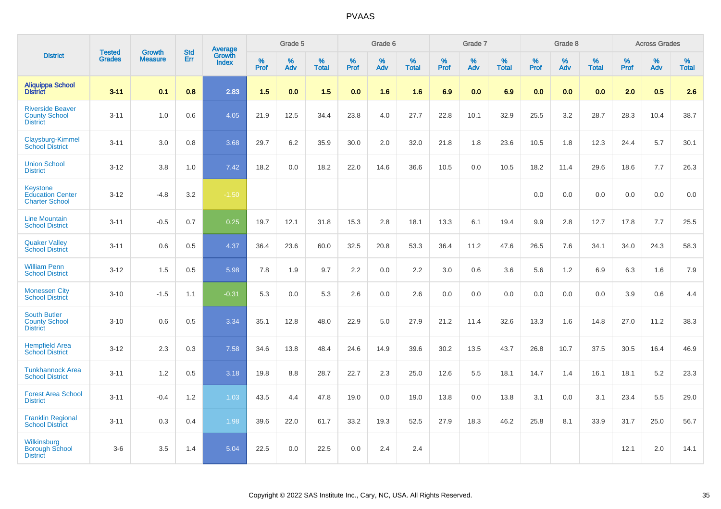|                                                                     |                                |                                 | <b>Std</b> | Average                |                     | Grade 5     |                   |                  | Grade 6  |                   |                  | Grade 7  |                   |                  | Grade 8  |                   |                     | <b>Across Grades</b> |                   |
|---------------------------------------------------------------------|--------------------------------|---------------------------------|------------|------------------------|---------------------|-------------|-------------------|------------------|----------|-------------------|------------------|----------|-------------------|------------------|----------|-------------------|---------------------|----------------------|-------------------|
| <b>District</b>                                                     | <b>Tested</b><br><b>Grades</b> | <b>Growth</b><br><b>Measure</b> | Err        | Growth<br><b>Index</b> | $\%$<br><b>Prof</b> | $\%$<br>Adv | %<br><b>Total</b> | %<br><b>Prof</b> | %<br>Adv | %<br><b>Total</b> | %<br><b>Prof</b> | %<br>Adv | %<br><b>Total</b> | %<br><b>Prof</b> | %<br>Adv | %<br><b>Total</b> | $\%$<br><b>Prof</b> | $\%$<br>Adv          | %<br><b>Total</b> |
| <b>Aliquippa School</b><br><b>District</b>                          | $3 - 11$                       | 0.1                             | 0.8        | 2.83                   | 1.5                 | 0.0         | 1.5               | 0.0              | 1.6      | 1.6               | 6.9              | 0.0      | 6.9               | 0.0              | 0.0      | 0.0               | 2.0                 | 0.5                  | 2.6               |
| <b>Riverside Beaver</b><br><b>County School</b><br><b>District</b>  | $3 - 11$                       | 1.0                             | 0.6        | 4.05                   | 21.9                | 12.5        | 34.4              | 23.8             | 4.0      | 27.7              | 22.8             | 10.1     | 32.9              | 25.5             | 3.2      | 28.7              | 28.3                | 10.4                 | 38.7              |
| Claysburg-Kimmel<br><b>School District</b>                          | $3 - 11$                       | 3.0                             | 0.8        | 3.68                   | 29.7                | 6.2         | 35.9              | 30.0             | 2.0      | 32.0              | 21.8             | 1.8      | 23.6              | 10.5             | 1.8      | 12.3              | 24.4                | 5.7                  | 30.1              |
| <b>Union School</b><br><b>District</b>                              | $3 - 12$                       | 3.8                             | 1.0        | 7.42                   | 18.2                | 0.0         | 18.2              | 22.0             | 14.6     | 36.6              | 10.5             | 0.0      | 10.5              | 18.2             | 11.4     | 29.6              | 18.6                | 7.7                  | 26.3              |
| <b>Keystone</b><br><b>Education Center</b><br><b>Charter School</b> | $3 - 12$                       | $-4.8$                          | 3.2        | $-1.50$                |                     |             |                   |                  |          |                   |                  |          |                   | 0.0              | 0.0      | 0.0               | 0.0                 | 0.0                  | 0.0               |
| <b>Line Mountain</b><br><b>School District</b>                      | $3 - 11$                       | $-0.5$                          | 0.7        | 0.25                   | 19.7                | 12.1        | 31.8              | 15.3             | 2.8      | 18.1              | 13.3             | 6.1      | 19.4              | 9.9              | 2.8      | 12.7              | 17.8                | 7.7                  | 25.5              |
| <b>Quaker Valley</b><br><b>School District</b>                      | $3 - 11$                       | 0.6                             | 0.5        | 4.37                   | 36.4                | 23.6        | 60.0              | 32.5             | 20.8     | 53.3              | 36.4             | 11.2     | 47.6              | 26.5             | 7.6      | 34.1              | 34.0                | 24.3                 | 58.3              |
| <b>William Penn</b><br><b>School District</b>                       | $3 - 12$                       | 1.5                             | 0.5        | 5.98                   | 7.8                 | 1.9         | 9.7               | 2.2              | 0.0      | 2.2               | 3.0              | 0.6      | 3.6               | 5.6              | 1.2      | 6.9               | 6.3                 | 1.6                  | 7.9               |
| <b>Monessen City</b><br><b>School District</b>                      | $3 - 10$                       | $-1.5$                          | 1.1        | $-0.31$                | 5.3                 | 0.0         | 5.3               | 2.6              | 0.0      | 2.6               | 0.0              | 0.0      | 0.0               | 0.0              | 0.0      | 0.0               | 3.9                 | 0.6                  | 4.4               |
| <b>South Butler</b><br><b>County School</b><br><b>District</b>      | $3 - 10$                       | 0.6                             | 0.5        | 3.34                   | 35.1                | 12.8        | 48.0              | 22.9             | 5.0      | 27.9              | 21.2             | 11.4     | 32.6              | 13.3             | 1.6      | 14.8              | 27.0                | 11.2                 | 38.3              |
| <b>Hempfield Area</b><br><b>School District</b>                     | $3 - 12$                       | 2.3                             | 0.3        | 7.58                   | 34.6                | 13.8        | 48.4              | 24.6             | 14.9     | 39.6              | 30.2             | 13.5     | 43.7              | 26.8             | 10.7     | 37.5              | 30.5                | 16.4                 | 46.9              |
| <b>Tunkhannock Area</b><br><b>School District</b>                   | $3 - 11$                       | 1.2                             | 0.5        | 3.18                   | 19.8                | 8.8         | 28.7              | 22.7             | 2.3      | 25.0              | 12.6             | 5.5      | 18.1              | 14.7             | 1.4      | 16.1              | 18.1                | 5.2                  | 23.3              |
| <b>Forest Area School</b><br><b>District</b>                        | $3 - 11$                       | $-0.4$                          | 1.2        | 1.03                   | 43.5                | 4.4         | 47.8              | 19.0             | 0.0      | 19.0              | 13.8             | 0.0      | 13.8              | 3.1              | 0.0      | 3.1               | 23.4                | 5.5                  | 29.0              |
| <b>Franklin Regional</b><br><b>School District</b>                  | $3 - 11$                       | 0.3                             | 0.4        | 1.98                   | 39.6                | 22.0        | 61.7              | 33.2             | 19.3     | 52.5              | 27.9             | 18.3     | 46.2              | 25.8             | 8.1      | 33.9              | 31.7                | 25.0                 | 56.7              |
| Wilkinsburg<br><b>Borough School</b><br><b>District</b>             | $3-6$                          | 3.5                             | 1.4        | 5.04                   | 22.5                | 0.0         | 22.5              | 0.0              | 2.4      | 2.4               |                  |          |                   |                  |          |                   | 12.1                | 2.0                  | 14.1              |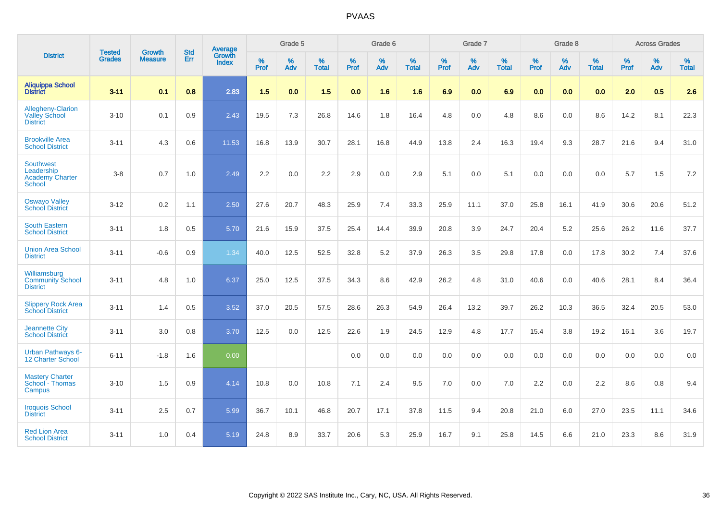|                                                                    | <b>Tested</b> | <b>Growth</b>  | <b>Std</b> | Average                |                     | Grade 5  |                      |                     | Grade 6  |                   |              | Grade 7  |                   |                     | Grade 8  |                   |                     | <b>Across Grades</b> |                   |
|--------------------------------------------------------------------|---------------|----------------|------------|------------------------|---------------------|----------|----------------------|---------------------|----------|-------------------|--------------|----------|-------------------|---------------------|----------|-------------------|---------------------|----------------------|-------------------|
| <b>District</b>                                                    | <b>Grades</b> | <b>Measure</b> | <b>Err</b> | Growth<br><b>Index</b> | $\%$<br><b>Prof</b> | %<br>Adv | $\%$<br><b>Total</b> | $\%$<br><b>Prof</b> | %<br>Adv | %<br><b>Total</b> | $\%$<br>Prof | %<br>Adv | %<br><b>Total</b> | $\%$<br><b>Prof</b> | %<br>Adv | %<br><b>Total</b> | $\%$<br><b>Prof</b> | %<br>Adv             | %<br><b>Total</b> |
| <b>Aliquippa School</b><br><b>District</b>                         | $3 - 11$      | 0.1            | 0.8        | 2.83                   | 1.5                 | 0.0      | 1.5                  | 0.0                 | 1.6      | 1.6               | 6.9          | 0.0      | 6.9               | 0.0                 | 0.0      | 0.0               | 2.0                 | 0.5                  | 2.6               |
| Allegheny-Clarion<br><b>Valley School</b><br><b>District</b>       | $3 - 10$      | 0.1            | 0.9        | 2.43                   | 19.5                | 7.3      | 26.8                 | 14.6                | 1.8      | 16.4              | 4.8          | 0.0      | 4.8               | 8.6                 | 0.0      | 8.6               | 14.2                | 8.1                  | 22.3              |
| <b>Brookville Area</b><br><b>School District</b>                   | $3 - 11$      | 4.3            | 0.6        | 11.53                  | 16.8                | 13.9     | 30.7                 | 28.1                | 16.8     | 44.9              | 13.8         | 2.4      | 16.3              | 19.4                | 9.3      | 28.7              | 21.6                | 9.4                  | 31.0              |
| <b>Southwest</b><br>Leadership<br><b>Academy Charter</b><br>School | $3 - 8$       | 0.7            | 1.0        | 2.49                   | 2.2                 | 0.0      | 2.2                  | 2.9                 | 0.0      | 2.9               | 5.1          | 0.0      | 5.1               | 0.0                 | 0.0      | 0.0               | 5.7                 | 1.5                  | 7.2               |
| <b>Oswayo Valley</b><br><b>School District</b>                     | $3 - 12$      | 0.2            | 1.1        | 2.50                   | 27.6                | 20.7     | 48.3                 | 25.9                | 7.4      | 33.3              | 25.9         | 11.1     | 37.0              | 25.8                | 16.1     | 41.9              | 30.6                | 20.6                 | 51.2              |
| <b>South Eastern</b><br><b>School District</b>                     | $3 - 11$      | 1.8            | 0.5        | 5.70                   | 21.6                | 15.9     | 37.5                 | 25.4                | 14.4     | 39.9              | 20.8         | 3.9      | 24.7              | 20.4                | 5.2      | 25.6              | 26.2                | 11.6                 | 37.7              |
| <b>Union Area School</b><br><b>District</b>                        | $3 - 11$      | $-0.6$         | 0.9        | 1.34                   | 40.0                | 12.5     | 52.5                 | 32.8                | 5.2      | 37.9              | 26.3         | 3.5      | 29.8              | 17.8                | 0.0      | 17.8              | 30.2                | 7.4                  | 37.6              |
| Williamsburg<br><b>Community School</b><br><b>District</b>         | $3 - 11$      | 4.8            | 1.0        | 6.37                   | 25.0                | 12.5     | 37.5                 | 34.3                | 8.6      | 42.9              | 26.2         | 4.8      | 31.0              | 40.6                | 0.0      | 40.6              | 28.1                | 8.4                  | 36.4              |
| <b>Slippery Rock Area</b><br><b>School District</b>                | $3 - 11$      | 1.4            | 0.5        | 3.52                   | 37.0                | 20.5     | 57.5                 | 28.6                | 26.3     | 54.9              | 26.4         | 13.2     | 39.7              | 26.2                | 10.3     | 36.5              | 32.4                | 20.5                 | 53.0              |
| <b>Jeannette City</b><br><b>School District</b>                    | $3 - 11$      | 3.0            | 0.8        | 3.70                   | 12.5                | 0.0      | 12.5                 | 22.6                | 1.9      | 24.5              | 12.9         | 4.8      | 17.7              | 15.4                | 3.8      | 19.2              | 16.1                | 3.6                  | 19.7              |
| <b>Urban Pathways 6-</b><br>12 Charter School                      | $6 - 11$      | $-1.8$         | 1.6        | 0.00                   |                     |          |                      | $0.0\,$             | $0.0\,$  | 0.0               | $0.0\,$      | $0.0\,$  | 0.0               | 0.0                 | $0.0\,$  | 0.0               | 0.0                 | $0.0\,$              | $0.0\,$           |
| <b>Mastery Charter</b><br>School - Thomas<br>Campus                | $3 - 10$      | 1.5            | 0.9        | 4.14                   | 10.8                | 0.0      | 10.8                 | 7.1                 | 2.4      | 9.5               | 7.0          | 0.0      | 7.0               | 2.2                 | 0.0      | 2.2               | 8.6                 | 0.8                  | 9.4               |
| <b>Iroquois School</b><br><b>District</b>                          | $3 - 11$      | 2.5            | 0.7        | 5.99                   | 36.7                | 10.1     | 46.8                 | 20.7                | 17.1     | 37.8              | 11.5         | 9.4      | 20.8              | 21.0                | 6.0      | 27.0              | 23.5                | 11.1                 | 34.6              |
| <b>Red Lion Area</b><br><b>School District</b>                     | $3 - 11$      | 1.0            | 0.4        | 5.19                   | 24.8                | 8.9      | 33.7                 | 20.6                | 5.3      | 25.9              | 16.7         | 9.1      | 25.8              | 14.5                | 6.6      | 21.0              | 23.3                | 8.6                  | 31.9              |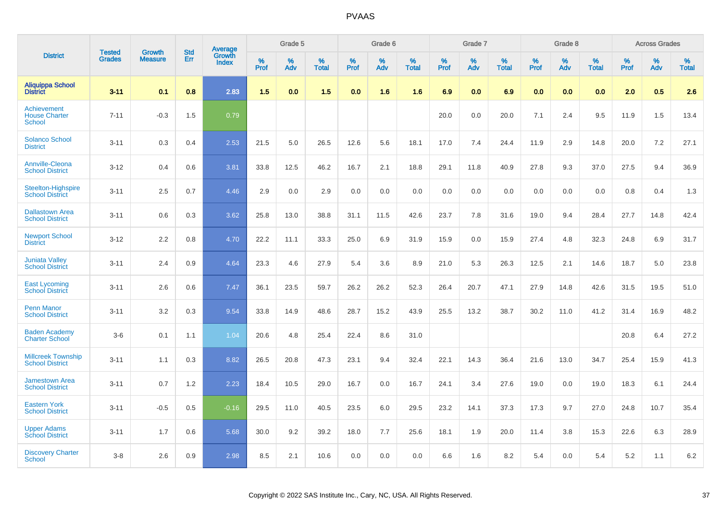|                                                             |                                | <b>Growth</b>  | <b>Std</b> | Average<br>Growth |                     | Grade 5  |                      |              | Grade 6  |                      |              | Grade 7  |                      |              | Grade 8  |                      |                     | <b>Across Grades</b> |                      |
|-------------------------------------------------------------|--------------------------------|----------------|------------|-------------------|---------------------|----------|----------------------|--------------|----------|----------------------|--------------|----------|----------------------|--------------|----------|----------------------|---------------------|----------------------|----------------------|
| <b>District</b>                                             | <b>Tested</b><br><b>Grades</b> | <b>Measure</b> | Err        | Index             | $\%$<br><b>Prof</b> | %<br>Adv | $\%$<br><b>Total</b> | $\%$<br>Prof | %<br>Adv | $\%$<br><b>Total</b> | $\%$<br>Prof | %<br>Adv | $\%$<br><b>Total</b> | $\%$<br>Prof | %<br>Adv | $\%$<br><b>Total</b> | $\%$<br><b>Prof</b> | $\%$<br>Adv          | $\%$<br><b>Total</b> |
| <b>Aliquippa School</b><br><b>District</b>                  | $3 - 11$                       | 0.1            | 0.8        | 2.83              | 1.5                 | 0.0      | 1.5                  | 0.0          | 1.6      | 1.6                  | 6.9          | 0.0      | 6.9                  | 0.0          | 0.0      | 0.0                  | 2.0                 | 0.5                  | 2.6                  |
| <b>Achievement</b><br><b>House Charter</b><br><b>School</b> | $7 - 11$                       | $-0.3$         | 1.5        | 0.79              |                     |          |                      |              |          |                      | 20.0         | 0.0      | 20.0                 | 7.1          | 2.4      | 9.5                  | 11.9                | 1.5                  | 13.4                 |
| <b>Solanco School</b><br><b>District</b>                    | $3 - 11$                       | 0.3            | 0.4        | 2.53              | 21.5                | 5.0      | 26.5                 | 12.6         | 5.6      | 18.1                 | 17.0         | 7.4      | 24.4                 | 11.9         | 2.9      | 14.8                 | 20.0                | 7.2                  | 27.1                 |
| <b>Annville-Cleona</b><br><b>School District</b>            | $3 - 12$                       | 0.4            | 0.6        | 3.81              | 33.8                | 12.5     | 46.2                 | 16.7         | 2.1      | 18.8                 | 29.1         | 11.8     | 40.9                 | 27.8         | 9.3      | 37.0                 | 27.5                | 9.4                  | 36.9                 |
| <b>Steelton-Highspire</b><br><b>School District</b>         | $3 - 11$                       | 2.5            | 0.7        | 4.46              | 2.9                 | 0.0      | 2.9                  | 0.0          | 0.0      | 0.0                  | 0.0          | 0.0      | 0.0                  | 0.0          | 0.0      | 0.0                  | 0.8                 | 0.4                  | 1.3                  |
| <b>Dallastown Area</b><br><b>School District</b>            | $3 - 11$                       | 0.6            | 0.3        | 3.62              | 25.8                | 13.0     | 38.8                 | 31.1         | 11.5     | 42.6                 | 23.7         | 7.8      | 31.6                 | 19.0         | 9.4      | 28.4                 | 27.7                | 14.8                 | 42.4                 |
| <b>Newport School</b><br><b>District</b>                    | $3 - 12$                       | 2.2            | 0.8        | 4.70              | 22.2                | 11.1     | 33.3                 | 25.0         | 6.9      | 31.9                 | 15.9         | 0.0      | 15.9                 | 27.4         | 4.8      | 32.3                 | 24.8                | 6.9                  | 31.7                 |
| <b>Juniata Valley</b><br><b>School District</b>             | $3 - 11$                       | 2.4            | 0.9        | 4.64              | 23.3                | 4.6      | 27.9                 | 5.4          | 3.6      | 8.9                  | 21.0         | 5.3      | 26.3                 | 12.5         | 2.1      | 14.6                 | 18.7                | 5.0                  | 23.8                 |
| <b>East Lycoming</b><br><b>School District</b>              | $3 - 11$                       | 2.6            | 0.6        | 7.47              | 36.1                | 23.5     | 59.7                 | 26.2         | 26.2     | 52.3                 | 26.4         | 20.7     | 47.1                 | 27.9         | 14.8     | 42.6                 | 31.5                | 19.5                 | 51.0                 |
| <b>Penn Manor</b><br><b>School District</b>                 | $3 - 11$                       | 3.2            | 0.3        | 9.54              | 33.8                | 14.9     | 48.6                 | 28.7         | 15.2     | 43.9                 | 25.5         | 13.2     | 38.7                 | 30.2         | 11.0     | 41.2                 | 31.4                | 16.9                 | 48.2                 |
| <b>Baden Academy</b><br><b>Charter School</b>               | $3-6$                          | 0.1            | 1.1        | 1.04              | 20.6                | 4.8      | 25.4                 | 22.4         | 8.6      | 31.0                 |              |          |                      |              |          |                      | 20.8                | 6.4                  | 27.2                 |
| <b>Millcreek Township</b><br><b>School District</b>         | $3 - 11$                       | 1.1            | 0.3        | 8.82              | 26.5                | 20.8     | 47.3                 | 23.1         | 9.4      | 32.4                 | 22.1         | 14.3     | 36.4                 | 21.6         | 13.0     | 34.7                 | 25.4                | 15.9                 | 41.3                 |
| <b>Jamestown Area</b><br><b>School District</b>             | $3 - 11$                       | 0.7            | 1.2        | 2.23              | 18.4                | 10.5     | 29.0                 | 16.7         | 0.0      | 16.7                 | 24.1         | 3.4      | 27.6                 | 19.0         | 0.0      | 19.0                 | 18.3                | 6.1                  | 24.4                 |
| <b>Eastern York</b><br><b>School District</b>               | $3 - 11$                       | $-0.5$         | 0.5        | $-0.16$           | 29.5                | 11.0     | 40.5                 | 23.5         | 6.0      | 29.5                 | 23.2         | 14.1     | 37.3                 | 17.3         | 9.7      | 27.0                 | 24.8                | 10.7                 | 35.4                 |
| <b>Upper Adams</b><br><b>School District</b>                | $3 - 11$                       | 1.7            | 0.6        | 5.68              | 30.0                | 9.2      | 39.2                 | 18.0         | 7.7      | 25.6                 | 18.1         | 1.9      | 20.0                 | 11.4         | 3.8      | 15.3                 | 22.6                | 6.3                  | 28.9                 |
| <b>Discovery Charter</b><br><b>School</b>                   | $3 - 8$                        | 2.6            | 0.9        | 2.98              | 8.5                 | 2.1      | 10.6                 | 0.0          | 0.0      | 0.0                  | 6.6          | 1.6      | 8.2                  | 5.4          | $0.0\,$  | 5.4                  | 5.2                 | 1.1                  | 6.2                  |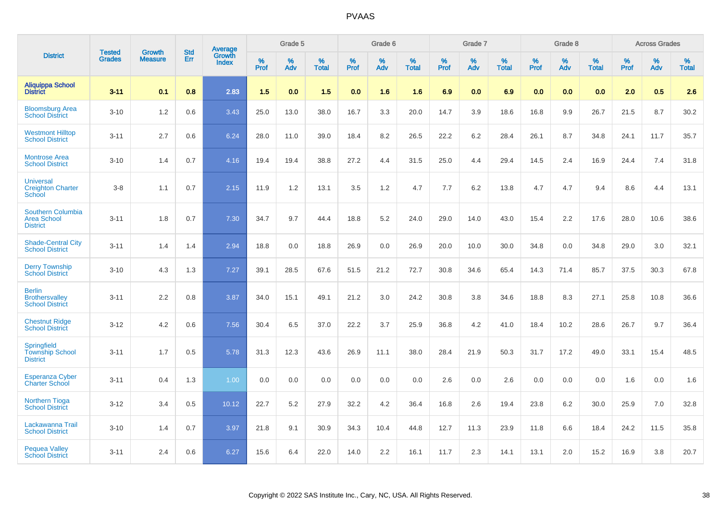|                                                                   |                                | <b>Growth</b>  | <b>Std</b> | <b>Average</b>         |              | Grade 5  |                   |              | Grade 6  |                   |              | Grade 7  |                   |              | Grade 8  |                   |              | <b>Across Grades</b> |                   |
|-------------------------------------------------------------------|--------------------------------|----------------|------------|------------------------|--------------|----------|-------------------|--------------|----------|-------------------|--------------|----------|-------------------|--------------|----------|-------------------|--------------|----------------------|-------------------|
| <b>District</b>                                                   | <b>Tested</b><br><b>Grades</b> | <b>Measure</b> | <b>Err</b> | Growth<br><b>Index</b> | $\%$<br>Prof | %<br>Adv | %<br><b>Total</b> | $\%$<br>Prof | %<br>Adv | %<br><b>Total</b> | $\%$<br>Prof | %<br>Adv | %<br><b>Total</b> | $\%$<br>Prof | %<br>Adv | %<br><b>Total</b> | $\%$<br>Prof | %<br>Adv             | %<br><b>Total</b> |
| <b>Aliquippa School</b><br><b>District</b>                        | $3 - 11$                       | 0.1            | 0.8        | 2.83                   | 1.5          | 0.0      | 1.5               | 0.0          | 1.6      | 1.6               | 6.9          | 0.0      | 6.9               | 0.0          | 0.0      | 0.0               | 2.0          | 0.5                  | 2.6               |
| <b>Bloomsburg Area</b><br><b>School District</b>                  | $3 - 10$                       | 1.2            | 0.6        | 3.43                   | 25.0         | 13.0     | 38.0              | 16.7         | 3.3      | 20.0              | 14.7         | 3.9      | 18.6              | 16.8         | 9.9      | 26.7              | 21.5         | 8.7                  | 30.2              |
| <b>Westmont Hilltop</b><br><b>School District</b>                 | $3 - 11$                       | 2.7            | 0.6        | 6.24                   | 28.0         | 11.0     | 39.0              | 18.4         | 8.2      | 26.5              | 22.2         | 6.2      | 28.4              | 26.1         | 8.7      | 34.8              | 24.1         | 11.7                 | 35.7              |
| <b>Montrose Area</b><br><b>School District</b>                    | $3 - 10$                       | 1.4            | 0.7        | 4.16                   | 19.4         | 19.4     | 38.8              | 27.2         | 4.4      | 31.5              | 25.0         | 4.4      | 29.4              | 14.5         | 2.4      | 16.9              | 24.4         | 7.4                  | 31.8              |
| <b>Universal</b><br><b>Creighton Charter</b><br>School            | $3 - 8$                        | 1.1            | 0.7        | 2.15                   | 11.9         | 1.2      | 13.1              | 3.5          | 1.2      | 4.7               | 7.7          | 6.2      | 13.8              | 4.7          | 4.7      | 9.4               | 8.6          | 4.4                  | 13.1              |
| <b>Southern Columbia</b><br><b>Area School</b><br><b>District</b> | $3 - 11$                       | 1.8            | 0.7        | 7.30                   | 34.7         | 9.7      | 44.4              | 18.8         | 5.2      | 24.0              | 29.0         | 14.0     | 43.0              | 15.4         | 2.2      | 17.6              | 28.0         | 10.6                 | 38.6              |
| <b>Shade-Central City</b><br><b>School District</b>               | $3 - 11$                       | 1.4            | 1.4        | 2.94                   | 18.8         | 0.0      | 18.8              | 26.9         | 0.0      | 26.9              | 20.0         | 10.0     | 30.0              | 34.8         | 0.0      | 34.8              | 29.0         | 3.0                  | 32.1              |
| <b>Derry Township</b><br><b>School District</b>                   | $3 - 10$                       | 4.3            | 1.3        | 7.27                   | 39.1         | 28.5     | 67.6              | 51.5         | 21.2     | 72.7              | 30.8         | 34.6     | 65.4              | 14.3         | 71.4     | 85.7              | 37.5         | 30.3                 | 67.8              |
| <b>Berlin</b><br><b>Brothersvalley</b><br><b>School District</b>  | $3 - 11$                       | 2.2            | 0.8        | 3.87                   | 34.0         | 15.1     | 49.1              | 21.2         | 3.0      | 24.2              | 30.8         | 3.8      | 34.6              | 18.8         | 8.3      | 27.1              | 25.8         | 10.8                 | 36.6              |
| <b>Chestnut Ridge</b><br><b>School District</b>                   | $3 - 12$                       | 4.2            | 0.6        | 7.56                   | 30.4         | 6.5      | 37.0              | 22.2         | 3.7      | 25.9              | 36.8         | 4.2      | 41.0              | 18.4         | 10.2     | 28.6              | 26.7         | 9.7                  | 36.4              |
| Springfield<br><b>Township School</b><br><b>District</b>          | $3 - 11$                       | 1.7            | 0.5        | 5.78                   | 31.3         | 12.3     | 43.6              | 26.9         | 11.1     | 38.0              | 28.4         | 21.9     | 50.3              | 31.7         | 17.2     | 49.0              | 33.1         | 15.4                 | 48.5              |
| <b>Esperanza Cyber</b><br><b>Charter School</b>                   | $3 - 11$                       | 0.4            | 1.3        | 1.00                   | 0.0          | 0.0      | 0.0               | 0.0          | 0.0      | 0.0               | 2.6          | 0.0      | 2.6               | 0.0          | 0.0      | 0.0               | 1.6          | 0.0                  | 1.6               |
| <b>Northern Tioga</b><br><b>School District</b>                   | $3 - 12$                       | 3.4            | 0.5        | 10.12                  | 22.7         | 5.2      | 27.9              | 32.2         | 4.2      | 36.4              | 16.8         | 2.6      | 19.4              | 23.8         | 6.2      | 30.0              | 25.9         | 7.0                  | 32.8              |
| Lackawanna Trail<br><b>School District</b>                        | $3 - 10$                       | 1.4            | 0.7        | 3.97                   | 21.8         | 9.1      | 30.9              | 34.3         | 10.4     | 44.8              | 12.7         | 11.3     | 23.9              | 11.8         | 6.6      | 18.4              | 24.2         | 11.5                 | 35.8              |
| <b>Pequea Valley</b><br><b>School District</b>                    | $3 - 11$                       | 2.4            | 0.6        | 6.27                   | 15.6         | 6.4      | 22.0              | 14.0         | 2.2      | 16.1              | 11.7         | 2.3      | 14.1              | 13.1         | 2.0      | 15.2              | 16.9         | 3.8                  | 20.7              |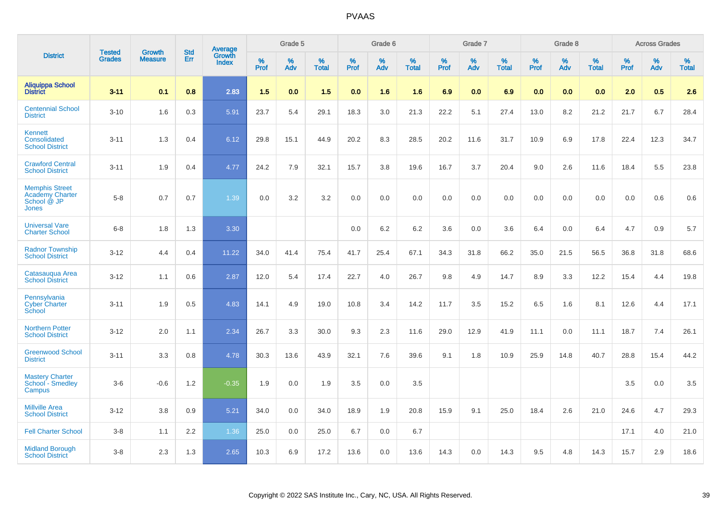|                                                                         |                                |                                 | <b>Std</b> | Average                |           | Grade 5  |                   |           | Grade 6  |                   |           | Grade 7  |                   |           | Grade 8  |                   |              | <b>Across Grades</b> |                      |
|-------------------------------------------------------------------------|--------------------------------|---------------------------------|------------|------------------------|-----------|----------|-------------------|-----------|----------|-------------------|-----------|----------|-------------------|-----------|----------|-------------------|--------------|----------------------|----------------------|
| <b>District</b>                                                         | <b>Tested</b><br><b>Grades</b> | <b>Growth</b><br><b>Measure</b> | <b>Err</b> | Growth<br><b>Index</b> | %<br>Prof | %<br>Adv | %<br><b>Total</b> | %<br>Prof | %<br>Adv | %<br><b>Total</b> | %<br>Prof | %<br>Adv | %<br><b>Total</b> | %<br>Prof | %<br>Adv | %<br><b>Total</b> | $\%$<br>Prof | %<br>Adv             | $\%$<br><b>Total</b> |
| <b>Aliquippa School</b><br><b>District</b>                              | $3 - 11$                       | 0.1                             | 0.8        | 2.83                   | 1.5       | 0.0      | 1.5               | 0.0       | 1.6      | 1.6               | 6.9       | 0.0      | 6.9               | 0.0       | 0.0      | 0.0               | 2.0          | 0.5                  | 2.6                  |
| <b>Centennial School</b><br><b>District</b>                             | $3 - 10$                       | 1.6                             | 0.3        | 5.91                   | 23.7      | 5.4      | 29.1              | 18.3      | 3.0      | 21.3              | 22.2      | 5.1      | 27.4              | 13.0      | 8.2      | 21.2              | 21.7         | 6.7                  | 28.4                 |
| <b>Kennett</b><br>Consolidated<br><b>School District</b>                | $3 - 11$                       | 1.3                             | 0.4        | 6.12                   | 29.8      | 15.1     | 44.9              | 20.2      | 8.3      | 28.5              | 20.2      | 11.6     | 31.7              | 10.9      | 6.9      | 17.8              | 22.4         | 12.3                 | 34.7                 |
| <b>Crawford Central</b><br><b>School District</b>                       | $3 - 11$                       | 1.9                             | 0.4        | 4.77                   | 24.2      | 7.9      | 32.1              | 15.7      | 3.8      | 19.6              | 16.7      | 3.7      | 20.4              | 9.0       | 2.6      | 11.6              | 18.4         | 5.5                  | 23.8                 |
| <b>Memphis Street</b><br><b>Academy Charter</b><br>School @ JP<br>Jones | $5 - 8$                        | 0.7                             | 0.7        | 1.39                   | 0.0       | 3.2      | 3.2               | 0.0       | 0.0      | 0.0               | 0.0       | 0.0      | 0.0               | 0.0       | 0.0      | 0.0               | 0.0          | 0.6                  | 0.6                  |
| <b>Universal Vare</b><br><b>Charter School</b>                          | $6-8$                          | 1.8                             | 1.3        | 3.30                   |           |          |                   | 0.0       | 6.2      | 6.2               | 3.6       | 0.0      | 3.6               | 6.4       | 0.0      | 6.4               | 4.7          | 0.9                  | 5.7                  |
| <b>Radnor Township</b><br><b>School District</b>                        | $3 - 12$                       | 4.4                             | 0.4        | 11.22                  | 34.0      | 41.4     | 75.4              | 41.7      | 25.4     | 67.1              | 34.3      | 31.8     | 66.2              | 35.0      | 21.5     | 56.5              | 36.8         | 31.8                 | 68.6                 |
| Catasauqua Area<br><b>School District</b>                               | $3 - 12$                       | 1.1                             | 0.6        | 2.87                   | 12.0      | 5.4      | 17.4              | 22.7      | 4.0      | 26.7              | 9.8       | 4.9      | 14.7              | 8.9       | 3.3      | 12.2              | 15.4         | 4.4                  | 19.8                 |
| Pennsylvania<br><b>Cyber Charter</b><br>School                          | $3 - 11$                       | 1.9                             | 0.5        | 4.83                   | 14.1      | 4.9      | 19.0              | 10.8      | 3.4      | 14.2              | 11.7      | 3.5      | 15.2              | 6.5       | 1.6      | 8.1               | 12.6         | 4.4                  | 17.1                 |
| <b>Northern Potter</b><br><b>School District</b>                        | $3 - 12$                       | 2.0                             | 1.1        | 2.34                   | 26.7      | 3.3      | 30.0              | 9.3       | 2.3      | 11.6              | 29.0      | 12.9     | 41.9              | 11.1      | 0.0      | 11.1              | 18.7         | 7.4                  | 26.1                 |
| <b>Greenwood School</b><br><b>District</b>                              | $3 - 11$                       | 3.3                             | 0.8        | 4.78                   | 30.3      | 13.6     | 43.9              | 32.1      | 7.6      | 39.6              | 9.1       | 1.8      | 10.9              | 25.9      | 14.8     | 40.7              | 28.8         | 15.4                 | 44.2                 |
| <b>Mastery Charter</b><br>School - Smedley<br>Campus                    | $3-6$                          | $-0.6$                          | 1.2        | $-0.35$                | 1.9       | 0.0      | 1.9               | 3.5       | 0.0      | 3.5               |           |          |                   |           |          |                   | 3.5          | 0.0                  | 3.5                  |
| <b>Millville Area</b><br><b>School District</b>                         | $3 - 12$                       | 3.8                             | 0.9        | 5.21                   | 34.0      | 0.0      | 34.0              | 18.9      | 1.9      | 20.8              | 15.9      | 9.1      | 25.0              | 18.4      | 2.6      | 21.0              | 24.6         | 4.7                  | 29.3                 |
| <b>Fell Charter School</b>                                              | $3 - 8$                        | 1.1                             | 2.2        | 1.36                   | 25.0      | 0.0      | 25.0              | 6.7       | 0.0      | 6.7               |           |          |                   |           |          |                   | 17.1         | 4.0                  | 21.0                 |
| <b>Midland Borough</b><br><b>School District</b>                        | $3 - 8$                        | 2.3                             | 1.3        | 2.65                   | 10.3      | 6.9      | 17.2              | 13.6      | 0.0      | 13.6              | 14.3      | 0.0      | 14.3              | 9.5       | 4.8      | 14.3              | 15.7         | 2.9                  | 18.6                 |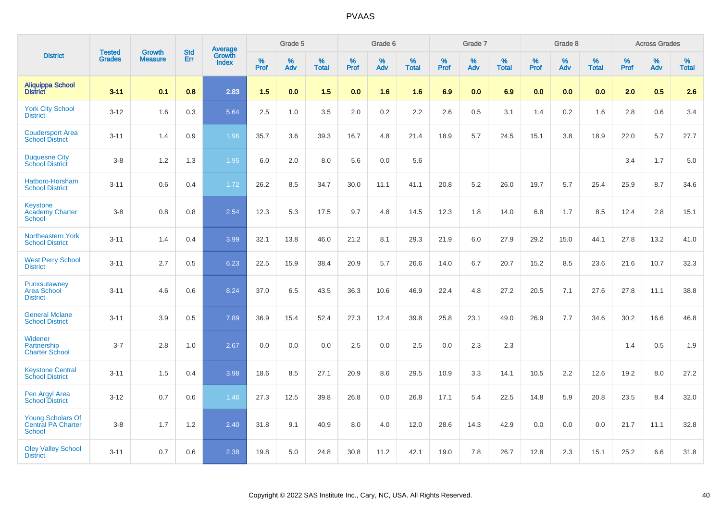|                                                                 |                                | <b>Growth</b>  | <b>Std</b> |                                          |              | Grade 5  |                   |              | Grade 6  |                   |              | Grade 7  |                      |              | Grade 8  |                   |              | <b>Across Grades</b> |                   |
|-----------------------------------------------------------------|--------------------------------|----------------|------------|------------------------------------------|--------------|----------|-------------------|--------------|----------|-------------------|--------------|----------|----------------------|--------------|----------|-------------------|--------------|----------------------|-------------------|
| <b>District</b>                                                 | <b>Tested</b><br><b>Grades</b> | <b>Measure</b> | <b>Err</b> | <b>Average</b><br>Growth<br><b>Index</b> | $\%$<br>Prof | %<br>Adv | %<br><b>Total</b> | $\%$<br>Prof | %<br>Adv | %<br><b>Total</b> | $\%$<br>Prof | %<br>Adv | $\%$<br><b>Total</b> | $\%$<br>Prof | %<br>Adv | %<br><b>Total</b> | $\%$<br>Prof | %<br>Adv             | %<br><b>Total</b> |
| <b>Aliquippa School</b><br><b>District</b>                      | $3 - 11$                       | 0.1            | 0.8        | 2.83                                     | 1.5          | 0.0      | 1.5               | 0.0          | 1.6      | 1.6               | 6.9          | 0.0      | 6.9                  | 0.0          | 0.0      | 0.0               | 2.0          | 0.5                  | 2.6               |
| <b>York City School</b><br><b>District</b>                      | $3 - 12$                       | 1.6            | 0.3        | 5.64                                     | 2.5          | 1.0      | 3.5               | 2.0          | $0.2\,$  | 2.2               | 2.6          | 0.5      | 3.1                  | 1.4          | 0.2      | 1.6               | 2.8          | 0.6                  | 3.4               |
| <b>Coudersport Area</b><br><b>School District</b>               | $3 - 11$                       | 1.4            | 0.9        | 1.96                                     | 35.7         | 3.6      | 39.3              | 16.7         | 4.8      | 21.4              | 18.9         | 5.7      | 24.5                 | 15.1         | 3.8      | 18.9              | 22.0         | 5.7                  | 27.7              |
| <b>Duquesne City</b><br><b>School District</b>                  | $3 - 8$                        | 1.2            | 1.3        | 1.95                                     | 6.0          | 2.0      | 8.0               | 5.6          | 0.0      | 5.6               |              |          |                      |              |          |                   | 3.4          | 1.7                  | 5.0               |
| Hatboro-Horsham<br><b>School District</b>                       | $3 - 11$                       | 0.6            | 0.4        | 1.72                                     | 26.2         | 8.5      | 34.7              | 30.0         | 11.1     | 41.1              | 20.8         | 5.2      | 26.0                 | 19.7         | 5.7      | 25.4              | 25.9         | 8.7                  | 34.6              |
| <b>Keystone</b><br><b>Academy Charter</b><br>School             | $3 - 8$                        | 0.8            | 0.8        | 2.54                                     | 12.3         | 5.3      | 17.5              | 9.7          | 4.8      | 14.5              | 12.3         | 1.8      | 14.0                 | 6.8          | 1.7      | 8.5               | 12.4         | 2.8                  | 15.1              |
| Northeastern York<br><b>School District</b>                     | $3 - 11$                       | 1.4            | 0.4        | 3.99                                     | 32.1         | 13.8     | 46.0              | 21.2         | 8.1      | 29.3              | 21.9         | 6.0      | 27.9                 | 29.2         | 15.0     | 44.1              | 27.8         | 13.2                 | 41.0              |
| <b>West Perry School</b><br><b>District</b>                     | $3 - 11$                       | 2.7            | 0.5        | 6.23                                     | 22.5         | 15.9     | 38.4              | 20.9         | 5.7      | 26.6              | 14.0         | 6.7      | 20.7                 | 15.2         | 8.5      | 23.6              | 21.6         | 10.7                 | 32.3              |
| Punxsutawney<br><b>Area School</b><br><b>District</b>           | $3 - 11$                       | 4.6            | 0.6        | 8.24                                     | 37.0         | 6.5      | 43.5              | 36.3         | 10.6     | 46.9              | 22.4         | 4.8      | 27.2                 | 20.5         | 7.1      | 27.6              | 27.8         | 11.1                 | 38.8              |
| <b>General Mclane</b><br><b>School District</b>                 | $3 - 11$                       | 3.9            | 0.5        | 7.89                                     | 36.9         | 15.4     | 52.4              | 27.3         | 12.4     | 39.8              | 25.8         | 23.1     | 49.0                 | 26.9         | 7.7      | 34.6              | 30.2         | 16.6                 | 46.8              |
| Widener<br>Partnership<br><b>Charter School</b>                 | $3 - 7$                        | 2.8            | 1.0        | 2.67                                     | 0.0          | 0.0      | 0.0               | 2.5          | 0.0      | 2.5               | 0.0          | 2.3      | 2.3                  |              |          |                   | 1.4          | 0.5                  | 1.9               |
| <b>Keystone Central</b><br><b>School District</b>               | $3 - 11$                       | 1.5            | 0.4        | 3.98                                     | 18.6         | 8.5      | 27.1              | 20.9         | 8.6      | 29.5              | 10.9         | 3.3      | 14.1                 | 10.5         | 2.2      | 12.6              | 19.2         | 8.0                  | 27.2              |
| Pen Argyl Area<br><b>School District</b>                        | $3 - 12$                       | 0.7            | 0.6        | 1.46                                     | 27.3         | 12.5     | 39.8              | 26.8         | 0.0      | 26.8              | 17.1         | 5.4      | 22.5                 | 14.8         | 5.9      | 20.8              | 23.5         | 8.4                  | 32.0              |
| <b>Young Scholars Of</b><br>Central PA Charter<br><b>School</b> | $3 - 8$                        | 1.7            | $1.2$      | 2.40                                     | 31.8         | 9.1      | 40.9              | 8.0          | 4.0      | 12.0              | 28.6         | 14.3     | 42.9                 | 0.0          | 0.0      | 0.0               | 21.7         | 11.1                 | 32.8              |
| <b>Oley Valley School</b><br><b>District</b>                    | $3 - 11$                       | 0.7            | 0.6        | 2.38                                     | 19.8         | 5.0      | 24.8              | 30.8         | 11.2     | 42.1              | 19.0         | 7.8      | 26.7                 | 12.8         | 2.3      | 15.1              | 25.2         | 6.6                  | 31.8              |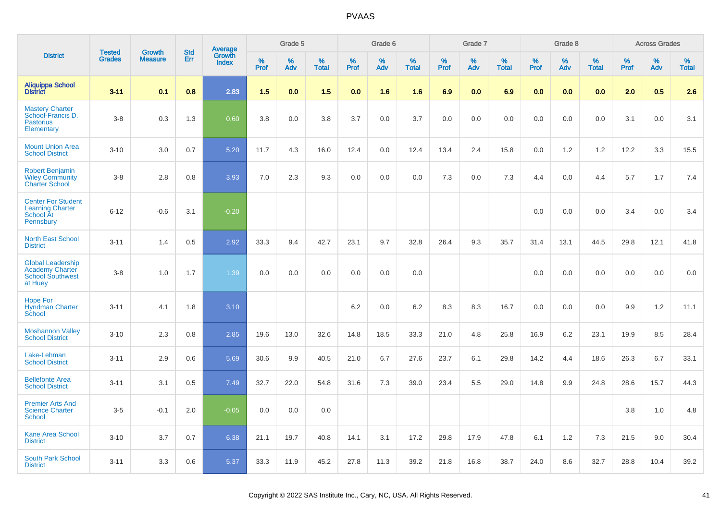|                                                                                          | <b>Tested</b> | <b>Growth</b>  | <b>Std</b> |                                   |                     | Grade 5  |                   |              | Grade 6  |                   |                     | Grade 7  |                   |              | Grade 8  |                   |              | <b>Across Grades</b> |                   |
|------------------------------------------------------------------------------------------|---------------|----------------|------------|-----------------------------------|---------------------|----------|-------------------|--------------|----------|-------------------|---------------------|----------|-------------------|--------------|----------|-------------------|--------------|----------------------|-------------------|
| <b>District</b>                                                                          | <b>Grades</b> | <b>Measure</b> | Err        | Average<br>Growth<br><b>Index</b> | $\%$<br><b>Prof</b> | %<br>Adv | %<br><b>Total</b> | $\%$<br>Prof | %<br>Adv | %<br><b>Total</b> | $\%$<br><b>Prof</b> | %<br>Adv | %<br><b>Total</b> | $\%$<br>Prof | %<br>Adv | %<br><b>Total</b> | $\%$<br>Prof | %<br>Adv             | %<br><b>Total</b> |
| <b>Aliquippa School</b><br><b>District</b>                                               | $3 - 11$      | 0.1            | 0.8        | 2.83                              | 1.5                 | 0.0      | 1.5               | 0.0          | 1.6      | 1.6               | 6.9                 | 0.0      | 6.9               | 0.0          | 0.0      | 0.0               | 2.0          | 0.5                  | 2.6               |
| <b>Mastery Charter</b><br>School-Francis D.<br><b>Pastorius</b><br>Elementary            | $3-8$         | 0.3            | 1.3        | 0.60                              | 3.8                 | 0.0      | 3.8               | 3.7          | 0.0      | 3.7               | 0.0                 | 0.0      | 0.0               | 0.0          | 0.0      | 0.0               | 3.1          | 0.0                  | 3.1               |
| <b>Mount Union Area</b><br><b>School District</b>                                        | $3 - 10$      | 3.0            | 0.7        | 5.20                              | 11.7                | 4.3      | 16.0              | 12.4         | 0.0      | 12.4              | 13.4                | 2.4      | 15.8              | 0.0          | 1.2      | 1.2               | 12.2         | 3.3                  | 15.5              |
| <b>Robert Benjamin</b><br><b>Wiley Community</b><br><b>Charter School</b>                | $3-8$         | 2.8            | 0.8        | 3.93                              | 7.0                 | 2.3      | 9.3               | 0.0          | 0.0      | 0.0               | 7.3                 | 0.0      | 7.3               | 4.4          | 0.0      | 4.4               | 5.7          | 1.7                  | 7.4               |
| <b>Center For Student</b><br><b>Learning Charter</b><br>School At<br>Pennsbury           | $6 - 12$      | $-0.6$         | 3.1        | $-0.20$                           |                     |          |                   |              |          |                   |                     |          |                   | 0.0          | 0.0      | 0.0               | 3.4          | 0.0                  | 3.4               |
| <b>North East School</b><br><b>District</b>                                              | $3 - 11$      | 1.4            | 0.5        | 2.92                              | 33.3                | 9.4      | 42.7              | 23.1         | 9.7      | 32.8              | 26.4                | 9.3      | 35.7              | 31.4         | 13.1     | 44.5              | 29.8         | 12.1                 | 41.8              |
| <b>Global Leadership</b><br><b>Academy Charter</b><br><b>School Southwest</b><br>at Huey | $3-8$         | 1.0            | 1.7        | 1.39                              | 0.0                 | 0.0      | 0.0               | 0.0          | 0.0      | 0.0               |                     |          |                   | 0.0          | 0.0      | 0.0               | 0.0          | 0.0                  | 0.0               |
| <b>Hope For</b><br><b>Hyndman Charter</b><br>School                                      | $3 - 11$      | 4.1            | 1.8        | 3.10                              |                     |          |                   | 6.2          | 0.0      | 6.2               | 8.3                 | 8.3      | 16.7              | 0.0          | 0.0      | 0.0               | 9.9          | $1.2$                | 11.1              |
| <b>Moshannon Valley</b><br><b>School District</b>                                        | $3 - 10$      | 2.3            | 0.8        | 2.85                              | 19.6                | 13.0     | 32.6              | 14.8         | 18.5     | 33.3              | 21.0                | 4.8      | 25.8              | 16.9         | 6.2      | 23.1              | 19.9         | 8.5                  | 28.4              |
| Lake-Lehman<br><b>School District</b>                                                    | $3 - 11$      | 2.9            | 0.6        | 5.69                              | 30.6                | 9.9      | 40.5              | 21.0         | 6.7      | 27.6              | 23.7                | 6.1      | 29.8              | 14.2         | 4.4      | 18.6              | 26.3         | 6.7                  | 33.1              |
| <b>Bellefonte Area</b><br><b>School District</b>                                         | $3 - 11$      | 3.1            | 0.5        | 7.49                              | 32.7                | 22.0     | 54.8              | 31.6         | 7.3      | 39.0              | 23.4                | 5.5      | 29.0              | 14.8         | 9.9      | 24.8              | 28.6         | 15.7                 | 44.3              |
| <b>Premier Arts And</b><br><b>Science Charter</b><br><b>School</b>                       | $3-5$         | $-0.1$         | 2.0        | $-0.05$                           | 0.0                 | 0.0      | 0.0               |              |          |                   |                     |          |                   |              |          |                   | 3.8          | 1.0                  | 4.8               |
| <b>Kane Area School</b><br><b>District</b>                                               | $3 - 10$      | 3.7            | 0.7        | 6.38                              | 21.1                | 19.7     | 40.8              | 14.1         | 3.1      | 17.2              | 29.8                | 17.9     | 47.8              | 6.1          | 1.2      | 7.3               | 21.5         | 9.0                  | 30.4              |
| <b>South Park School</b><br><b>District</b>                                              | $3 - 11$      | 3.3            | 0.6        | 5.37                              | 33.3                | 11.9     | 45.2              | 27.8         | 11.3     | 39.2              | 21.8                | 16.8     | 38.7              | 24.0         | 8.6      | 32.7              | 28.8         | 10.4                 | 39.2              |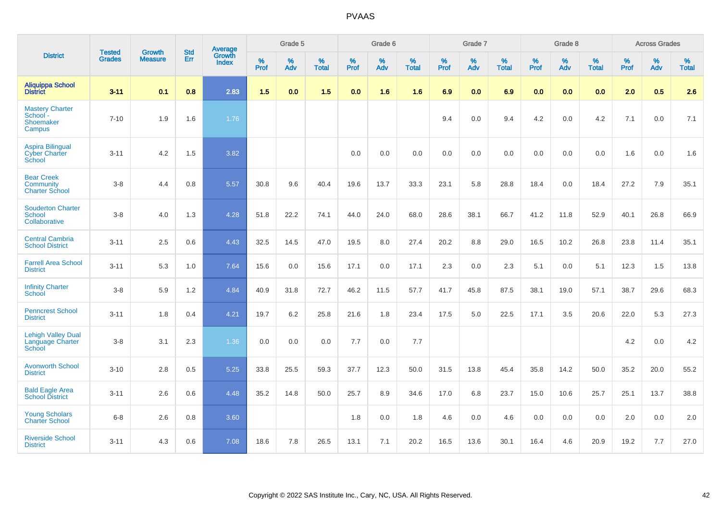|                                                                |                                | <b>Growth</b>  | <b>Std</b> | <b>Average</b>         |              | Grade 5  |                   |           | Grade 6  |                   |           | Grade 7  |                   |           | Grade 8  |                   |           | <b>Across Grades</b> |                   |
|----------------------------------------------------------------|--------------------------------|----------------|------------|------------------------|--------------|----------|-------------------|-----------|----------|-------------------|-----------|----------|-------------------|-----------|----------|-------------------|-----------|----------------------|-------------------|
| <b>District</b>                                                | <b>Tested</b><br><b>Grades</b> | <b>Measure</b> | Err        | Growth<br><b>Index</b> | $\%$<br>Prof | %<br>Adv | %<br><b>Total</b> | %<br>Prof | %<br>Adv | %<br><b>Total</b> | %<br>Prof | %<br>Adv | %<br><b>Total</b> | %<br>Prof | %<br>Adv | %<br><b>Total</b> | %<br>Prof | %<br>Adv             | %<br><b>Total</b> |
| <b>Aliquippa School</b><br><b>District</b>                     | $3 - 11$                       | 0.1            | 0.8        | 2.83                   | 1.5          | 0.0      | 1.5               | 0.0       | 1.6      | 1.6               | 6.9       | 0.0      | 6.9               | 0.0       | 0.0      | 0.0               | 2.0       | 0.5                  | 2.6               |
| <b>Mastery Charter</b><br>School -<br>Shoemaker<br>Campus      | $7 - 10$                       | 1.9            | 1.6        | 1.76                   |              |          |                   |           |          |                   | 9.4       | 0.0      | 9.4               | 4.2       | 0.0      | 4.2               | 7.1       | 0.0                  | 7.1               |
| <b>Aspira Bilingual</b><br><b>Cyber Charter</b><br>School      | $3 - 11$                       | 4.2            | 1.5        | 3.82                   |              |          |                   | 0.0       | 0.0      | 0.0               | 0.0       | 0.0      | 0.0               | 0.0       | 0.0      | 0.0               | 1.6       | 0.0                  | 1.6               |
| <b>Bear Creek</b><br><b>Community</b><br><b>Charter School</b> | $3 - 8$                        | 4.4            | 0.8        | 5.57                   | 30.8         | 9.6      | 40.4              | 19.6      | 13.7     | 33.3              | 23.1      | 5.8      | 28.8              | 18.4      | 0.0      | 18.4              | 27.2      | 7.9                  | 35.1              |
| <b>Souderton Charter</b><br>School<br>Collaborative            | $3 - 8$                        | 4.0            | 1.3        | 4.28                   | 51.8         | 22.2     | 74.1              | 44.0      | 24.0     | 68.0              | 28.6      | 38.1     | 66.7              | 41.2      | 11.8     | 52.9              | 40.1      | 26.8                 | 66.9              |
| <b>Central Cambria</b><br><b>School District</b>               | $3 - 11$                       | 2.5            | 0.6        | 4.43                   | 32.5         | 14.5     | 47.0              | 19.5      | 8.0      | 27.4              | 20.2      | 8.8      | 29.0              | 16.5      | 10.2     | 26.8              | 23.8      | 11.4                 | 35.1              |
| <b>Farrell Area School</b><br><b>District</b>                  | $3 - 11$                       | 5.3            | 1.0        | 7.64                   | 15.6         | 0.0      | 15.6              | 17.1      | 0.0      | 17.1              | 2.3       | 0.0      | 2.3               | 5.1       | 0.0      | 5.1               | 12.3      | 1.5                  | 13.8              |
| <b>Infinity Charter</b><br>School                              | $3-8$                          | 5.9            | 1.2        | 4.84                   | 40.9         | 31.8     | 72.7              | 46.2      | 11.5     | 57.7              | 41.7      | 45.8     | 87.5              | 38.1      | 19.0     | 57.1              | 38.7      | 29.6                 | 68.3              |
| <b>Penncrest School</b><br><b>District</b>                     | $3 - 11$                       | 1.8            | 0.4        | 4.21                   | 19.7         | 6.2      | 25.8              | 21.6      | 1.8      | 23.4              | 17.5      | 5.0      | 22.5              | 17.1      | 3.5      | 20.6              | 22.0      | 5.3                  | 27.3              |
| <b>Lehigh Valley Dual</b><br>Language Charter<br>School        | $3-8$                          | 3.1            | 2.3        | 1.36                   | 0.0          | 0.0      | 0.0               | 7.7       | 0.0      | 7.7               |           |          |                   |           |          |                   | 4.2       | 0.0                  | 4.2               |
| <b>Avonworth School</b><br><b>District</b>                     | $3 - 10$                       | 2.8            | 0.5        | 5.25                   | 33.8         | 25.5     | 59.3              | 37.7      | 12.3     | 50.0              | 31.5      | 13.8     | 45.4              | 35.8      | 14.2     | 50.0              | 35.2      | 20.0                 | 55.2              |
| <b>Bald Eagle Area</b><br><b>School District</b>               | $3 - 11$                       | 2.6            | 0.6        | 4.48                   | 35.2         | 14.8     | 50.0              | 25.7      | 8.9      | 34.6              | 17.0      | 6.8      | 23.7              | 15.0      | 10.6     | 25.7              | 25.1      | 13.7                 | 38.8              |
| <b>Young Scholars</b><br><b>Charter School</b>                 | $6 - 8$                        | 2.6            | 0.8        | 3.60                   |              |          |                   | 1.8       | 0.0      | 1.8               | 4.6       | 0.0      | 4.6               | 0.0       | 0.0      | 0.0               | 2.0       | 0.0                  | 2.0               |
| <b>Riverside School</b><br><b>District</b>                     | $3 - 11$                       | 4.3            | 0.6        | 7.08                   | 18.6         | 7.8      | 26.5              | 13.1      | 7.1      | 20.2              | 16.5      | 13.6     | 30.1              | 16.4      | 4.6      | 20.9              | 19.2      | 7.7                  | 27.0              |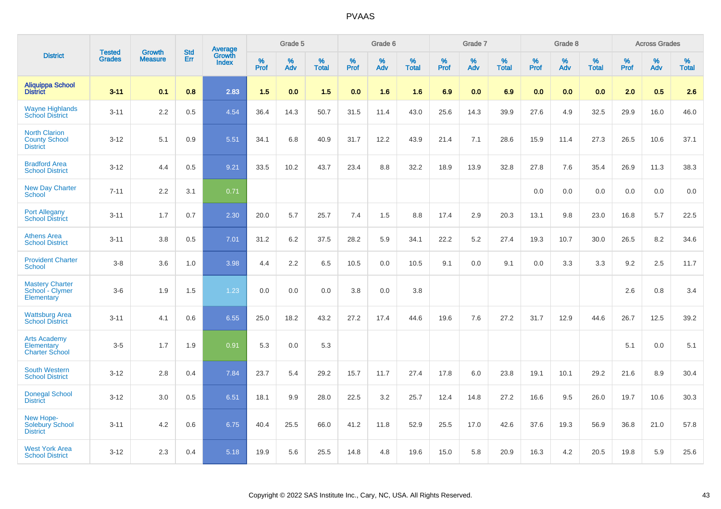|                                                                 |                                | <b>Growth</b>  | <b>Std</b> | Average                |              | Grade 5     |                   |                     | Grade 6  |                   |                     | Grade 7  |                   |           | Grade 8     |                   |                     | <b>Across Grades</b> |                   |
|-----------------------------------------------------------------|--------------------------------|----------------|------------|------------------------|--------------|-------------|-------------------|---------------------|----------|-------------------|---------------------|----------|-------------------|-----------|-------------|-------------------|---------------------|----------------------|-------------------|
| <b>District</b>                                                 | <b>Tested</b><br><b>Grades</b> | <b>Measure</b> | Err        | Growth<br><b>Index</b> | $\%$<br>Prof | $\%$<br>Adv | %<br><b>Total</b> | $\%$<br><b>Prof</b> | %<br>Adv | %<br><b>Total</b> | $\%$<br><b>Prof</b> | %<br>Adv | %<br><b>Total</b> | %<br>Prof | $\%$<br>Adv | %<br><b>Total</b> | $\%$<br><b>Prof</b> | $\%$<br>Adv          | %<br><b>Total</b> |
| <b>Aliquippa School</b><br><b>District</b>                      | $3 - 11$                       | 0.1            | 0.8        | 2.83                   | 1.5          | 0.0         | 1.5               | 0.0                 | 1.6      | 1.6               | 6.9                 | 0.0      | 6.9               | 0.0       | 0.0         | 0.0               | 2.0                 | 0.5                  | 2.6               |
| <b>Wayne Highlands</b><br><b>School District</b>                | $3 - 11$                       | 2.2            | 0.5        | 4.54                   | 36.4         | 14.3        | 50.7              | 31.5                | 11.4     | 43.0              | 25.6                | 14.3     | 39.9              | 27.6      | 4.9         | 32.5              | 29.9                | 16.0                 | 46.0              |
| <b>North Clarion</b><br><b>County School</b><br><b>District</b> | $3 - 12$                       | 5.1            | 0.9        | 5.51                   | 34.1         | 6.8         | 40.9              | 31.7                | 12.2     | 43.9              | 21.4                | 7.1      | 28.6              | 15.9      | 11.4        | 27.3              | 26.5                | 10.6                 | 37.1              |
| <b>Bradford Area</b><br><b>School District</b>                  | $3 - 12$                       | 4.4            | 0.5        | 9.21                   | 33.5         | 10.2        | 43.7              | 23.4                | 8.8      | 32.2              | 18.9                | 13.9     | 32.8              | 27.8      | 7.6         | 35.4              | 26.9                | 11.3                 | 38.3              |
| <b>New Day Charter</b><br><b>School</b>                         | $7 - 11$                       | 2.2            | 3.1        | 0.71                   |              |             |                   |                     |          |                   |                     |          |                   | 0.0       | 0.0         | 0.0               | 0.0                 | 0.0                  | 0.0               |
| <b>Port Allegany</b><br><b>School District</b>                  | $3 - 11$                       | 1.7            | 0.7        | 2.30                   | 20.0         | 5.7         | 25.7              | 7.4                 | 1.5      | 8.8               | 17.4                | 2.9      | 20.3              | 13.1      | 9.8         | 23.0              | 16.8                | 5.7                  | 22.5              |
| <b>Athens Area</b><br><b>School District</b>                    | $3 - 11$                       | 3.8            | 0.5        | 7.01                   | 31.2         | 6.2         | 37.5              | 28.2                | 5.9      | 34.1              | 22.2                | 5.2      | 27.4              | 19.3      | 10.7        | 30.0              | 26.5                | 8.2                  | 34.6              |
| <b>Provident Charter</b><br><b>School</b>                       | $3-8$                          | 3.6            | 1.0        | 3.98                   | 4.4          | 2.2         | 6.5               | 10.5                | 0.0      | 10.5              | 9.1                 | 0.0      | 9.1               | 0.0       | 3.3         | 3.3               | 9.2                 | 2.5                  | 11.7              |
| <b>Mastery Charter</b><br>School - Clymer<br>Elementary         | $3-6$                          | 1.9            | 1.5        | 1.23                   | 0.0          | 0.0         | 0.0               | 3.8                 | 0.0      | 3.8               |                     |          |                   |           |             |                   | 2.6                 | 0.8                  | 3.4               |
| <b>Wattsburg Area</b><br><b>School District</b>                 | $3 - 11$                       | 4.1            | 0.6        | 6.55                   | 25.0         | 18.2        | 43.2              | 27.2                | 17.4     | 44.6              | 19.6                | 7.6      | 27.2              | 31.7      | 12.9        | 44.6              | 26.7                | 12.5                 | 39.2              |
| <b>Arts Academy</b><br>Elementary<br><b>Charter School</b>      | $3-5$                          | 1.7            | 1.9        | 0.91                   | 5.3          | 0.0         | 5.3               |                     |          |                   |                     |          |                   |           |             |                   | 5.1                 | 0.0                  | 5.1               |
| <b>South Western</b><br><b>School District</b>                  | $3 - 12$                       | 2.8            | 0.4        | 7.84                   | 23.7         | 5.4         | 29.2              | 15.7                | 11.7     | 27.4              | 17.8                | 6.0      | 23.8              | 19.1      | 10.1        | 29.2              | 21.6                | 8.9                  | 30.4              |
| <b>Donegal School</b><br><b>District</b>                        | $3 - 12$                       | 3.0            | 0.5        | 6.51                   | 18.1         | 9.9         | 28.0              | 22.5                | 3.2      | 25.7              | 12.4                | 14.8     | 27.2              | 16.6      | 9.5         | 26.0              | 19.7                | 10.6                 | 30.3              |
| New Hope-<br><b>Solebury School</b><br><b>District</b>          | $3 - 11$                       | 4.2            | 0.6        | 6.75                   | 40.4         | 25.5        | 66.0              | 41.2                | 11.8     | 52.9              | 25.5                | 17.0     | 42.6              | 37.6      | 19.3        | 56.9              | 36.8                | 21.0                 | 57.8              |
| <b>West York Area</b><br><b>School District</b>                 | $3 - 12$                       | 2.3            | 0.4        | 5.18                   | 19.9         | 5.6         | 25.5              | 14.8                | 4.8      | 19.6              | 15.0                | 5.8      | 20.9              | 16.3      | 4.2         | 20.5              | 19.8                | 5.9                  | 25.6              |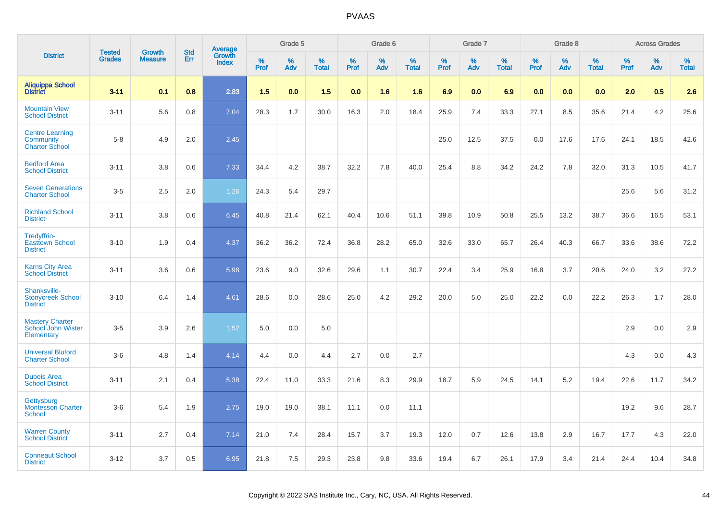|                                                                     |                                |                                 | <b>Std</b> | Average                |                     | Grade 5     |                   |                     | Grade 6  |                   |                     | Grade 7  |                   |                  | Grade 8  |                   |                     | <b>Across Grades</b> |                   |
|---------------------------------------------------------------------|--------------------------------|---------------------------------|------------|------------------------|---------------------|-------------|-------------------|---------------------|----------|-------------------|---------------------|----------|-------------------|------------------|----------|-------------------|---------------------|----------------------|-------------------|
| <b>District</b>                                                     | <b>Tested</b><br><b>Grades</b> | <b>Growth</b><br><b>Measure</b> | Err        | Growth<br><b>Index</b> | $\%$<br><b>Prof</b> | $\%$<br>Adv | %<br><b>Total</b> | $\%$<br><b>Prof</b> | %<br>Adv | %<br><b>Total</b> | $\%$<br><b>Prof</b> | %<br>Adv | %<br><b>Total</b> | %<br><b>Prof</b> | %<br>Adv | %<br><b>Total</b> | $\%$<br><b>Prof</b> | $\%$<br>Adv          | %<br><b>Total</b> |
| <b>Aliquippa School</b><br><b>District</b>                          | $3 - 11$                       | 0.1                             | 0.8        | 2.83                   | 1.5                 | 0.0         | 1.5               | 0.0                 | 1.6      | 1.6               | 6.9                 | 0.0      | 6.9               | 0.0              | 0.0      | 0.0               | 2.0                 | 0.5                  | 2.6               |
| <b>Mountain View</b><br><b>School District</b>                      | $3 - 11$                       | 5.6                             | 0.8        | 7.04                   | 28.3                | 1.7         | 30.0              | 16.3                | 2.0      | 18.4              | 25.9                | 7.4      | 33.3              | 27.1             | 8.5      | 35.6              | 21.4                | 4.2                  | 25.6              |
| <b>Centre Learning</b><br><b>Community</b><br><b>Charter School</b> | $5-8$                          | 4.9                             | 2.0        | 2.45                   |                     |             |                   |                     |          |                   | 25.0                | 12.5     | 37.5              | 0.0              | 17.6     | 17.6              | 24.1                | 18.5                 | 42.6              |
| <b>Bedford Area</b><br><b>School District</b>                       | $3 - 11$                       | 3.8                             | 0.6        | 7.33                   | 34.4                | 4.2         | 38.7              | 32.2                | 7.8      | 40.0              | 25.4                | 8.8      | 34.2              | 24.2             | 7.8      | 32.0              | 31.3                | 10.5                 | 41.7              |
| <b>Seven Generations</b><br><b>Charter School</b>                   | $3-5$                          | 2.5                             | 2.0        | 1.26                   | 24.3                | 5.4         | 29.7              |                     |          |                   |                     |          |                   |                  |          |                   | 25.6                | 5.6                  | 31.2              |
| <b>Richland School</b><br><b>District</b>                           | $3 - 11$                       | 3.8                             | 0.6        | 6.45                   | 40.8                | 21.4        | 62.1              | 40.4                | 10.6     | 51.1              | 39.8                | 10.9     | 50.8              | 25.5             | 13.2     | 38.7              | 36.6                | 16.5                 | 53.1              |
| Tredyffrin-<br><b>Easttown School</b><br><b>District</b>            | $3 - 10$                       | 1.9                             | 0.4        | 4.37                   | 36.2                | 36.2        | 72.4              | 36.8                | 28.2     | 65.0              | 32.6                | 33.0     | 65.7              | 26.4             | 40.3     | 66.7              | 33.6                | 38.6                 | 72.2              |
| <b>Karns City Area</b><br><b>School District</b>                    | $3 - 11$                       | 3.6                             | 0.6        | 5.98                   | 23.6                | 9.0         | 32.6              | 29.6                | 1.1      | 30.7              | 22.4                | 3.4      | 25.9              | 16.8             | 3.7      | 20.6              | 24.0                | 3.2                  | 27.2              |
| Shanksville-<br><b>Stonycreek School</b><br><b>District</b>         | $3 - 10$                       | 6.4                             | 1.4        | 4.61                   | 28.6                | 0.0         | 28.6              | 25.0                | 4.2      | 29.2              | 20.0                | 5.0      | 25.0              | 22.2             | 0.0      | 22.2              | 26.3                | 1.7                  | 28.0              |
| <b>Mastery Charter</b><br>School John Wister<br>Elementary          | $3-5$                          | 3.9                             | 2.6        | 1.52                   | 5.0                 | 0.0         | 5.0               |                     |          |                   |                     |          |                   |                  |          |                   | 2.9                 | 0.0                  | 2.9               |
| <b>Universal Bluford</b><br><b>Charter School</b>                   | $3-6$                          | 4.8                             | 1.4        | 4.14                   | 4.4                 | 0.0         | 4.4               | 2.7                 | 0.0      | 2.7               |                     |          |                   |                  |          |                   | 4.3                 | 0.0                  | 4.3               |
| <b>Dubois Area</b><br><b>School District</b>                        | $3 - 11$                       | 2.1                             | 0.4        | 5.38                   | 22.4                | 11.0        | 33.3              | 21.6                | 8.3      | 29.9              | 18.7                | 5.9      | 24.5              | 14.1             | 5.2      | 19.4              | 22.6                | 11.7                 | 34.2              |
| Gettysburg<br>Montessori Charter<br><b>School</b>                   | $3-6$                          | 5.4                             | 1.9        | 2.75                   | 19.0                | 19.0        | 38.1              | 11.1                | 0.0      | 11.1              |                     |          |                   |                  |          |                   | 19.2                | 9.6                  | 28.7              |
| <b>Warren County</b><br><b>School District</b>                      | $3 - 11$                       | 2.7                             | 0.4        | 7.14                   | 21.0                | 7.4         | 28.4              | 15.7                | 3.7      | 19.3              | 12.0                | 0.7      | 12.6              | 13.8             | 2.9      | 16.7              | 17.7                | 4.3                  | 22.0              |
| <b>Conneaut School</b><br><b>District</b>                           | $3 - 12$                       | 3.7                             | 0.5        | 6.95                   | 21.8                | 7.5         | 29.3              | 23.8                | 9.8      | 33.6              | 19.4                | 6.7      | 26.1              | 17.9             | 3.4      | 21.4              | 24.4                | 10.4                 | 34.8              |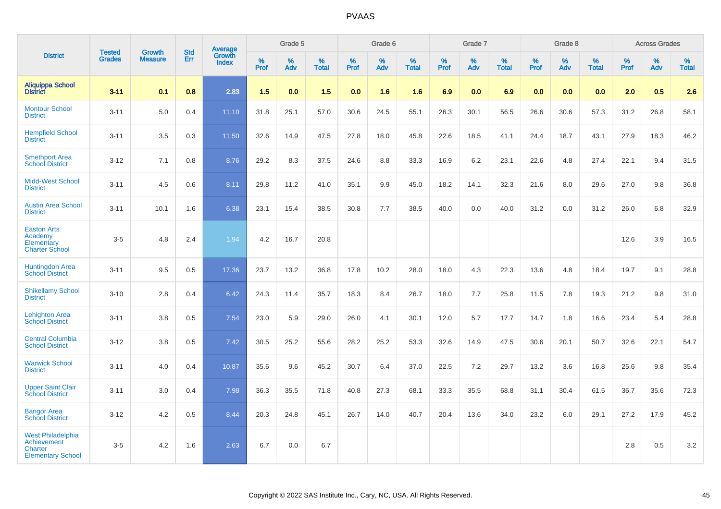|                                                                                              | <b>Tested</b> | <b>Growth</b>  | <b>Std</b> |                                          |                     | Grade 5  |                   |              | Grade 6  |                   |           | Grade 7  |                   |           | Grade 8  |                   |           | <b>Across Grades</b> |                   |
|----------------------------------------------------------------------------------------------|---------------|----------------|------------|------------------------------------------|---------------------|----------|-------------------|--------------|----------|-------------------|-----------|----------|-------------------|-----------|----------|-------------------|-----------|----------------------|-------------------|
| <b>District</b>                                                                              | <b>Grades</b> | <b>Measure</b> | Err        | <b>Average</b><br>Growth<br><b>Index</b> | $\%$<br><b>Prof</b> | %<br>Adv | %<br><b>Total</b> | $\%$<br>Prof | %<br>Adv | %<br><b>Total</b> | %<br>Prof | %<br>Adv | %<br><b>Total</b> | %<br>Prof | %<br>Adv | %<br><b>Total</b> | %<br>Prof | %<br>Adv             | %<br><b>Total</b> |
| <b>Aliquippa School</b><br><b>District</b>                                                   | $3 - 11$      | 0.1            | 0.8        | 2.83                                     | 1.5                 | 0.0      | 1.5               | 0.0          | 1.6      | 1.6               | 6.9       | 0.0      | 6.9               | 0.0       | 0.0      | 0.0               | 2.0       | 0.5                  | 2.6               |
| <b>Montour School</b><br><b>District</b>                                                     | $3 - 11$      | 5.0            | 0.4        | 11.10                                    | 31.8                | 25.1     | 57.0              | 30.6         | 24.5     | 55.1              | 26.3      | 30.1     | 56.5              | 26.6      | 30.6     | 57.3              | 31.2      | 26.8                 | 58.1              |
| <b>Hempfield School</b><br><b>District</b>                                                   | $3 - 11$      | 3.5            | 0.3        | 11.50                                    | 32.6                | 14.9     | 47.5              | 27.8         | 18.0     | 45.8              | 22.6      | 18.5     | 41.1              | 24.4      | 18.7     | 43.1              | 27.9      | 18.3                 | 46.2              |
| <b>Smethport Area</b><br><b>School District</b>                                              | $3 - 12$      | 7.1            | 0.8        | 8.76                                     | 29.2                | 8.3      | 37.5              | 24.6         | 8.8      | 33.3              | 16.9      | 6.2      | 23.1              | 22.6      | 4.8      | 27.4              | 22.1      | 9.4                  | 31.5              |
| <b>Midd-West School</b><br><b>District</b>                                                   | $3 - 11$      | 4.5            | 0.6        | 8.11                                     | 29.8                | 11.2     | 41.0              | 35.1         | 9.9      | 45.0              | 18.2      | 14.1     | 32.3              | 21.6      | 8.0      | 29.6              | 27.0      | 9.8                  | 36.8              |
| <b>Austin Area School</b><br><b>District</b>                                                 | $3 - 11$      | 10.1           | 1.6        | 6.38                                     | 23.1                | 15.4     | 38.5              | 30.8         | 7.7      | 38.5              | 40.0      | 0.0      | 40.0              | 31.2      | 0.0      | 31.2              | 26.0      | 6.8                  | 32.9              |
| <b>Easton Arts</b><br>Academy<br>Elementary<br><b>Charter School</b>                         | $3-5$         | 4.8            | 2.4        | 1.94                                     | 4.2                 | 16.7     | 20.8              |              |          |                   |           |          |                   |           |          |                   | 12.6      | 3.9                  | 16.5              |
| <b>Huntingdon Area</b><br><b>School District</b>                                             | $3 - 11$      | 9.5            | 0.5        | 17.36                                    | 23.7                | 13.2     | 36.8              | 17.8         | 10.2     | 28.0              | 18.0      | 4.3      | 22.3              | 13.6      | 4.8      | 18.4              | 19.7      | 9.1                  | 28.8              |
| <b>Shikellamy School</b><br><b>District</b>                                                  | $3 - 10$      | 2.8            | 0.4        | 6.42                                     | 24.3                | 11.4     | 35.7              | 18.3         | 8.4      | 26.7              | 18.0      | 7.7      | 25.8              | 11.5      | 7.8      | 19.3              | 21.2      | 9.8                  | 31.0              |
| <b>Lehighton Area</b><br><b>School District</b>                                              | $3 - 11$      | 3.8            | 0.5        | 7.54                                     | 23.0                | 5.9      | 29.0              | 26.0         | 4.1      | 30.1              | 12.0      | 5.7      | 17.7              | 14.7      | 1.8      | 16.6              | 23.4      | 5.4                  | 28.8              |
| <b>Central Columbia</b><br><b>School District</b>                                            | $3 - 12$      | 3.8            | 0.5        | 7.42                                     | 30.5                | 25.2     | 55.6              | 28.2         | 25.2     | 53.3              | 32.6      | 14.9     | 47.5              | 30.6      | 20.1     | 50.7              | 32.6      | 22.1                 | 54.7              |
| <b>Warwick School</b><br><b>District</b>                                                     | $3 - 11$      | 4.0            | 0.4        | 10.87                                    | 35.6                | 9.6      | 45.2              | 30.7         | 6.4      | 37.0              | 22.5      | 7.2      | 29.7              | 13.2      | 3.6      | 16.8              | 25.6      | 9.8                  | 35.4              |
| <b>Upper Saint Clair</b><br><b>School District</b>                                           | $3 - 11$      | 3.0            | 0.4        | 7.98                                     | 36.3                | 35.5     | 71.8              | 40.8         | 27.3     | 68.1              | 33.3      | 35.5     | 68.8              | 31.1      | 30.4     | 61.5              | 36.7      | 35.6                 | 72.3              |
| <b>Bangor Area</b><br><b>School District</b>                                                 | $3 - 12$      | 4.2            | 0.5        | 8.44                                     | 20.3                | 24.8     | 45.1              | 26.7         | 14.0     | 40.7              | 20.4      | 13.6     | 34.0              | 23.2      | 6.0      | 29.1              | 27.2      | 17.9                 | 45.2              |
| <b>West Philadelphia</b><br><b>Achievement</b><br><b>Charter</b><br><b>Elementary School</b> | $3-5$         | 4.2            | 1.6        | 2.63                                     | 6.7                 | 0.0      | 6.7               |              |          |                   |           |          |                   |           |          |                   | 2.8       | 0.5                  | $3.2\,$           |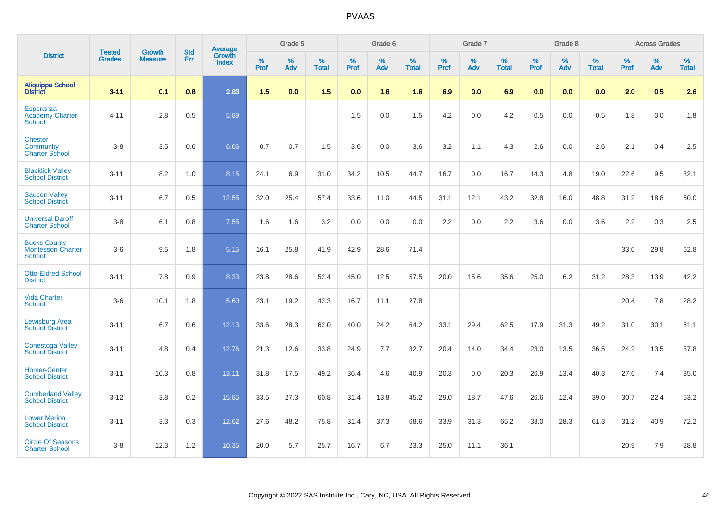|                                                             | <b>Tested</b> | <b>Growth</b>  | <b>Std</b> | Average                       |           | Grade 5  |                   |           | Grade 6  |                   |           | Grade 7  |                   |           | Grade 8  |                   |           | <b>Across Grades</b> |                   |
|-------------------------------------------------------------|---------------|----------------|------------|-------------------------------|-----------|----------|-------------------|-----------|----------|-------------------|-----------|----------|-------------------|-----------|----------|-------------------|-----------|----------------------|-------------------|
| <b>District</b>                                             | <b>Grades</b> | <b>Measure</b> | Err        | <b>Growth</b><br><b>Index</b> | %<br>Prof | %<br>Adv | %<br><b>Total</b> | %<br>Prof | %<br>Adv | %<br><b>Total</b> | %<br>Prof | %<br>Adv | %<br><b>Total</b> | %<br>Prof | %<br>Adv | %<br><b>Total</b> | %<br>Prof | %<br>Adv             | %<br><b>Total</b> |
| <b>Aliquippa School</b><br><b>District</b>                  | $3 - 11$      | 0.1            | 0.8        | 2.83                          | 1.5       | 0.0      | 1.5               | 0.0       | 1.6      | 1.6               | 6.9       | 0.0      | 6.9               | 0.0       | 0.0      | 0.0               | 2.0       | 0.5                  | 2.6               |
| <b>Esperanza</b><br><b>Academy Charter</b><br><b>School</b> | $4 - 11$      | 2.8            | 0.5        | 5.89                          |           |          |                   | 1.5       | 0.0      | 1.5               | 4.2       | 0.0      | 4.2               | 0.5       | 0.0      | 0.5               | 1.8       | 0.0                  | 1.8               |
| <b>Chester</b><br>Community<br><b>Charter School</b>        | $3 - 8$       | 3.5            | 0.6        | 6.06                          | 0.7       | 0.7      | 1.5               | 3.6       | 0.0      | 3.6               | 3.2       | 1.1      | 4.3               | 2.6       | 0.0      | 2.6               | 2.1       | 0.4                  | 2.5               |
| <b>Blacklick Valley</b><br><b>School District</b>           | $3 - 11$      | 8.2            | 1.0        | 8.15                          | 24.1      | 6.9      | 31.0              | 34.2      | 10.5     | 44.7              | 16.7      | 0.0      | 16.7              | 14.3      | 4.8      | 19.0              | 22.6      | 9.5                  | 32.1              |
| <b>Saucon Valley</b><br><b>School District</b>              | $3 - 11$      | 6.7            | 0.5        | 12.55                         | 32.0      | 25.4     | 57.4              | 33.6      | 11.0     | 44.5              | 31.1      | 12.1     | 43.2              | 32.8      | 16.0     | 48.8              | 31.2      | 18.8                 | 50.0              |
| <b>Universal Daroff</b><br><b>Charter School</b>            | $3 - 8$       | 6.1            | 0.8        | 7.55                          | 1.6       | 1.6      | 3.2               | 0.0       | 0.0      | 0.0               | 2.2       | 0.0      | 2.2               | 3.6       | 0.0      | 3.6               | 2.2       | 0.3                  | 2.5               |
| <b>Bucks County</b><br><b>Montessori Charter</b><br>School  | $3-6$         | 9.5            | 1.8        | 5.15                          | 16.1      | 25.8     | 41.9              | 42.9      | 28.6     | 71.4              |           |          |                   |           |          |                   | 33.0      | 29.8                 | 62.8              |
| <b>Otto-Eldred School</b><br><b>District</b>                | $3 - 11$      | 7.8            | 0.9        | 8.33                          | 23.8      | 28.6     | 52.4              | 45.0      | 12.5     | 57.5              | 20.0      | 15.6     | 35.6              | 25.0      | 6.2      | 31.2              | 28.3      | 13.9                 | 42.2              |
| <b>Vida Charter</b><br><b>School</b>                        | $3-6$         | 10.1           | 1.8        | 5.60                          | 23.1      | 19.2     | 42.3              | 16.7      | 11.1     | 27.8              |           |          |                   |           |          |                   | 20.4      | 7.8                  | 28.2              |
| <b>Lewisburg Area</b><br><b>School District</b>             | $3 - 11$      | 6.7            | 0.6        | 12.13                         | 33.6      | 28.3     | 62.0              | 40.0      | 24.2     | 64.2              | 33.1      | 29.4     | 62.5              | 17.9      | 31.3     | 49.2              | 31.0      | 30.1                 | 61.1              |
| <b>Conestoga Valley</b><br><b>School District</b>           | $3 - 11$      | 4.8            | 0.4        | 12.76                         | 21.3      | 12.6     | 33.8              | 24.9      | 7.7      | 32.7              | 20.4      | 14.0     | 34.4              | 23.0      | 13.5     | 36.5              | 24.2      | 13.5                 | 37.8              |
| <b>Homer-Center</b><br><b>School District</b>               | $3 - 11$      | 10.3           | 0.8        | 13.11                         | 31.8      | 17.5     | 49.2              | 36.4      | 4.6      | 40.9              | 20.3      | 0.0      | 20.3              | 26.9      | 13.4     | 40.3              | 27.6      | 7.4                  | 35.0              |
| <b>Cumberland Valley</b><br><b>School District</b>          | $3 - 12$      | 3.8            | 0.2        | 15.85                         | 33.5      | 27.3     | 60.8              | 31.4      | 13.8     | 45.2              | 29.0      | 18.7     | 47.6              | 26.6      | 12.4     | 39.0              | 30.7      | 22.4                 | 53.2              |
| <b>Lower Merion</b><br><b>School District</b>               | $3 - 11$      | 3.3            | 0.3        | 12.62                         | 27.6      | 48.2     | 75.8              | 31.4      | 37.3     | 68.6              | 33.9      | 31.3     | 65.2              | 33.0      | 28.3     | 61.3              | 31.2      | 40.9                 | 72.2              |
| <b>Circle Of Seasons</b><br><b>Charter School</b>           | $3 - 8$       | 12.3           | 1.2        | 10.35                         | 20.0      | 5.7      | 25.7              | 16.7      | 6.7      | 23.3              | 25.0      | 11.1     | 36.1              |           |          |                   | 20.9      | 7.9                  | 28.8              |